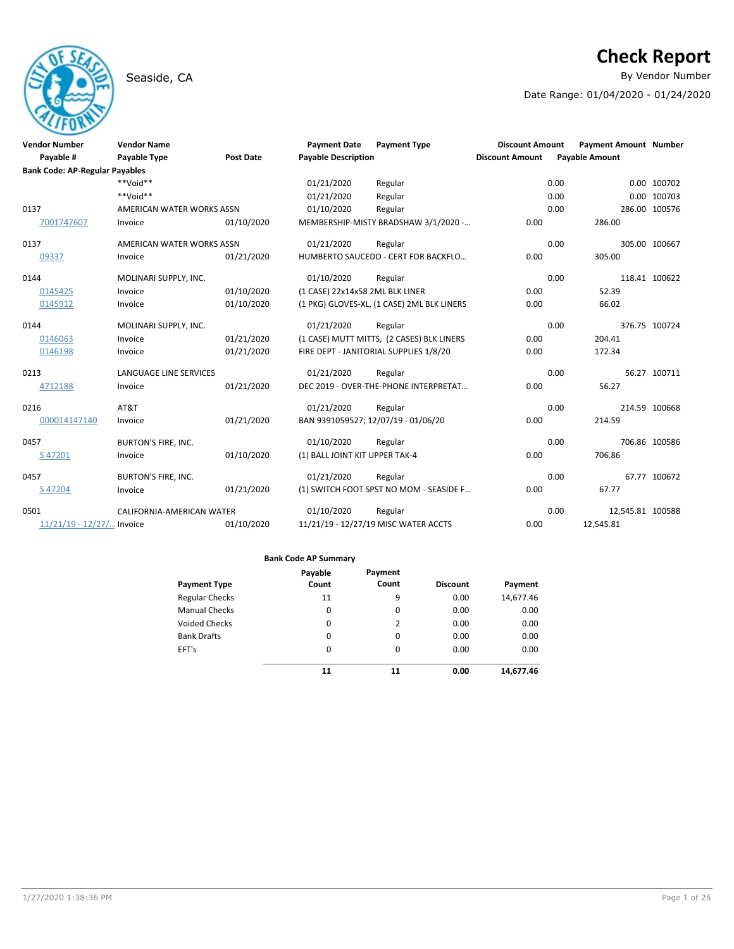## Seaside, CA **By Vendor Number**

# **Check Report**

Date Range: 01/04/2020 - 01/24/2020

| <b>Vendor Number</b><br>Payable #     | <b>Vendor Name</b><br><b>Payable Type</b> | <b>Post Date</b> | <b>Payment Date</b><br><b>Payable Description</b> | <b>Payment Type</b>                        | <b>Discount Amount</b><br><b>Discount Amount</b> | <b>Payment Amount Number</b><br><b>Payable Amount</b> |                  |
|---------------------------------------|-------------------------------------------|------------------|---------------------------------------------------|--------------------------------------------|--------------------------------------------------|-------------------------------------------------------|------------------|
| <b>Bank Code: AP-Regular Payables</b> |                                           |                  |                                                   |                                            |                                                  |                                                       |                  |
|                                       | $**$ Noid**                               |                  | 01/21/2020                                        | Regular                                    |                                                  | 0.00                                                  | 0.00 100702      |
|                                       | $**$ Noid**                               |                  | 01/21/2020                                        | Regular                                    |                                                  | 0.00                                                  | 0.00 100703      |
| 0137                                  | AMERICAN WATER WORKS ASSN                 |                  | 01/10/2020                                        | Regular                                    |                                                  | 0.00                                                  | 286.00 100576    |
| 7001747607                            | Invoice                                   | 01/10/2020       |                                                   | MEMBERSHIP-MISTY BRADSHAW 3/1/2020 -       | 0.00                                             | 286.00                                                |                  |
| 0137                                  | AMERICAN WATER WORKS ASSN                 |                  | 01/21/2020                                        | Regular                                    |                                                  | 0.00                                                  | 305.00 100667    |
| 09337                                 | Invoice                                   | 01/21/2020       |                                                   | HUMBERTO SAUCEDO - CERT FOR BACKFLO        | 0.00                                             | 305.00                                                |                  |
| 0144                                  | MOLINARI SUPPLY, INC.                     |                  | 01/10/2020                                        | Regular                                    |                                                  | 0.00                                                  | 118.41 100622    |
| 0145425                               | Invoice                                   | 01/10/2020       | (1 CASE) 22x14x58 2ML BLK LINER                   |                                            | 0.00                                             | 52.39                                                 |                  |
| 0145912                               | Invoice                                   | 01/10/2020       |                                                   | (1 PKG) GLOVES-XL, (1 CASE) 2ML BLK LINERS | 0.00                                             | 66.02                                                 |                  |
| 0144                                  | MOLINARI SUPPLY, INC.                     |                  | 01/21/2020                                        | Regular                                    |                                                  | 0.00                                                  | 376.75 100724    |
| 0146063                               | Invoice                                   | 01/21/2020       |                                                   | (1 CASE) MUTT MITTS, (2 CASES) BLK LINERS  | 0.00                                             | 204.41                                                |                  |
| 0146198                               | Invoice                                   | 01/21/2020       |                                                   | FIRE DEPT - JANITORIAL SUPPLIES 1/8/20     | 0.00                                             | 172.34                                                |                  |
| 0213                                  | <b>LANGUAGE LINE SERVICES</b>             |                  | 01/21/2020                                        | Regular                                    |                                                  | 0.00                                                  | 56.27 100711     |
| 4712188                               | Invoice                                   | 01/21/2020       |                                                   | DEC 2019 - OVER-THE-PHONE INTERPRETAT      | 0.00                                             | 56.27                                                 |                  |
| 0216                                  | AT&T                                      |                  | 01/21/2020                                        | Regular                                    |                                                  | 0.00                                                  | 214.59 100668    |
| 000014147140                          | Invoice                                   | 01/21/2020       | BAN 9391059527; 12/07/19 - 01/06/20               |                                            | 0.00                                             | 214.59                                                |                  |
| 0457                                  | <b>BURTON'S FIRE, INC.</b>                |                  | 01/10/2020                                        | Regular                                    |                                                  | 0.00                                                  | 706.86 100586    |
| S47201                                | Invoice                                   | 01/10/2020       | (1) BALL JOINT KIT UPPER TAK-4                    |                                            | 0.00                                             | 706.86                                                |                  |
| 0457                                  | <b>BURTON'S FIRE, INC.</b>                |                  | 01/21/2020                                        | Regular                                    |                                                  | 0.00                                                  | 67.77 100672     |
| S 47204                               | Invoice                                   | 01/21/2020       |                                                   | (1) SWITCH FOOT SPST NO MOM - SEASIDE F    | 0.00                                             | 67.77                                                 |                  |
| 0501                                  | CALIFORNIA-AMERICAN WATER                 |                  | 01/10/2020                                        | Regular                                    |                                                  | 0.00                                                  | 12,545.81 100588 |
| 11/21/19 - 12/27/ Invoice             |                                           | 01/10/2020       |                                                   | 11/21/19 - 12/27/19 MISC WATER ACCTS       | 0.00                                             | 12,545.81                                             |                  |

| <b>Payment Type</b>   | Payable<br>Count | Payment<br>Count | <b>Discount</b> | Payment   |
|-----------------------|------------------|------------------|-----------------|-----------|
| <b>Regular Checks</b> | 11               | 9                | 0.00            | 14,677.46 |
| <b>Manual Checks</b>  | 0                | 0                | 0.00            | 0.00      |
| <b>Voided Checks</b>  | 0                | 2                | 0.00            | 0.00      |
| <b>Bank Drafts</b>    | 0                | 0                | 0.00            | 0.00      |
| EFT's                 | $\Omega$         | $\Omega$         | 0.00            | 0.00      |
|                       | 11               | 11               | 0.00            | 14.677.46 |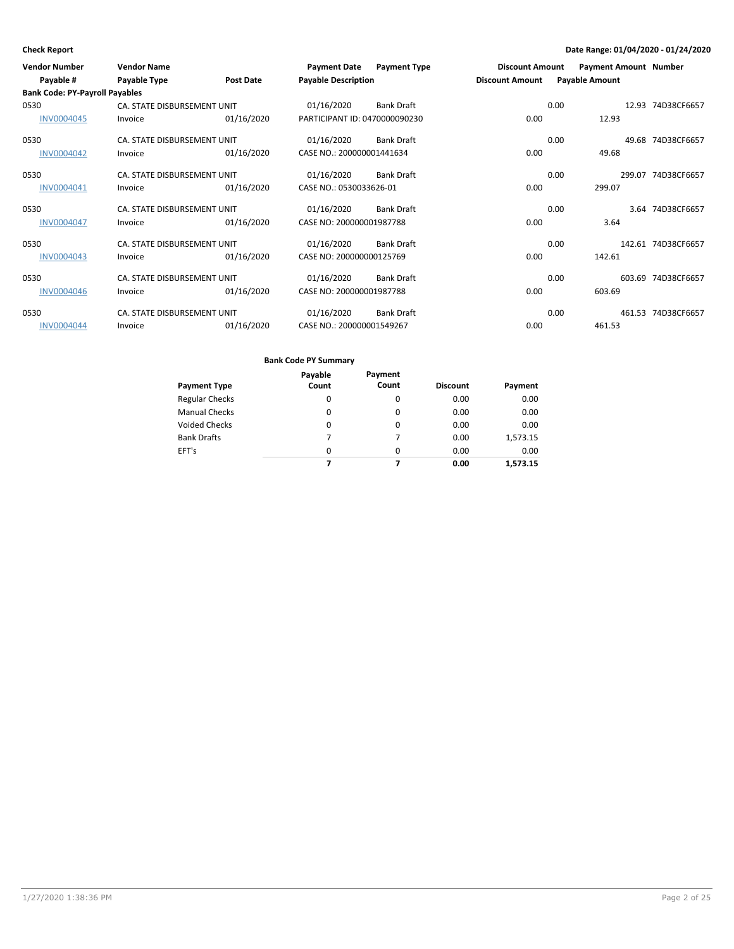| <b>Vendor Number</b>                  | <b>Vendor Name</b>          |            | <b>Payment Date</b>           | <b>Payment Type</b> | <b>Discount Amount</b> |      | <b>Payment Amount Number</b> |                    |
|---------------------------------------|-----------------------------|------------|-------------------------------|---------------------|------------------------|------|------------------------------|--------------------|
| Payable #                             | Payable Type                | Post Date  | <b>Payable Description</b>    |                     | <b>Discount Amount</b> |      | <b>Payable Amount</b>        |                    |
| <b>Bank Code: PY-Payroll Payables</b> |                             |            |                               |                     |                        |      |                              |                    |
| 0530                                  | CA. STATE DISBURSEMENT UNIT |            | 01/16/2020                    | <b>Bank Draft</b>   |                        | 0.00 |                              | 12.93 74D38CF6657  |
| <b>INV0004045</b>                     | Invoice                     | 01/16/2020 | PARTICIPANT ID: 0470000090230 |                     | 0.00                   |      | 12.93                        |                    |
| 0530                                  | CA. STATE DISBURSEMENT UNIT |            | 01/16/2020                    | <b>Bank Draft</b>   |                        | 0.00 |                              | 49.68 74D38CF6657  |
| <b>INV0004042</b>                     | Invoice                     | 01/16/2020 | CASE NO.: 200000001441634     |                     | 0.00                   |      | 49.68                        |                    |
| 0530                                  | CA. STATE DISBURSEMENT UNIT |            | 01/16/2020                    | <b>Bank Draft</b>   |                        | 0.00 |                              | 299.07 74D38CF6657 |
| INV0004041                            | Invoice                     | 01/16/2020 | CASE NO.: 0530033626-01       |                     | 0.00                   |      | 299.07                       |                    |
| 0530                                  | CA. STATE DISBURSEMENT UNIT |            | 01/16/2020                    | <b>Bank Draft</b>   |                        | 0.00 |                              | 3.64 74D38CF6657   |
| <b>INV0004047</b>                     | Invoice                     | 01/16/2020 | CASE NO: 200000001987788      |                     | 0.00                   |      | 3.64                         |                    |
| 0530                                  | CA. STATE DISBURSEMENT UNIT |            | 01/16/2020                    | <b>Bank Draft</b>   |                        | 0.00 |                              | 142.61 74D38CF6657 |
| <b>INV0004043</b>                     | Invoice                     | 01/16/2020 | CASE NO: 200000000125769      |                     | 0.00                   |      | 142.61                       |                    |
| 0530                                  | CA. STATE DISBURSEMENT UNIT |            | 01/16/2020                    | <b>Bank Draft</b>   |                        | 0.00 |                              | 603.69 74D38CF6657 |
| <b>INV0004046</b>                     | Invoice                     | 01/16/2020 | CASE NO: 200000001987788      |                     | 0.00                   |      | 603.69                       |                    |
| 0530                                  | CA. STATE DISBURSEMENT UNIT |            | 01/16/2020                    | <b>Bank Draft</b>   |                        | 0.00 |                              | 461.53 74D38CF6657 |
| <b>INV0004044</b>                     | Invoice                     | 01/16/2020 | CASE NO.: 200000001549267     |                     | 0.00                   |      | 461.53                       |                    |

|                       | Payable  | Payment  |                 |          |
|-----------------------|----------|----------|-----------------|----------|
| <b>Payment Type</b>   | Count    | Count    | <b>Discount</b> | Payment  |
| <b>Regular Checks</b> | 0        | 0        | 0.00            | 0.00     |
| <b>Manual Checks</b>  | 0        | $\Omega$ | 0.00            | 0.00     |
| <b>Voided Checks</b>  | $\Omega$ | 0        | 0.00            | 0.00     |
| <b>Bank Drafts</b>    | 7        | 7        | 0.00            | 1,573.15 |
| EFT's                 | $\Omega$ | $\Omega$ | 0.00            | 0.00     |
|                       |          |          | 0.00            | 1.573.15 |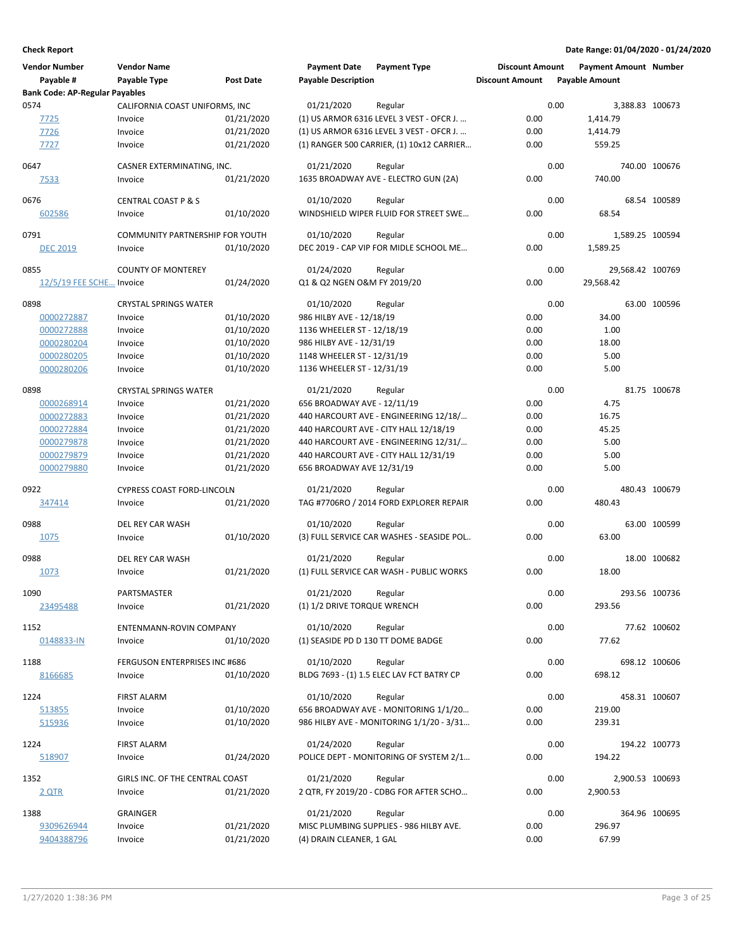| <b>Vendor Number</b><br>Payable #     | <b>Vendor Name</b><br>Payable Type | <b>Post Date</b> | <b>Payment Date</b><br><b>Payable Description</b> | <b>Payment Type</b>                       | <b>Discount Amount</b><br><b>Discount Amount</b> |      | <b>Payment Amount Number</b><br><b>Payable Amount</b> |               |
|---------------------------------------|------------------------------------|------------------|---------------------------------------------------|-------------------------------------------|--------------------------------------------------|------|-------------------------------------------------------|---------------|
| <b>Bank Code: AP-Regular Payables</b> |                                    |                  |                                                   |                                           |                                                  |      |                                                       |               |
| 0574                                  | CALIFORNIA COAST UNIFORMS, INC     |                  | 01/21/2020                                        | Regular                                   |                                                  | 0.00 | 3,388.83 100673                                       |               |
| 7725                                  | Invoice                            | 01/21/2020       |                                                   | (1) US ARMOR 6316 LEVEL 3 VEST - OFCR J.  | 0.00                                             |      | 1,414.79                                              |               |
| 7726                                  | Invoice                            | 01/21/2020       |                                                   | (1) US ARMOR 6316 LEVEL 3 VEST - OFCR J.  | 0.00                                             |      | 1,414.79                                              |               |
| 7727                                  | Invoice                            | 01/21/2020       |                                                   | (1) RANGER 500 CARRIER, (1) 10x12 CARRIER | 0.00                                             |      | 559.25                                                |               |
| 0647                                  | CASNER EXTERMINATING, INC.         |                  | 01/21/2020                                        | Regular                                   |                                                  | 0.00 |                                                       | 740.00 100676 |
| 7533                                  | Invoice                            | 01/21/2020       |                                                   | 1635 BROADWAY AVE - ELECTRO GUN (2A)      | 0.00                                             |      | 740.00                                                |               |
| 0676                                  | <b>CENTRAL COAST P &amp; S</b>     |                  | 01/10/2020                                        | Regular                                   |                                                  | 0.00 |                                                       | 68.54 100589  |
| 602586                                | Invoice                            | 01/10/2020       |                                                   | WINDSHIELD WIPER FLUID FOR STREET SWE     | 0.00                                             |      | 68.54                                                 |               |
| 0791                                  | COMMUNITY PARTNERSHIP FOR YOUTH    |                  | 01/10/2020                                        | Regular                                   |                                                  | 0.00 | 1,589.25 100594                                       |               |
| <b>DEC 2019</b>                       | Invoice                            | 01/10/2020       |                                                   | DEC 2019 - CAP VIP FOR MIDLE SCHOOL ME    | 0.00                                             |      | 1,589.25                                              |               |
|                                       |                                    |                  |                                                   |                                           |                                                  |      |                                                       |               |
| 0855                                  | <b>COUNTY OF MONTEREY</b>          |                  | 01/24/2020                                        | Regular                                   |                                                  | 0.00 | 29,568.42 100769                                      |               |
| 12/5/19 FEE SCHE Invoice              |                                    | 01/24/2020       | Q1 & Q2 NGEN O&M FY 2019/20                       |                                           | 0.00                                             |      | 29,568.42                                             |               |
| 0898                                  | <b>CRYSTAL SPRINGS WATER</b>       |                  | 01/10/2020                                        | Regular                                   |                                                  | 0.00 |                                                       | 63.00 100596  |
| 0000272887                            | Invoice                            | 01/10/2020       | 986 HILBY AVE - 12/18/19                          |                                           | 0.00                                             |      | 34.00                                                 |               |
| 0000272888                            | Invoice                            | 01/10/2020       | 1136 WHEELER ST - 12/18/19                        |                                           | 0.00                                             |      | 1.00                                                  |               |
| 0000280204                            | Invoice                            | 01/10/2020       | 986 HILBY AVE - 12/31/19                          |                                           | 0.00                                             |      | 18.00                                                 |               |
| 0000280205                            | Invoice                            | 01/10/2020       | 1148 WHEELER ST - 12/31/19                        |                                           | 0.00                                             |      | 5.00                                                  |               |
| 0000280206                            | Invoice                            | 01/10/2020       | 1136 WHEELER ST - 12/31/19                        |                                           | 0.00                                             |      | 5.00                                                  |               |
| 0898                                  | <b>CRYSTAL SPRINGS WATER</b>       |                  | 01/21/2020                                        | Regular                                   |                                                  | 0.00 |                                                       | 81.75 100678  |
| 0000268914                            | Invoice                            | 01/21/2020       | 656 BROADWAY AVE - 12/11/19                       |                                           | 0.00                                             |      | 4.75                                                  |               |
| 0000272883                            | Invoice                            | 01/21/2020       |                                                   | 440 HARCOURT AVE - ENGINEERING 12/18/     | 0.00                                             |      | 16.75                                                 |               |
| 0000272884                            | Invoice                            | 01/21/2020       |                                                   | 440 HARCOURT AVE - CITY HALL 12/18/19     | 0.00                                             |      | 45.25                                                 |               |
| 0000279878                            | Invoice                            | 01/21/2020       |                                                   | 440 HARCOURT AVE - ENGINEERING 12/31/     | 0.00                                             |      | 5.00                                                  |               |
| 0000279879                            | Invoice                            | 01/21/2020       |                                                   | 440 HARCOURT AVE - CITY HALL 12/31/19     | 0.00                                             |      | 5.00                                                  |               |
| 0000279880                            | Invoice                            | 01/21/2020       | 656 BROADWAY AVE 12/31/19                         |                                           | 0.00                                             |      | 5.00                                                  |               |
|                                       |                                    |                  |                                                   |                                           |                                                  |      |                                                       |               |
| 0922                                  | <b>CYPRESS COAST FORD-LINCOLN</b>  |                  | 01/21/2020                                        | Regular                                   |                                                  | 0.00 |                                                       | 480.43 100679 |
| 347414                                | Invoice                            | 01/21/2020       |                                                   | TAG #7706RO / 2014 FORD EXPLORER REPAIR   | 0.00                                             |      | 480.43                                                |               |
| 0988                                  | DEL REY CAR WASH                   |                  | 01/10/2020                                        | Regular                                   |                                                  | 0.00 |                                                       | 63.00 100599  |
| 1075                                  | Invoice                            | 01/10/2020       |                                                   | (3) FULL SERVICE CAR WASHES - SEASIDE POL | 0.00                                             |      | 63.00                                                 |               |
| 0988                                  | <b>DEL REY CAR WASH</b>            |                  | 01/21/2020                                        | Regular                                   |                                                  | 0.00 |                                                       | 18.00 100682  |
| 1073                                  | Invoice                            | 01/21/2020       |                                                   | (1) FULL SERVICE CAR WASH - PUBLIC WORKS  | 0.00                                             |      | 18.00                                                 |               |
|                                       |                                    |                  |                                                   |                                           |                                                  |      |                                                       |               |
| 1090                                  | PARTSMASTER                        |                  | 01/21/2020                                        | Regular                                   |                                                  | 0.00 |                                                       | 293.56 100736 |
| 23495488                              | Invoice                            | 01/21/2020       | (1) 1/2 DRIVE TORQUE WRENCH                       |                                           | 0.00                                             |      | 293.56                                                |               |
| 1152                                  | ENTENMANN-ROVIN COMPANY            |                  | 01/10/2020                                        | Regular                                   |                                                  | 0.00 |                                                       | 77.62 100602  |
| 0148833-IN                            | Invoice                            | 01/10/2020       | (1) SEASIDE PD D 130 TT DOME BADGE                |                                           | 0.00                                             |      | 77.62                                                 |               |
|                                       |                                    |                  |                                                   |                                           |                                                  |      |                                                       |               |
| 1188                                  | FERGUSON ENTERPRISES INC #686      |                  | 01/10/2020                                        | Regular                                   |                                                  | 0.00 |                                                       | 698.12 100606 |
| 8166685                               | Invoice                            | 01/10/2020       |                                                   | BLDG 7693 - (1) 1.5 ELEC LAV FCT BATRY CP | 0.00                                             |      | 698.12                                                |               |
| 1224                                  | <b>FIRST ALARM</b>                 |                  | 01/10/2020                                        | Regular                                   |                                                  | 0.00 |                                                       | 458.31 100607 |
| 513855                                | Invoice                            | 01/10/2020       |                                                   | 656 BROADWAY AVE - MONITORING 1/1/20      | 0.00                                             |      | 219.00                                                |               |
| 515936                                | Invoice                            | 01/10/2020       |                                                   | 986 HILBY AVE - MONITORING 1/1/20 - 3/31  | 0.00                                             |      | 239.31                                                |               |
| 1224                                  | <b>FIRST ALARM</b>                 |                  | 01/24/2020                                        | Regular                                   |                                                  | 0.00 |                                                       | 194.22 100773 |
| 518907                                | Invoice                            | 01/24/2020       |                                                   | POLICE DEPT - MONITORING OF SYSTEM 2/1    | 0.00                                             |      | 194.22                                                |               |
|                                       |                                    |                  |                                                   |                                           |                                                  |      |                                                       |               |
| 1352                                  | GIRLS INC. OF THE CENTRAL COAST    |                  | 01/21/2020                                        | Regular                                   |                                                  | 0.00 | 2,900.53 100693                                       |               |
| <u>2 QTR</u>                          | Invoice                            | 01/21/2020       |                                                   | 2 QTR, FY 2019/20 - CDBG FOR AFTER SCHO   | 0.00                                             |      | 2,900.53                                              |               |
| 1388                                  | GRAINGER                           |                  | 01/21/2020                                        | Regular                                   |                                                  | 0.00 |                                                       | 364.96 100695 |
| 9309626944                            | Invoice                            | 01/21/2020       |                                                   | MISC PLUMBING SUPPLIES - 986 HILBY AVE.   | 0.00                                             |      | 296.97                                                |               |
| 9404388796                            | Invoice                            | 01/21/2020       | (4) DRAIN CLEANER, 1 GAL                          |                                           | 0.00                                             |      | 67.99                                                 |               |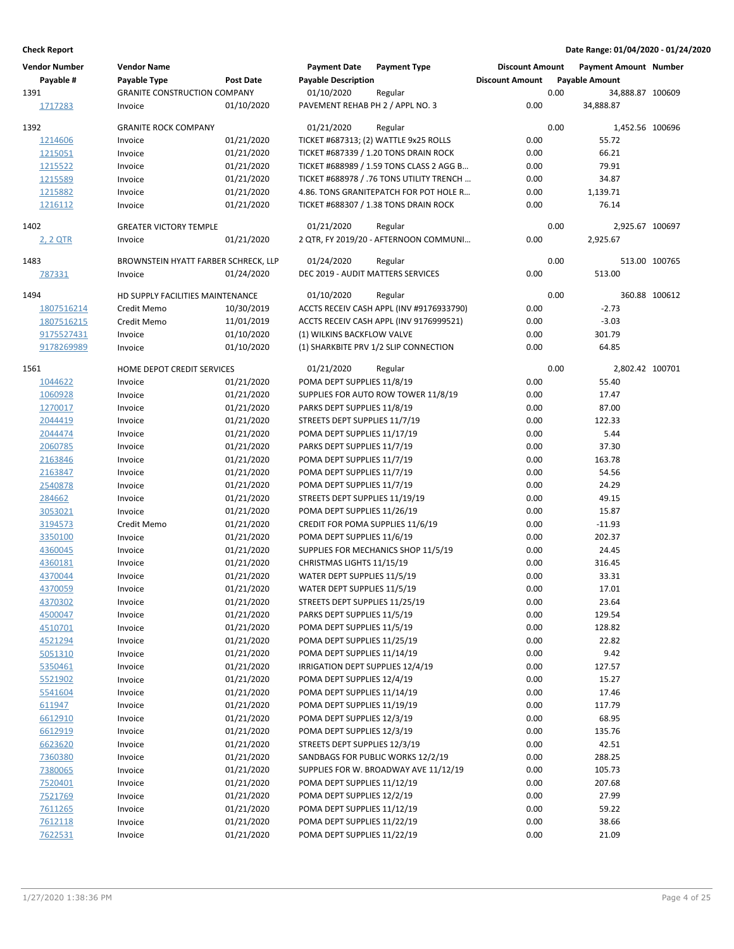| <b>Vendor Number</b> | <b>Vendor Name</b>                   |                  | <b>Payment Date</b>               | <b>Payment Type</b>                      | <b>Discount Amount</b> |      | <b>Payment Amount Number</b> |               |
|----------------------|--------------------------------------|------------------|-----------------------------------|------------------------------------------|------------------------|------|------------------------------|---------------|
| Payable #            | Payable Type                         | <b>Post Date</b> | <b>Payable Description</b>        |                                          | <b>Discount Amount</b> |      | <b>Payable Amount</b>        |               |
| 1391                 | <b>GRANITE CONSTRUCTION COMPANY</b>  |                  | 01/10/2020                        | Regular                                  |                        | 0.00 | 34,888.87 100609             |               |
| 1717283              | Invoice                              | 01/10/2020       | PAVEMENT REHAB PH 2 / APPL NO. 3  |                                          | 0.00                   |      | 34,888.87                    |               |
| 1392                 | <b>GRANITE ROCK COMPANY</b>          |                  | 01/21/2020                        | Regular                                  |                        | 0.00 | 1,452.56 100696              |               |
| 1214606              | Invoice                              | 01/21/2020       |                                   | TICKET #687313; (2) WATTLE 9x25 ROLLS    | 0.00                   |      | 55.72                        |               |
| 1215051              | Invoice                              | 01/21/2020       |                                   | TICKET #687339 / 1.20 TONS DRAIN ROCK    | 0.00                   |      | 66.21                        |               |
| 1215522              | Invoice                              | 01/21/2020       |                                   | TICKET #688989 / 1.59 TONS CLASS 2 AGG B | 0.00                   |      | 79.91                        |               |
| 1215589              | Invoice                              | 01/21/2020       |                                   | TICKET #688978 / .76 TONS UTILITY TRENCH | 0.00                   |      | 34.87                        |               |
| 1215882              | Invoice                              | 01/21/2020       |                                   | 4.86. TONS GRANITEPATCH FOR POT HOLE R   | 0.00                   |      | 1,139.71                     |               |
| 1216112              | Invoice                              | 01/21/2020       |                                   | TICKET #688307 / 1.38 TONS DRAIN ROCK    | 0.00                   |      | 76.14                        |               |
| 1402                 | <b>GREATER VICTORY TEMPLE</b>        |                  | 01/21/2020                        | Regular                                  |                        | 0.00 | 2,925.67 100697              |               |
| 2, 2 QTR             | Invoice                              | 01/21/2020       |                                   | 2 QTR, FY 2019/20 - AFTERNOON COMMUNI    | 0.00                   |      | 2,925.67                     |               |
| 1483                 | BROWNSTEIN HYATT FARBER SCHRECK, LLP |                  | 01/24/2020                        | Regular                                  |                        | 0.00 |                              | 513.00 100765 |
| 787331               | Invoice                              | 01/24/2020       | DEC 2019 - AUDIT MATTERS SERVICES |                                          | 0.00                   |      | 513.00                       |               |
|                      |                                      |                  |                                   |                                          |                        |      |                              |               |
| 1494                 | HD SUPPLY FACILITIES MAINTENANCE     |                  | 01/10/2020                        | Regular                                  |                        | 0.00 |                              | 360.88 100612 |
| 1807516214           | Credit Memo                          | 10/30/2019       |                                   | ACCTS RECEIV CASH APPL (INV #9176933790) | 0.00                   |      | $-2.73$                      |               |
| 1807516215           | Credit Memo                          | 11/01/2019       |                                   | ACCTS RECEIV CASH APPL (INV 9176999521)  | 0.00                   |      | $-3.03$                      |               |
| 9175527431           | Invoice                              | 01/10/2020       | (1) WILKINS BACKFLOW VALVE        |                                          | 0.00                   |      | 301.79                       |               |
| 9178269989           | Invoice                              | 01/10/2020       |                                   | (1) SHARKBITE PRV 1/2 SLIP CONNECTION    | 0.00                   |      | 64.85                        |               |
| 1561                 | HOME DEPOT CREDIT SERVICES           |                  | 01/21/2020                        | Regular                                  |                        | 0.00 | 2,802.42 100701              |               |
| 1044622              | Invoice                              | 01/21/2020       | POMA DEPT SUPPLIES 11/8/19        |                                          | 0.00                   |      | 55.40                        |               |
| 1060928              | Invoice                              | 01/21/2020       |                                   | SUPPLIES FOR AUTO ROW TOWER 11/8/19      | 0.00                   |      | 17.47                        |               |
| 1270017              | Invoice                              | 01/21/2020       | PARKS DEPT SUPPLIES 11/8/19       |                                          | 0.00                   |      | 87.00                        |               |
| 2044419              | Invoice                              | 01/21/2020       | STREETS DEPT SUPPLIES 11/7/19     |                                          | 0.00                   |      | 122.33                       |               |
| 2044474              | Invoice                              | 01/21/2020       | POMA DEPT SUPPLIES 11/17/19       |                                          | 0.00                   |      | 5.44                         |               |
| 2060785              | Invoice                              | 01/21/2020       | PARKS DEPT SUPPLIES 11/7/19       |                                          | 0.00                   |      | 37.30                        |               |
| 2163846              | Invoice                              | 01/21/2020       | POMA DEPT SUPPLIES 11/7/19        |                                          | 0.00                   |      | 163.78                       |               |
| 2163847              | Invoice                              | 01/21/2020       | POMA DEPT SUPPLIES 11/7/19        |                                          | 0.00                   |      | 54.56                        |               |
| 2540878              | Invoice                              | 01/21/2020       | POMA DEPT SUPPLIES 11/7/19        |                                          | 0.00                   |      | 24.29                        |               |
| 284662               | Invoice                              | 01/21/2020       | STREETS DEPT SUPPLIES 11/19/19    |                                          | 0.00                   |      | 49.15                        |               |
| 3053021              | Invoice                              | 01/21/2020       | POMA DEPT SUPPLIES 11/26/19       |                                          | 0.00                   |      | 15.87                        |               |
| 3194573              | Credit Memo                          | 01/21/2020       | CREDIT FOR POMA SUPPLIES 11/6/19  |                                          | 0.00                   |      | $-11.93$                     |               |
| 3350100              | Invoice                              | 01/21/2020       | POMA DEPT SUPPLIES 11/6/19        |                                          | 0.00                   |      | 202.37                       |               |
| 4360045              | Invoice                              | 01/21/2020       |                                   | SUPPLIES FOR MECHANICS SHOP 11/5/19      | 0.00                   |      | 24.45                        |               |
| 4360181              | Invoice                              | 01/21/2020       | CHRISTMAS LIGHTS 11/15/19         |                                          | 0.00                   |      | 316.45                       |               |
| 4370044              | Invoice                              | 01/21/2020       | WATER DEPT SUPPLIES 11/5/19       |                                          | 0.00                   |      | 33.31                        |               |
| 4370059              | Invoice                              | 01/21/2020       | WATER DEPT SUPPLIES 11/5/19       |                                          | 0.00                   |      | 17.01                        |               |
| 4370302              | Invoice                              | 01/21/2020       | STREETS DEPT SUPPLIES 11/25/19    |                                          | 0.00                   |      | 23.64                        |               |
| 4500047              | Invoice                              | 01/21/2020       | PARKS DEPT SUPPLIES 11/5/19       |                                          | 0.00                   |      | 129.54                       |               |
| 4510701              | Invoice                              | 01/21/2020       | POMA DEPT SUPPLIES 11/5/19        |                                          | 0.00                   |      | 128.82                       |               |
| 4521294              | Invoice                              | 01/21/2020       | POMA DEPT SUPPLIES 11/25/19       |                                          | 0.00                   |      | 22.82                        |               |
| 5051310              | Invoice                              | 01/21/2020       | POMA DEPT SUPPLIES 11/14/19       |                                          | 0.00                   |      | 9.42                         |               |
| 5350461              | Invoice                              | 01/21/2020       | IRRIGATION DEPT SUPPLIES 12/4/19  |                                          | 0.00                   |      | 127.57                       |               |
| 5521902              | Invoice                              | 01/21/2020       | POMA DEPT SUPPLIES 12/4/19        |                                          | 0.00                   |      | 15.27                        |               |
|                      |                                      |                  |                                   |                                          | 0.00                   |      |                              |               |
| 5541604              | Invoice                              | 01/21/2020       | POMA DEPT SUPPLIES 11/14/19       |                                          |                        |      | 17.46                        |               |
| 611947               | Invoice                              | 01/21/2020       | POMA DEPT SUPPLIES 11/19/19       |                                          | 0.00                   |      | 117.79                       |               |
| 6612910              | Invoice                              | 01/21/2020       | POMA DEPT SUPPLIES 12/3/19        |                                          | 0.00                   |      | 68.95                        |               |
| 6612919              | Invoice                              | 01/21/2020       | POMA DEPT SUPPLIES 12/3/19        |                                          | 0.00                   |      | 135.76                       |               |
| 6623620              | Invoice                              | 01/21/2020       | STREETS DEPT SUPPLIES 12/3/19     |                                          | 0.00                   |      | 42.51                        |               |
| 7360380              | Invoice                              | 01/21/2020       |                                   | SANDBAGS FOR PUBLIC WORKS 12/2/19        | 0.00                   |      | 288.25                       |               |
| 7380065              | Invoice                              | 01/21/2020       |                                   | SUPPLIES FOR W. BROADWAY AVE 11/12/19    | 0.00                   |      | 105.73                       |               |
| 7520401              | Invoice                              | 01/21/2020       | POMA DEPT SUPPLIES 11/12/19       |                                          | 0.00                   |      | 207.68                       |               |
| 7521769              | Invoice                              | 01/21/2020       | POMA DEPT SUPPLIES 12/2/19        |                                          | 0.00                   |      | 27.99                        |               |
| 7611265              | Invoice                              | 01/21/2020       | POMA DEPT SUPPLIES 11/12/19       |                                          | 0.00                   |      | 59.22                        |               |
| 7612118              | Invoice                              | 01/21/2020       | POMA DEPT SUPPLIES 11/22/19       |                                          | 0.00                   |      | 38.66                        |               |
| 7622531              | Invoice                              | 01/21/2020       | POMA DEPT SUPPLIES 11/22/19       |                                          | 0.00                   |      | 21.09                        |               |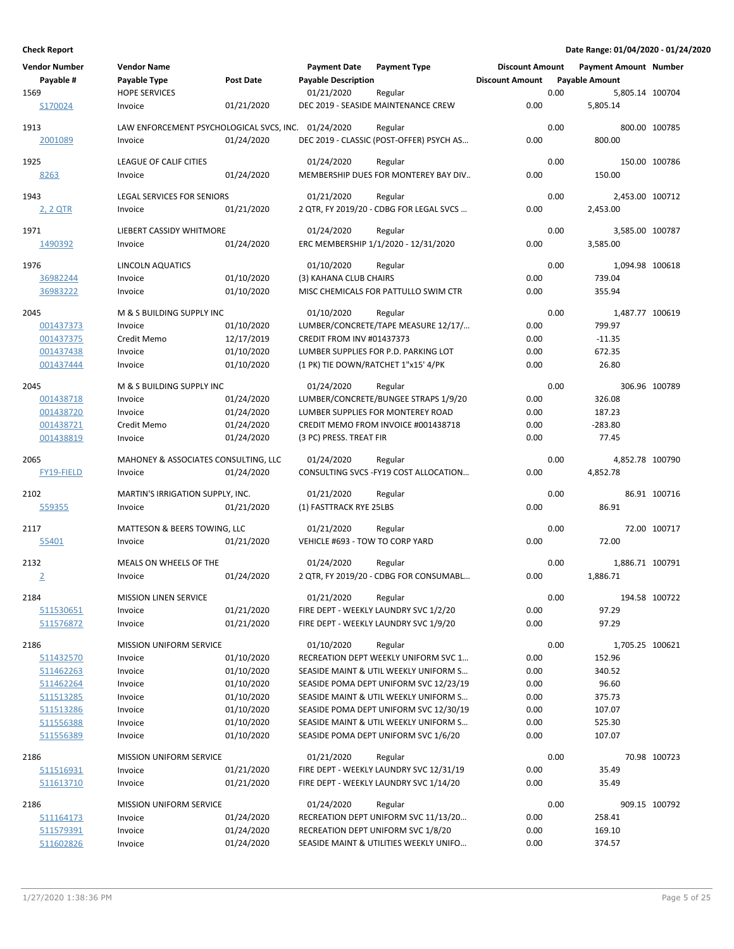| <b>Vendor Number</b> | <b>Vendor Name</b>                                  |            | <b>Payment Date</b>                 | <b>Payment Type</b>                      | <b>Discount Amount</b> |                       | Payment Amount Number |               |
|----------------------|-----------------------------------------------------|------------|-------------------------------------|------------------------------------------|------------------------|-----------------------|-----------------------|---------------|
| Payable #            | Payable Type                                        | Post Date  | <b>Payable Description</b>          |                                          | <b>Discount Amount</b> | <b>Payable Amount</b> |                       |               |
| 1569                 | <b>HOPE SERVICES</b>                                |            | 01/21/2020                          | Regular                                  |                        | 0.00                  | 5,805.14 100704       |               |
| S170024              | Invoice                                             | 01/21/2020 |                                     | DEC 2019 - SEASIDE MAINTENANCE CREW      | 0.00                   |                       | 5,805.14              |               |
| 1913                 | LAW ENFORCEMENT PSYCHOLOGICAL SVCS, INC. 01/24/2020 |            |                                     | Regular                                  |                        | 0.00                  | 800.00 100785         |               |
| 2001089              | Invoice                                             | 01/24/2020 |                                     | DEC 2019 - CLASSIC (POST-OFFER) PSYCH AS | 0.00                   |                       | 800.00                |               |
| 1925                 | LEAGUE OF CALIF CITIES                              |            | 01/24/2020                          | Regular                                  |                        | 0.00                  | 150.00 100786         |               |
| 8263                 | Invoice                                             | 01/24/2020 |                                     | MEMBERSHIP DUES FOR MONTEREY BAY DIV     | 0.00                   |                       | 150.00                |               |
|                      |                                                     |            |                                     |                                          |                        |                       |                       |               |
| 1943                 | <b>LEGAL SERVICES FOR SENIORS</b>                   |            | 01/21/2020                          | Regular                                  |                        | 0.00                  | 2,453.00 100712       |               |
| 2, 2 QTR             | Invoice                                             | 01/21/2020 |                                     | 2 QTR, FY 2019/20 - CDBG FOR LEGAL SVCS  | 0.00                   |                       | 2,453.00              |               |
| 1971                 | LIEBERT CASSIDY WHITMORE                            |            | 01/24/2020                          | Regular                                  |                        | 0.00                  | 3,585.00 100787       |               |
| 1490392              | Invoice                                             | 01/24/2020 |                                     | ERC MEMBERSHIP 1/1/2020 - 12/31/2020     | 0.00                   |                       | 3,585.00              |               |
|                      |                                                     |            |                                     |                                          |                        |                       |                       |               |
| 1976                 | LINCOLN AQUATICS                                    |            | 01/10/2020                          | Regular                                  |                        | 0.00                  | 1,094.98 100618       |               |
| 36982244             | Invoice                                             | 01/10/2020 | (3) KAHANA CLUB CHAIRS              |                                          | 0.00                   |                       | 739.04                |               |
| 36983222             | Invoice                                             | 01/10/2020 |                                     | MISC CHEMICALS FOR PATTULLO SWIM CTR     | 0.00                   |                       | 355.94                |               |
| 2045                 | M & S BUILDING SUPPLY INC                           |            | 01/10/2020                          | Regular                                  |                        | 0.00                  | 1.487.77 100619       |               |
| 001437373            | Invoice                                             | 01/10/2020 |                                     | LUMBER/CONCRETE/TAPE MEASURE 12/17/      | 0.00                   |                       | 799.97                |               |
| 001437375            | Credit Memo                                         | 12/17/2019 | <b>CREDIT FROM INV #01437373</b>    |                                          | 0.00                   |                       | $-11.35$              |               |
| 001437438            | Invoice                                             | 01/10/2020 |                                     | LUMBER SUPPLIES FOR P.D. PARKING LOT     | 0.00                   |                       | 672.35                |               |
| 001437444            | Invoice                                             | 01/10/2020 | (1 PK) TIE DOWN/RATCHET 1"x15' 4/PK |                                          | 0.00                   |                       | 26.80                 |               |
|                      |                                                     |            |                                     |                                          |                        |                       |                       |               |
| 2045                 | M & S BUILDING SUPPLY INC                           |            | 01/24/2020                          | Regular                                  |                        | 0.00                  | 306.96 100789         |               |
| 001438718            | Invoice                                             | 01/24/2020 |                                     | LUMBER/CONCRETE/BUNGEE STRAPS 1/9/20     | 0.00                   |                       | 326.08                |               |
| 001438720            | Invoice                                             | 01/24/2020 |                                     | LUMBER SUPPLIES FOR MONTEREY ROAD        | 0.00                   |                       | 187.23                |               |
| 001438721            | Credit Memo                                         | 01/24/2020 |                                     | CREDIT MEMO FROM INVOICE #001438718      | 0.00                   |                       | $-283.80$             |               |
| 001438819            | Invoice                                             | 01/24/2020 | (3 PC) PRESS. TREAT FIR             |                                          | 0.00                   |                       | 77.45                 |               |
| 2065                 | MAHONEY & ASSOCIATES CONSULTING, LLC                |            | 01/24/2020                          | Regular                                  |                        | 0.00                  | 4,852.78 100790       |               |
| FY19-FIELD           | Invoice                                             | 01/24/2020 |                                     | CONSULTING SVCS - FY19 COST ALLOCATION   | 0.00                   |                       | 4,852.78              |               |
| 2102                 | MARTIN'S IRRIGATION SUPPLY, INC.                    |            | 01/21/2020                          |                                          |                        | 0.00                  |                       | 86.91 100716  |
|                      | Invoice                                             | 01/21/2020 |                                     | Regular                                  | 0.00                   |                       | 86.91                 |               |
| 559355               |                                                     |            | (1) FASTTRACK RYE 25LBS             |                                          |                        |                       |                       |               |
| 2117                 | MATTESON & BEERS TOWING, LLC                        |            | 01/21/2020                          | Regular                                  |                        | 0.00                  |                       | 72.00 100717  |
| 55401                | Invoice                                             | 01/21/2020 | VEHICLE #693 - TOW TO CORP YARD     |                                          | 0.00                   |                       | 72.00                 |               |
| 2132                 | MEALS ON WHEELS OF THE                              |            | 01/24/2020                          | Regular                                  |                        | 0.00                  | 1,886.71 100791       |               |
| $\overline{2}$       | Invoice                                             | 01/24/2020 |                                     | 2 QTR, FY 2019/20 - CDBG FOR CONSUMABL   | 0.00                   |                       | 1,886.71              |               |
|                      |                                                     |            |                                     |                                          |                        |                       |                       |               |
| 2184                 | <b>MISSION LINEN SERVICE</b>                        |            | 01/21/2020                          | Regular                                  |                        | 0.00                  | 194.58 100722         |               |
| 511530651            | Invoice                                             | 01/21/2020 |                                     | FIRE DEPT - WEEKLY LAUNDRY SVC 1/2/20    | 0.00                   |                       | 97.29                 |               |
| 511576872            | Invoice                                             | 01/21/2020 |                                     | FIRE DEPT - WEEKLY LAUNDRY SVC 1/9/20    | 0.00                   |                       | 97.29                 |               |
| 2186                 | <b>MISSION UNIFORM SERVICE</b>                      |            | 01/10/2020                          | Regular                                  |                        | 0.00                  | 1,705.25 100621       |               |
| 511432570            | Invoice                                             | 01/10/2020 |                                     | RECREATION DEPT WEEKLY UNIFORM SVC 1     | 0.00                   |                       | 152.96                |               |
| 511462263            | Invoice                                             | 01/10/2020 |                                     | SEASIDE MAINT & UTIL WEEKLY UNIFORM S    | 0.00                   |                       | 340.52                |               |
| 511462264            | Invoice                                             | 01/10/2020 |                                     | SEASIDE POMA DEPT UNIFORM SVC 12/23/19   | 0.00                   |                       | 96.60                 |               |
| 511513285            | Invoice                                             | 01/10/2020 |                                     | SEASIDE MAINT & UTIL WEEKLY UNIFORM S    | 0.00                   |                       | 375.73                |               |
| 511513286            | Invoice                                             | 01/10/2020 |                                     | SEASIDE POMA DEPT UNIFORM SVC 12/30/19   | 0.00                   |                       | 107.07                |               |
| 511556388            | Invoice                                             | 01/10/2020 |                                     | SEASIDE MAINT & UTIL WEEKLY UNIFORM S    | 0.00                   |                       | 525.30                |               |
| 511556389            | Invoice                                             | 01/10/2020 |                                     | SEASIDE POMA DEPT UNIFORM SVC 1/6/20     | 0.00                   |                       | 107.07                |               |
|                      |                                                     |            |                                     |                                          |                        |                       |                       |               |
| 2186                 | <b>MISSION UNIFORM SERVICE</b>                      |            | 01/21/2020                          | Regular                                  |                        | 0.00                  |                       | 70.98 100723  |
| 511516931            | Invoice                                             | 01/21/2020 |                                     | FIRE DEPT - WEEKLY LAUNDRY SVC 12/31/19  | 0.00<br>0.00           |                       | 35.49                 |               |
| 511613710            | Invoice                                             | 01/21/2020 |                                     | FIRE DEPT - WEEKLY LAUNDRY SVC 1/14/20   |                        |                       | 35.49                 |               |
| 2186                 | <b>MISSION UNIFORM SERVICE</b>                      |            | 01/24/2020                          | Regular                                  |                        | 0.00                  |                       | 909.15 100792 |
| 511164173            | Invoice                                             | 01/24/2020 |                                     | RECREATION DEPT UNIFORM SVC 11/13/20     | 0.00                   |                       | 258.41                |               |
| 511579391            | Invoice                                             | 01/24/2020 |                                     | RECREATION DEPT UNIFORM SVC 1/8/20       | 0.00                   |                       | 169.10                |               |
| 511602826            | Invoice                                             | 01/24/2020 |                                     | SEASIDE MAINT & UTILITIES WEEKLY UNIFO   | 0.00                   |                       | 374.57                |               |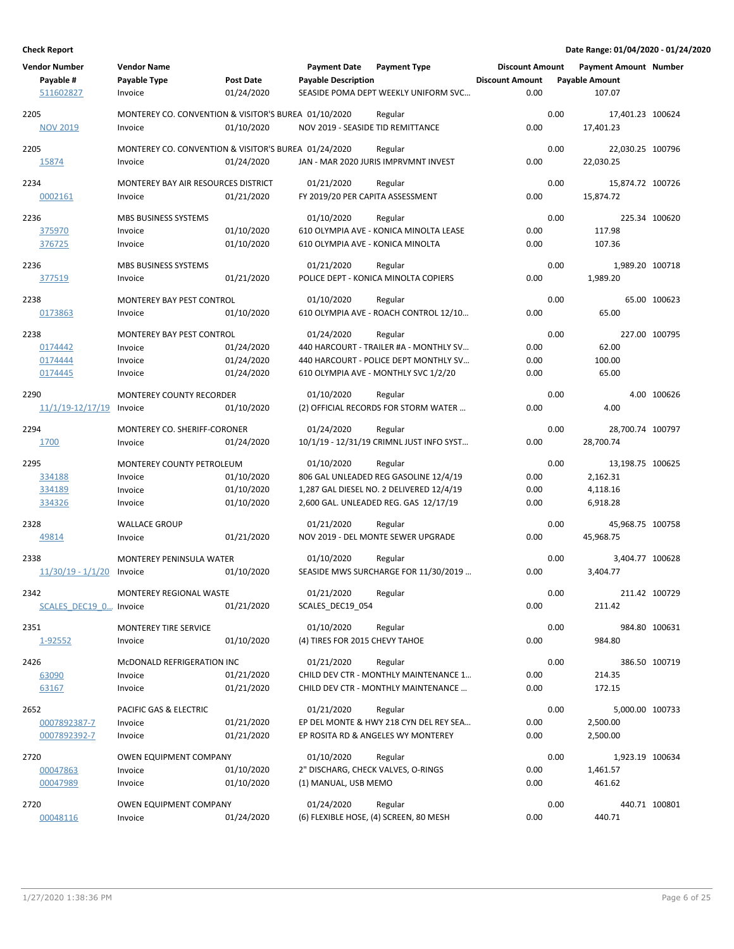| <b>Vendor Number</b><br>Payable #<br>511602827 | <b>Vendor Name</b><br>Payable Type<br>Invoice                   | <b>Post Date</b><br>01/24/2020 | <b>Payment Date</b><br><b>Payable Description</b> | <b>Payment Type</b><br>SEASIDE POMA DEPT WEEKLY UNIFORM SVC                     | <b>Discount Amount</b><br><b>Discount Amount</b><br>0.00 |      | <b>Payment Amount Number</b><br><b>Payable Amount</b><br>107.07 |               |
|------------------------------------------------|-----------------------------------------------------------------|--------------------------------|---------------------------------------------------|---------------------------------------------------------------------------------|----------------------------------------------------------|------|-----------------------------------------------------------------|---------------|
| 2205<br><b>NOV 2019</b>                        | MONTEREY CO. CONVENTION & VISITOR'S BUREA 01/10/2020<br>Invoice | 01/10/2020                     | NOV 2019 - SEASIDE TID REMITTANCE                 | Regular                                                                         | 0.00                                                     | 0.00 | 17,401.23 100624<br>17,401.23                                   |               |
|                                                |                                                                 |                                |                                                   |                                                                                 |                                                          |      |                                                                 |               |
| 2205                                           | MONTEREY CO. CONVENTION & VISITOR'S BUREA 01/24/2020            |                                |                                                   | Regular                                                                         |                                                          | 0.00 | 22,030.25 100796                                                |               |
| 15874                                          | Invoice                                                         | 01/24/2020                     |                                                   | JAN - MAR 2020 JURIS IMPRVMNT INVEST                                            | 0.00                                                     |      | 22,030.25                                                       |               |
| 2234                                           | MONTEREY BAY AIR RESOURCES DISTRICT                             |                                | 01/21/2020                                        | Regular                                                                         |                                                          | 0.00 | 15,874.72 100726                                                |               |
| 0002161                                        | Invoice                                                         | 01/21/2020                     | FY 2019/20 PER CAPITA ASSESSMENT                  |                                                                                 | 0.00                                                     |      | 15,874.72                                                       |               |
| 2236                                           | MBS BUSINESS SYSTEMS                                            |                                | 01/10/2020                                        | Regular                                                                         |                                                          | 0.00 |                                                                 | 225.34 100620 |
| 375970                                         | Invoice                                                         | 01/10/2020                     |                                                   | 610 OLYMPIA AVE - KONICA MINOLTA LEASE                                          | 0.00                                                     |      | 117.98                                                          |               |
| 376725                                         | Invoice                                                         | 01/10/2020                     | 610 OLYMPIA AVE - KONICA MINOLTA                  |                                                                                 | 0.00                                                     |      | 107.36                                                          |               |
| 2236                                           | <b>MBS BUSINESS SYSTEMS</b>                                     |                                | 01/21/2020                                        | Regular                                                                         |                                                          | 0.00 | 1,989.20 100718                                                 |               |
| 377519                                         | Invoice                                                         | 01/21/2020                     |                                                   | POLICE DEPT - KONICA MINOLTA COPIERS                                            | 0.00                                                     |      | 1,989.20                                                        |               |
| 2238                                           | MONTEREY BAY PEST CONTROL                                       |                                | 01/10/2020                                        | Regular                                                                         |                                                          | 0.00 |                                                                 | 65.00 100623  |
| 0173863                                        | Invoice                                                         | 01/10/2020                     |                                                   | 610 OLYMPIA AVE - ROACH CONTROL 12/10                                           | 0.00                                                     |      | 65.00                                                           |               |
|                                                |                                                                 |                                |                                                   |                                                                                 |                                                          |      |                                                                 |               |
| 2238                                           | MONTEREY BAY PEST CONTROL                                       |                                | 01/24/2020                                        | Regular                                                                         |                                                          | 0.00 |                                                                 | 227.00 100795 |
| 0174442                                        | Invoice                                                         | 01/24/2020                     |                                                   | 440 HARCOURT - TRAILER #A - MONTHLY SV<br>440 HARCOURT - POLICE DEPT MONTHLY SV | 0.00                                                     |      | 62.00                                                           |               |
| 0174444<br>0174445                             | Invoice<br>Invoice                                              | 01/24/2020<br>01/24/2020       |                                                   | 610 OLYMPIA AVE - MONTHLY SVC 1/2/20                                            | 0.00<br>0.00                                             |      | 100.00<br>65.00                                                 |               |
|                                                |                                                                 |                                |                                                   |                                                                                 |                                                          |      |                                                                 |               |
| 2290                                           | <b>MONTEREY COUNTY RECORDER</b>                                 |                                | 01/10/2020                                        | Regular                                                                         |                                                          | 0.00 |                                                                 | 4.00 100626   |
| 11/1/19-12/17/19 Invoice                       |                                                                 | 01/10/2020                     |                                                   | (2) OFFICIAL RECORDS FOR STORM WATER                                            | 0.00                                                     |      | 4.00                                                            |               |
| 2294                                           | MONTEREY CO. SHERIFF-CORONER                                    |                                | 01/24/2020                                        | Regular                                                                         |                                                          | 0.00 | 28,700.74 100797                                                |               |
| 1700                                           | Invoice                                                         | 01/24/2020                     |                                                   | 10/1/19 - 12/31/19 CRIMNL JUST INFO SYST                                        | 0.00                                                     |      | 28,700.74                                                       |               |
| 2295                                           | MONTEREY COUNTY PETROLEUM                                       |                                | 01/10/2020                                        | Regular                                                                         |                                                          | 0.00 | 13,198.75 100625                                                |               |
| 334188                                         | Invoice                                                         | 01/10/2020                     |                                                   | 806 GAL UNLEADED REG GASOLINE 12/4/19                                           | 0.00                                                     |      | 2,162.31                                                        |               |
| 334189                                         | Invoice                                                         | 01/10/2020                     |                                                   | 1,287 GAL DIESEL NO. 2 DELIVERED 12/4/19                                        | 0.00                                                     |      | 4,118.16                                                        |               |
| 334326                                         | Invoice                                                         | 01/10/2020                     |                                                   | 2,600 GAL. UNLEADED REG. GAS 12/17/19                                           | 0.00                                                     |      | 6,918.28                                                        |               |
| 2328                                           | <b>WALLACE GROUP</b>                                            |                                | 01/21/2020                                        | Regular                                                                         |                                                          | 0.00 | 45,968.75 100758                                                |               |
| 49814                                          | Invoice                                                         | 01/21/2020                     |                                                   | NOV 2019 - DEL MONTE SEWER UPGRADE                                              | 0.00                                                     |      | 45,968.75                                                       |               |
|                                                |                                                                 |                                |                                                   |                                                                                 |                                                          |      |                                                                 |               |
| 2338<br>$11/30/19 - 1/1/20$                    | MONTEREY PENINSULA WATER<br>Invoice                             | 01/10/2020                     | 01/10/2020                                        | Regular<br>SEASIDE MWS SURCHARGE FOR 11/30/2019                                 | 0.00                                                     | 0.00 | 3,404.77 100628<br>3.404.77                                     |               |
|                                                |                                                                 |                                |                                                   |                                                                                 |                                                          |      |                                                                 |               |
| 2342                                           | MONTEREY REGIONAL WASTE                                         |                                | 01/21/2020                                        | Regular                                                                         |                                                          | 0.00 |                                                                 | 211.42 100729 |
| SCALES DEC19 0 Invoice                         |                                                                 | 01/21/2020                     | SCALES_DEC19_054                                  |                                                                                 | 0.00                                                     |      | 211.42                                                          |               |
| 2351                                           | MONTEREY TIRE SERVICE                                           |                                | 01/10/2020                                        | Regular                                                                         |                                                          | 0.00 |                                                                 | 984.80 100631 |
| 1-92552                                        | Invoice                                                         | 01/10/2020                     | (4) TIRES FOR 2015 CHEVY TAHOE                    |                                                                                 | 0.00                                                     |      | 984.80                                                          |               |
| 2426                                           | MCDONALD REFRIGERATION INC                                      |                                | 01/21/2020                                        | Regular                                                                         |                                                          | 0.00 |                                                                 | 386.50 100719 |
| 63090                                          | Invoice                                                         | 01/21/2020                     |                                                   | CHILD DEV CTR - MONTHLY MAINTENANCE 1                                           | 0.00                                                     |      | 214.35                                                          |               |
| 63167                                          | Invoice                                                         | 01/21/2020                     |                                                   | CHILD DEV CTR - MONTHLY MAINTENANCE                                             | 0.00                                                     |      | 172.15                                                          |               |
|                                                |                                                                 |                                |                                                   |                                                                                 |                                                          |      |                                                                 |               |
| 2652                                           | PACIFIC GAS & ELECTRIC                                          |                                | 01/21/2020                                        | Regular                                                                         |                                                          | 0.00 | 5,000.00 100733                                                 |               |
| 0007892387-7<br>0007892392-7                   | Invoice                                                         | 01/21/2020<br>01/21/2020       |                                                   | EP DEL MONTE & HWY 218 CYN DEL REY SEA<br>EP ROSITA RD & ANGELES WY MONTEREY    | 0.00<br>0.00                                             |      | 2,500.00                                                        |               |
|                                                | Invoice                                                         |                                |                                                   |                                                                                 |                                                          |      | 2,500.00                                                        |               |
| 2720                                           | <b>OWEN EQUIPMENT COMPANY</b>                                   |                                | 01/10/2020                                        | Regular                                                                         |                                                          | 0.00 | 1,923.19 100634                                                 |               |
| 00047863                                       | Invoice                                                         | 01/10/2020                     | 2" DISCHARG, CHECK VALVES, O-RINGS                |                                                                                 | 0.00                                                     |      | 1,461.57                                                        |               |
| 00047989                                       | Invoice                                                         | 01/10/2020                     | (1) MANUAL, USB MEMO                              |                                                                                 | 0.00                                                     |      | 461.62                                                          |               |
| 2720                                           | OWEN EQUIPMENT COMPANY                                          |                                | 01/24/2020                                        | Regular                                                                         |                                                          | 0.00 |                                                                 | 440.71 100801 |
| 00048116                                       | Invoice                                                         | 01/24/2020                     |                                                   | (6) FLEXIBLE HOSE, (4) SCREEN, 80 MESH                                          | 0.00                                                     |      | 440.71                                                          |               |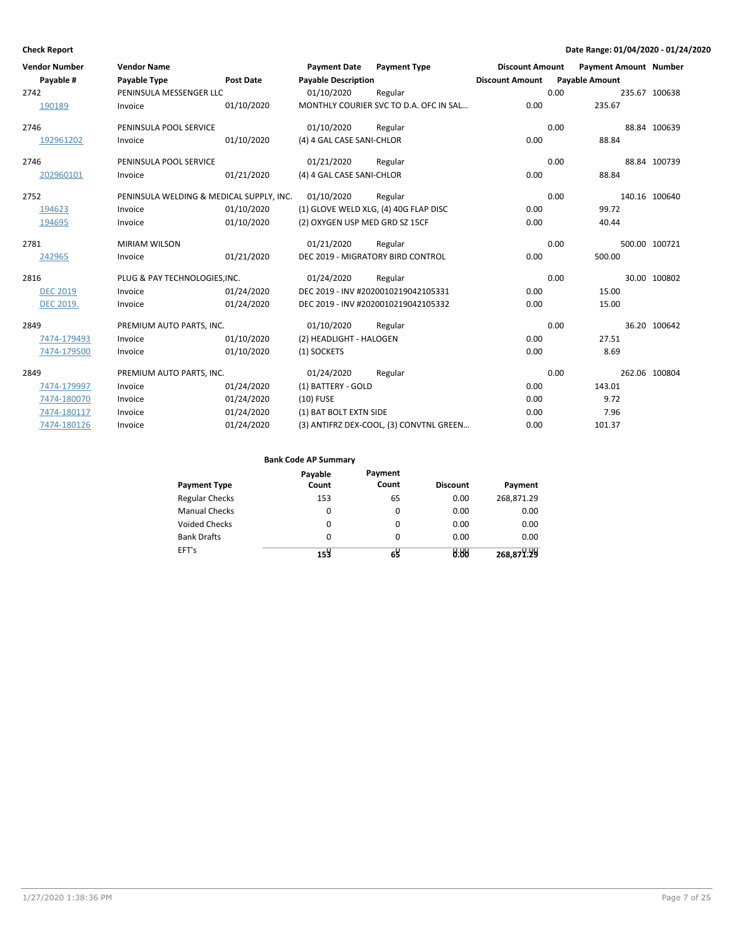| <b>Vendor Number</b> | <b>Vendor Name</b>                       |                  | <b>Payment Date</b>                   | <b>Payment Type</b>                     | <b>Discount Amount</b> |      | <b>Payment Amount Number</b> |               |
|----------------------|------------------------------------------|------------------|---------------------------------------|-----------------------------------------|------------------------|------|------------------------------|---------------|
| Payable #            | Payable Type                             | <b>Post Date</b> | <b>Payable Description</b>            |                                         | <b>Discount Amount</b> |      | <b>Payable Amount</b>        |               |
| 2742                 | PENINSULA MESSENGER LLC                  |                  | 01/10/2020                            | Regular                                 |                        | 0.00 |                              | 235.67 100638 |
| 190189               | Invoice                                  | 01/10/2020       |                                       | MONTHLY COURIER SVC TO D.A. OFC IN SAL  | 0.00                   |      | 235.67                       |               |
| 2746                 | PENINSULA POOL SERVICE                   |                  | 01/10/2020                            | Regular                                 |                        | 0.00 |                              | 88.84 100639  |
| 192961202            | Invoice                                  | 01/10/2020       | (4) 4 GAL CASE SANI-CHLOR             |                                         | 0.00                   |      | 88.84                        |               |
| 2746                 | PENINSULA POOL SERVICE                   |                  | 01/21/2020                            | Regular                                 |                        | 0.00 |                              | 88.84 100739  |
| 202960101            | Invoice                                  | 01/21/2020       | (4) 4 GAL CASE SANI-CHLOR             |                                         | 0.00                   |      | 88.84                        |               |
| 2752                 | PENINSULA WELDING & MEDICAL SUPPLY, INC. |                  | 01/10/2020                            | Regular                                 |                        | 0.00 |                              | 140.16 100640 |
| 194623               | Invoice                                  | 01/10/2020       | (1) GLOVE WELD XLG, (4) 40G FLAP DISC |                                         | 0.00                   |      | 99.72                        |               |
| 194695               | Invoice                                  | 01/10/2020       | (2) OXYGEN USP MED GRD SZ 15CF        |                                         | 0.00                   |      | 40.44                        |               |
| 2781                 | <b>MIRIAM WILSON</b>                     |                  | 01/21/2020                            | Regular                                 |                        | 0.00 |                              | 500.00 100721 |
| 242965               | Invoice                                  | 01/21/2020       | DEC 2019 - MIGRATORY BIRD CONTROL     |                                         | 0.00                   |      | 500.00                       |               |
| 2816                 | PLUG & PAY TECHNOLOGIES, INC.            |                  | 01/24/2020                            | Regular                                 |                        | 0.00 |                              | 30.00 100802  |
| <b>DEC 2019</b>      | Invoice                                  | 01/24/2020       |                                       | DEC 2019 - INV #2020010219042105331     | 0.00                   |      | 15.00                        |               |
| <b>DEC 2019.</b>     | Invoice                                  | 01/24/2020       |                                       | DEC 2019 - INV #2020010219042105332     | 0.00                   |      | 15.00                        |               |
| 2849                 | PREMIUM AUTO PARTS, INC.                 |                  | 01/10/2020                            | Regular                                 |                        | 0.00 |                              | 36.20 100642  |
| 7474-179493          | Invoice                                  | 01/10/2020       | (2) HEADLIGHT - HALOGEN               |                                         | 0.00                   |      | 27.51                        |               |
| 7474-179500          | Invoice                                  | 01/10/2020       | (1) SOCKETS                           |                                         | 0.00                   |      | 8.69                         |               |
| 2849                 | PREMIUM AUTO PARTS, INC.                 |                  | 01/24/2020                            | Regular                                 |                        | 0.00 |                              | 262.06 100804 |
| 7474-179997          | Invoice                                  | 01/24/2020       | (1) BATTERY - GOLD                    |                                         | 0.00                   |      | 143.01                       |               |
| 7474-180070          | Invoice                                  | 01/24/2020       | $(10)$ FUSE                           |                                         | 0.00                   |      | 9.72                         |               |
| 7474-180117          | Invoice                                  | 01/24/2020       | (1) BAT BOLT EXTN SIDE                |                                         | 0.00                   |      | 7.96                         |               |
| 7474-180126          | Invoice                                  | 01/24/2020       |                                       | (3) ANTIFRZ DEX-COOL, (3) CONVTNL GREEN | 0.00                   |      | 101.37                       |               |

| <b>Payment Type</b>   | Payable<br>Count | Payment<br>Count | <b>Discount</b> | Payment    |
|-----------------------|------------------|------------------|-----------------|------------|
| <b>Regular Checks</b> | 153              | 65               | 0.00            | 268,871.29 |
| <b>Manual Checks</b>  | 0                | $\Omega$         | 0.00            | 0.00       |
| <b>Voided Checks</b>  | 0                | 0                | 0.00            | 0.00       |
| <b>Bank Drafts</b>    | 0                | $\Omega$         | 0.00            | 0.00       |
| EFT's                 | 153              |                  | 0.88            | 268,871.29 |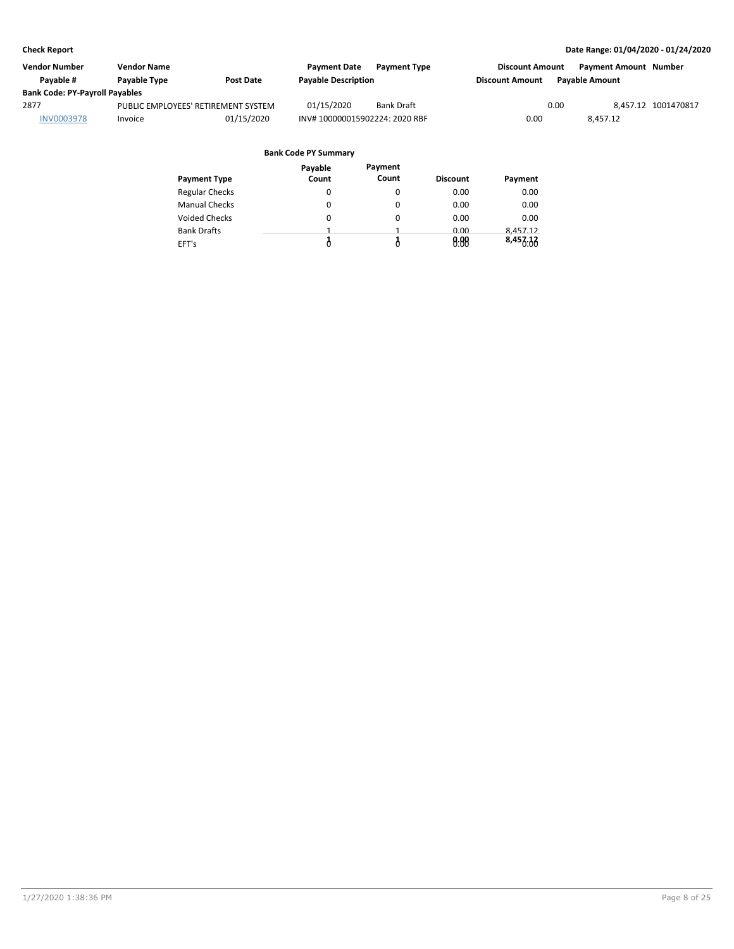| <b>Vendor Number</b>                  | <b>Vendor Name</b>                  |                  | <b>Payment Date</b>           | <b>Payment Type</b> | <b>Discount Amount</b> |                       | <b>Payment Amount Number</b> |
|---------------------------------------|-------------------------------------|------------------|-------------------------------|---------------------|------------------------|-----------------------|------------------------------|
| Pavable #                             | Payable Type                        | <b>Post Date</b> | <b>Payable Description</b>    |                     | <b>Discount Amount</b> | <b>Pavable Amount</b> |                              |
| <b>Bank Code: PY-Payroll Payables</b> |                                     |                  |                               |                     |                        |                       |                              |
| 2877                                  | PUBLIC EMPLOYEES' RETIREMENT SYSTEM |                  | 01/15/2020                    | <b>Bank Draft</b>   |                        | 0.00                  | 8.457.12 1001470817          |
| <b>INV0003978</b>                     | Invoice                             | 01/15/2020       | INV#100000015902224: 2020 RBF |                     | 0.00                   | 8.457.12              |                              |

|                       | Payable | Payment |                 |          |
|-----------------------|---------|---------|-----------------|----------|
| <b>Payment Type</b>   | Count   | Count   | <b>Discount</b> | Payment  |
| <b>Regular Checks</b> | 0       | 0       | 0.00            | 0.00     |
| <b>Manual Checks</b>  | 0       | 0       | 0.00            | 0.00     |
| <b>Voided Checks</b>  | 0       | 0       | 0.00            | 0.00     |
| <b>Bank Drafts</b>    | 1       |         | 0.00            | 8,457.12 |
| EFT's                 | Ô       |         | 0.00            | 8,457.12 |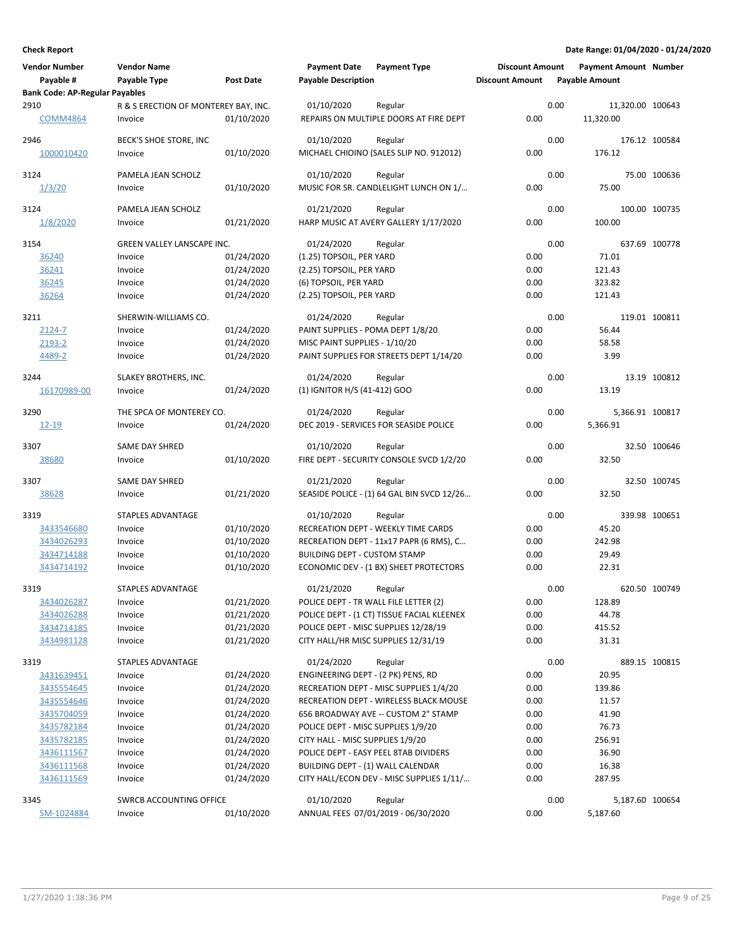| <b>Vendor Number</b>                               | <b>Vendor Name</b>                   |                  | <b>Payment Date</b><br><b>Payable Description</b> | <b>Payment Type</b>                        | <b>Discount Amount</b> |      | <b>Payment Amount Number</b> |               |
|----------------------------------------------------|--------------------------------------|------------------|---------------------------------------------------|--------------------------------------------|------------------------|------|------------------------------|---------------|
| Payable #<br><b>Bank Code: AP-Regular Payables</b> | Payable Type                         | <b>Post Date</b> |                                                   |                                            | <b>Discount Amount</b> |      | <b>Payable Amount</b>        |               |
| 2910                                               | R & S ERECTION OF MONTEREY BAY, INC. |                  | 01/10/2020                                        | Regular                                    |                        | 0.00 | 11,320.00 100643             |               |
| <b>COMM4864</b>                                    | Invoice                              | 01/10/2020       |                                                   | REPAIRS ON MULTIPLE DOORS AT FIRE DEPT     | 0.00                   |      | 11,320.00                    |               |
| 2946                                               | BECK'S SHOE STORE, INC               |                  | 01/10/2020                                        | Regular                                    |                        | 0.00 | 176.12 100584                |               |
| 1000010420                                         | Invoice                              | 01/10/2020       |                                                   | MICHAEL CHIOINO (SALES SLIP NO. 912012)    | 0.00                   |      | 176.12                       |               |
| 3124                                               | PAMELA JEAN SCHOLZ                   |                  | 01/10/2020                                        | Regular                                    |                        | 0.00 |                              | 75.00 100636  |
| 1/3/20                                             | Invoice                              | 01/10/2020       |                                                   | MUSIC FOR SR. CANDLELIGHT LUNCH ON 1/      | 0.00                   |      | 75.00                        |               |
| 3124                                               | PAMELA JEAN SCHOLZ                   |                  | 01/21/2020                                        | Regular                                    |                        | 0.00 |                              | 100.00 100735 |
| 1/8/2020                                           | Invoice                              | 01/21/2020       |                                                   | HARP MUSIC AT AVERY GALLERY 1/17/2020      | 0.00                   |      | 100.00                       |               |
| 3154                                               | <b>GREEN VALLEY LANSCAPE INC.</b>    |                  | 01/24/2020                                        | Regular                                    |                        | 0.00 |                              | 637.69 100778 |
| 36240                                              | Invoice                              | 01/24/2020       | (1.25) TOPSOIL, PER YARD                          |                                            | 0.00                   |      | 71.01                        |               |
| 36241                                              | Invoice                              | 01/24/2020       | (2.25) TOPSOIL, PER YARD                          |                                            | 0.00                   |      | 121.43                       |               |
| 36245                                              | Invoice                              | 01/24/2020       | (6) TOPSOIL, PER YARD                             |                                            | 0.00                   |      | 323.82                       |               |
| 36264                                              | Invoice                              | 01/24/2020       | (2.25) TOPSOIL, PER YARD                          |                                            | 0.00                   |      | 121.43                       |               |
| 3211                                               | SHERWIN-WILLIAMS CO.                 |                  | 01/24/2020                                        | Regular                                    |                        | 0.00 |                              | 119.01 100811 |
| $2124 - 7$                                         | Invoice                              | 01/24/2020       | PAINT SUPPLIES - POMA DEPT 1/8/20                 |                                            | 0.00                   |      | 56.44                        |               |
| 2193-2                                             | Invoice                              | 01/24/2020       | MISC PAINT SUPPLIES - 1/10/20                     |                                            | 0.00                   |      | 58.58                        |               |
| 4489-2                                             | Invoice                              | 01/24/2020       |                                                   | PAINT SUPPLIES FOR STREETS DEPT 1/14/20    | 0.00                   |      | 3.99                         |               |
| 3244                                               | SLAKEY BROTHERS, INC.                |                  | 01/24/2020                                        | Regular                                    |                        | 0.00 |                              | 13.19 100812  |
| 16170989-00                                        | Invoice                              | 01/24/2020       | (1) IGNITOR H/S (41-412) GOO                      |                                            | 0.00                   |      | 13.19                        |               |
| 3290                                               | THE SPCA OF MONTEREY CO.             |                  | 01/24/2020                                        | Regular                                    |                        | 0.00 | 5,366.91 100817              |               |
| 12-19                                              | Invoice                              | 01/24/2020       |                                                   | DEC 2019 - SERVICES FOR SEASIDE POLICE     | 0.00                   |      | 5,366.91                     |               |
|                                                    |                                      |                  |                                                   |                                            |                        |      |                              |               |
| 3307                                               | <b>SAME DAY SHRED</b>                |                  | 01/10/2020                                        | Regular                                    |                        | 0.00 |                              | 32.50 100646  |
| 38680                                              | Invoice                              | 01/10/2020       |                                                   | FIRE DEPT - SECURITY CONSOLE SVCD 1/2/20   | 0.00                   |      | 32.50                        |               |
| 3307                                               | <b>SAME DAY SHRED</b>                |                  | 01/21/2020                                        | Regular                                    |                        | 0.00 |                              | 32.50 100745  |
| 38628                                              | Invoice                              | 01/21/2020       |                                                   | SEASIDE POLICE - (1) 64 GAL BIN SVCD 12/26 | 0.00                   |      | 32.50                        |               |
| 3319                                               | STAPLES ADVANTAGE                    |                  | 01/10/2020                                        | Regular                                    |                        | 0.00 |                              | 339.98 100651 |
| 3433546680                                         | Invoice                              | 01/10/2020       |                                                   | RECREATION DEPT - WEEKLY TIME CARDS        | 0.00                   |      | 45.20                        |               |
| 3434026293                                         | Invoice                              | 01/10/2020       |                                                   | RECREATION DEPT - 11x17 PAPR (6 RMS), C    | 0.00                   |      | 242.98                       |               |
| 3434714188                                         | Invoice                              | 01/10/2020       | <b>BUILDING DEPT - CUSTOM STAMP</b>               |                                            | 0.00                   |      | 29.49                        |               |
| 3434714192                                         | Invoice                              | 01/10/2020       |                                                   | ECONOMIC DEV - (1 BX) SHEET PROTECTORS     | 0.00                   |      | 22.31                        |               |
| 3319                                               | STAPLES ADVANTAGE                    |                  | 01/21/2020                                        | Regular                                    |                        | 0.00 |                              | 620.50 100749 |
| 3434026287                                         | Invoice                              | 01/21/2020       | POLICE DEPT - TR WALL FILE LETTER (2)             |                                            | 0.00                   |      | 128.89                       |               |
| 3434026288                                         | Invoice                              | 01/21/2020       |                                                   | POLICE DEPT - (1 CT) TISSUE FACIAL KLEENEX | 0.00                   |      | 44.78                        |               |
| 3434714185                                         | Invoice                              | 01/21/2020       |                                                   | POLICE DEPT - MISC SUPPLIES 12/28/19       | 0.00                   |      | 415.52                       |               |
| 3434981128                                         | Invoice                              | 01/21/2020       |                                                   | CITY HALL/HR MISC SUPPLIES 12/31/19        | 0.00                   |      | 31.31                        |               |
| 3319                                               | STAPLES ADVANTAGE                    |                  | 01/24/2020                                        | Regular                                    |                        | 0.00 |                              | 889.15 100815 |
| 3431639451                                         | Invoice                              | 01/24/2020       | ENGINEERING DEPT - (2 PK) PENS, RD                |                                            | 0.00                   |      | 20.95                        |               |
| 3435554645                                         | Invoice                              | 01/24/2020       |                                                   | RECREATION DEPT - MISC SUPPLIES 1/4/20     | 0.00                   |      | 139.86                       |               |
| 3435554646                                         | Invoice                              | 01/24/2020       |                                                   | RECREATION DEPT - WIRELESS BLACK MOUSE     | 0.00                   |      | 11.57                        |               |
| 3435704059                                         | Invoice                              | 01/24/2020       |                                                   | 656 BROADWAY AVE -- CUSTOM 2" STAMP        | 0.00                   |      | 41.90                        |               |
| 3435782184                                         | Invoice                              | 01/24/2020       | POLICE DEPT - MISC SUPPLIES 1/9/20                |                                            | 0.00                   |      | 76.73                        |               |
| 3435782185                                         | Invoice                              | 01/24/2020       | CITY HALL - MISC SUPPLIES 1/9/20                  |                                            | 0.00                   |      | 256.91                       |               |
| 3436111567                                         | Invoice                              | 01/24/2020       |                                                   | POLICE DEPT - EASY PEEL 8TAB DIVIDERS      | 0.00                   |      | 36.90                        |               |
| 3436111568                                         | Invoice                              | 01/24/2020       | BUILDING DEPT - (1) WALL CALENDAR                 |                                            | 0.00                   |      | 16.38                        |               |
| 3436111569                                         | Invoice                              | 01/24/2020       |                                                   | CITY HALL/ECON DEV - MISC SUPPLIES 1/11/   | 0.00                   |      | 287.95                       |               |
| 3345                                               | SWRCB ACCOUNTING OFFICE              |                  | 01/10/2020                                        | Regular                                    |                        | 0.00 | 5,187.60 100654              |               |
| SM-1024884                                         | Invoice                              | 01/10/2020       |                                                   | ANNUAL FEES 07/01/2019 - 06/30/2020        | 0.00                   |      | 5,187.60                     |               |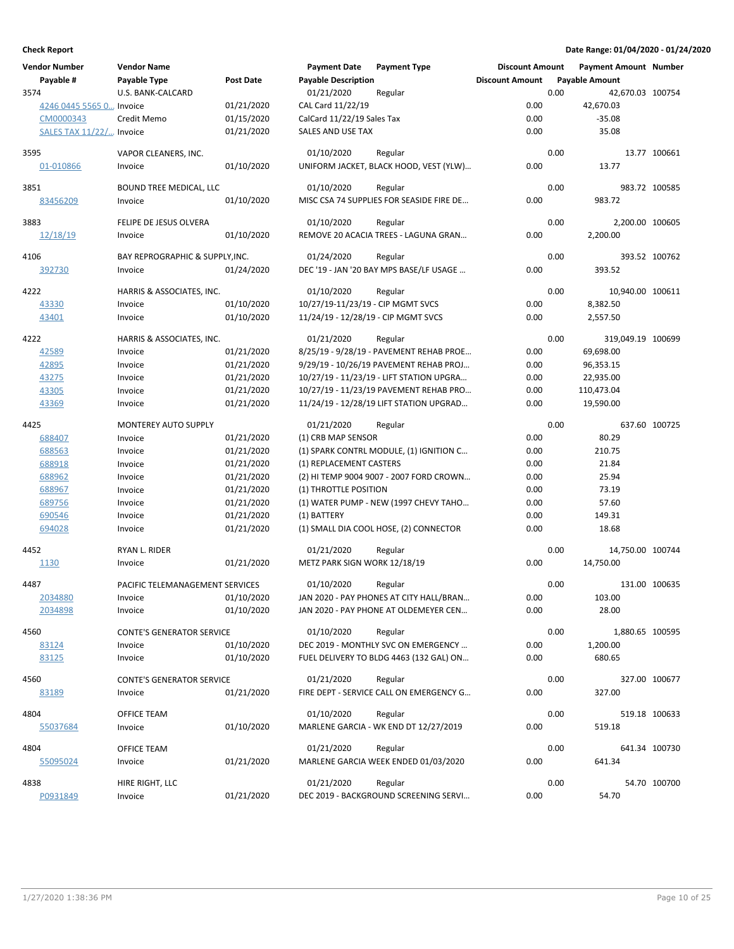| <b>Vendor Number</b>     | <b>Vendor Name</b>               |            | <b>Payment Date</b>                 | <b>Payment Type</b>                      | <b>Discount Amount</b> |      | Payment Amount Number |               |
|--------------------------|----------------------------------|------------|-------------------------------------|------------------------------------------|------------------------|------|-----------------------|---------------|
| Payable #                | Payable Type                     | Post Date  | <b>Payable Description</b>          |                                          | <b>Discount Amount</b> |      | <b>Payable Amount</b> |               |
| 3574                     | U.S. BANK-CALCARD                |            | 01/21/2020                          | Regular                                  |                        | 0.00 | 42,670.03 100754      |               |
| 4246 0445 5565 0 Invoice |                                  | 01/21/2020 | CAL Card 11/22/19                   |                                          | 0.00                   |      | 42,670.03             |               |
| CM0000343                | Credit Memo                      | 01/15/2020 | CalCard 11/22/19 Sales Tax          |                                          | 0.00                   |      | $-35.08$              |               |
| SALES TAX 11/22/ Invoice |                                  | 01/21/2020 | SALES AND USE TAX                   |                                          | 0.00                   |      | 35.08                 |               |
|                          |                                  |            |                                     |                                          |                        |      |                       |               |
| 3595                     | VAPOR CLEANERS, INC.             |            | 01/10/2020                          | Regular                                  |                        | 0.00 |                       | 13.77 100661  |
| 01-010866                | Invoice                          | 01/10/2020 |                                     | UNIFORM JACKET, BLACK HOOD, VEST (YLW)   | 0.00                   |      | 13.77                 |               |
|                          |                                  |            |                                     |                                          |                        |      |                       |               |
| 3851                     | <b>BOUND TREE MEDICAL, LLC</b>   |            | 01/10/2020                          | Regular                                  |                        | 0.00 | 983.72 100585         |               |
| 83456209                 | Invoice                          | 01/10/2020 |                                     | MISC CSA 74 SUPPLIES FOR SEASIDE FIRE DE | 0.00                   |      | 983.72                |               |
| 3883                     | FELIPE DE JESUS OLVERA           |            | 01/10/2020                          | Regular                                  |                        | 0.00 | 2,200.00 100605       |               |
| 12/18/19                 | Invoice                          | 01/10/2020 |                                     | REMOVE 20 ACACIA TREES - LAGUNA GRAN     | 0.00                   |      | 2,200.00              |               |
|                          |                                  |            |                                     |                                          |                        |      |                       |               |
| 4106                     | BAY REPROGRAPHIC & SUPPLY, INC.  |            | 01/24/2020                          | Regular                                  |                        | 0.00 |                       | 393.52 100762 |
| 392730                   | Invoice                          | 01/24/2020 |                                     | DEC '19 - JAN '20 BAY MPS BASE/LF USAGE  | 0.00                   |      | 393.52                |               |
|                          |                                  |            |                                     |                                          |                        |      |                       |               |
| 4222                     | HARRIS & ASSOCIATES, INC.        |            | 01/10/2020                          | Regular                                  |                        | 0.00 | 10,940.00 100611      |               |
| 43330                    | Invoice                          | 01/10/2020 | 10/27/19-11/23/19 - CIP MGMT SVCS   |                                          | 0.00                   |      | 8,382.50              |               |
| 43401                    | Invoice                          | 01/10/2020 | 11/24/19 - 12/28/19 - CIP MGMT SVCS |                                          | 0.00                   |      | 2,557.50              |               |
| 4222                     | HARRIS & ASSOCIATES, INC.        |            |                                     |                                          |                        | 0.00 |                       |               |
|                          |                                  |            | 01/21/2020                          | Regular                                  |                        |      | 319,049.19 100699     |               |
| 42589                    | Invoice                          | 01/21/2020 |                                     | 8/25/19 - 9/28/19 - PAVEMENT REHAB PROE  | 0.00                   |      | 69,698.00             |               |
| 42895                    | Invoice                          | 01/21/2020 |                                     | 9/29/19 - 10/26/19 PAVEMENT REHAB PROJ   | 0.00                   |      | 96,353.15             |               |
| 43275                    | Invoice                          | 01/21/2020 |                                     | 10/27/19 - 11/23/19 - LIFT STATION UPGRA | 0.00                   |      | 22,935.00             |               |
| 43305                    | Invoice                          | 01/21/2020 |                                     | 10/27/19 - 11/23/19 PAVEMENT REHAB PRO   | 0.00                   |      | 110,473.04            |               |
| 43369                    | Invoice                          | 01/21/2020 |                                     | 11/24/19 - 12/28/19 LIFT STATION UPGRAD  | 0.00                   |      | 19,590.00             |               |
| 4425                     | MONTEREY AUTO SUPPLY             |            | 01/21/2020                          | Regular                                  |                        | 0.00 |                       | 637.60 100725 |
| 688407                   | Invoice                          | 01/21/2020 | (1) CRB MAP SENSOR                  |                                          | 0.00                   |      | 80.29                 |               |
|                          | Invoice                          | 01/21/2020 |                                     |                                          | 0.00                   |      | 210.75                |               |
| 688563                   |                                  |            |                                     | (1) SPARK CONTRL MODULE, (1) IGNITION C  |                        |      |                       |               |
| 688918                   | Invoice                          | 01/21/2020 | (1) REPLACEMENT CASTERS             |                                          | 0.00                   |      | 21.84                 |               |
| 688962                   | Invoice                          | 01/21/2020 |                                     | (2) HI TEMP 9004 9007 - 2007 FORD CROWN  | 0.00                   |      | 25.94                 |               |
| 688967                   | Invoice                          | 01/21/2020 | (1) THROTTLE POSITION               |                                          | 0.00                   |      | 73.19                 |               |
| 689756                   | Invoice                          | 01/21/2020 |                                     | (1) WATER PUMP - NEW (1997 CHEVY TAHO    | 0.00                   |      | 57.60                 |               |
| 690546                   | Invoice                          | 01/21/2020 | (1) BATTERY                         |                                          | 0.00                   |      | 149.31                |               |
| 694028                   | Invoice                          | 01/21/2020 |                                     | (1) SMALL DIA COOL HOSE, (2) CONNECTOR   | 0.00                   |      | 18.68                 |               |
| 4452                     | RYAN L. RIDER                    |            | 01/21/2020                          | Regular                                  |                        | 0.00 | 14,750.00 100744      |               |
| 1130                     | Invoice                          | 01/21/2020 | METZ PARK SIGN WORK 12/18/19        |                                          | 0.00                   |      | 14,750.00             |               |
|                          |                                  |            |                                     |                                          |                        |      |                       |               |
| 4487                     | PACIFIC TELEMANAGEMENT SERVICES  |            | 01/10/2020                          | Regular                                  |                        | 0.00 | 131.00 100635         |               |
| 2034880                  | Invoice                          | 01/10/2020 |                                     | JAN 2020 - PAY PHONES AT CITY HALL/BRAN  | 0.00                   |      | 103.00                |               |
| 2034898                  | Invoice                          | 01/10/2020 |                                     | JAN 2020 - PAY PHONE AT OLDEMEYER CEN    | 0.00                   |      | 28.00                 |               |
|                          |                                  |            |                                     |                                          |                        |      |                       |               |
| 4560                     | <b>CONTE'S GENERATOR SERVICE</b> |            | 01/10/2020                          | Regular                                  |                        | 0.00 | 1,880.65 100595       |               |
| 83124                    | Invoice                          | 01/10/2020 |                                     | DEC 2019 - MONTHLY SVC ON EMERGENCY      | 0.00                   |      | 1,200.00              |               |
| 83125                    | Invoice                          | 01/10/2020 |                                     | FUEL DELIVERY TO BLDG 4463 (132 GAL) ON  | 0.00                   |      | 680.65                |               |
| 4560                     | <b>CONTE'S GENERATOR SERVICE</b> |            | 01/21/2020                          | Regular                                  |                        | 0.00 |                       | 327.00 100677 |
| 83189                    | Invoice                          | 01/21/2020 |                                     | FIRE DEPT - SERVICE CALL ON EMERGENCY G  | 0.00                   |      | 327.00                |               |
|                          |                                  |            |                                     |                                          |                        |      |                       |               |
| 4804                     | OFFICE TEAM                      |            | 01/10/2020                          | Regular                                  |                        | 0.00 |                       | 519.18 100633 |
| 55037684                 | Invoice                          | 01/10/2020 |                                     | MARLENE GARCIA - WK END DT 12/27/2019    | 0.00                   |      | 519.18                |               |
| 4804                     | OFFICE TEAM                      |            | 01/21/2020                          | Regular                                  |                        | 0.00 |                       | 641.34 100730 |
|                          |                                  |            |                                     | MARLENE GARCIA WEEK ENDED 01/03/2020     |                        |      |                       |               |
| 55095024                 | Invoice                          | 01/21/2020 |                                     |                                          | 0.00                   |      | 641.34                |               |
| 4838                     | HIRE RIGHT, LLC                  |            | 01/21/2020                          | Regular                                  |                        | 0.00 |                       | 54.70 100700  |
| P0931849                 | Invoice                          | 01/21/2020 |                                     | DEC 2019 - BACKGROUND SCREENING SERVI    | 0.00                   |      | 54.70                 |               |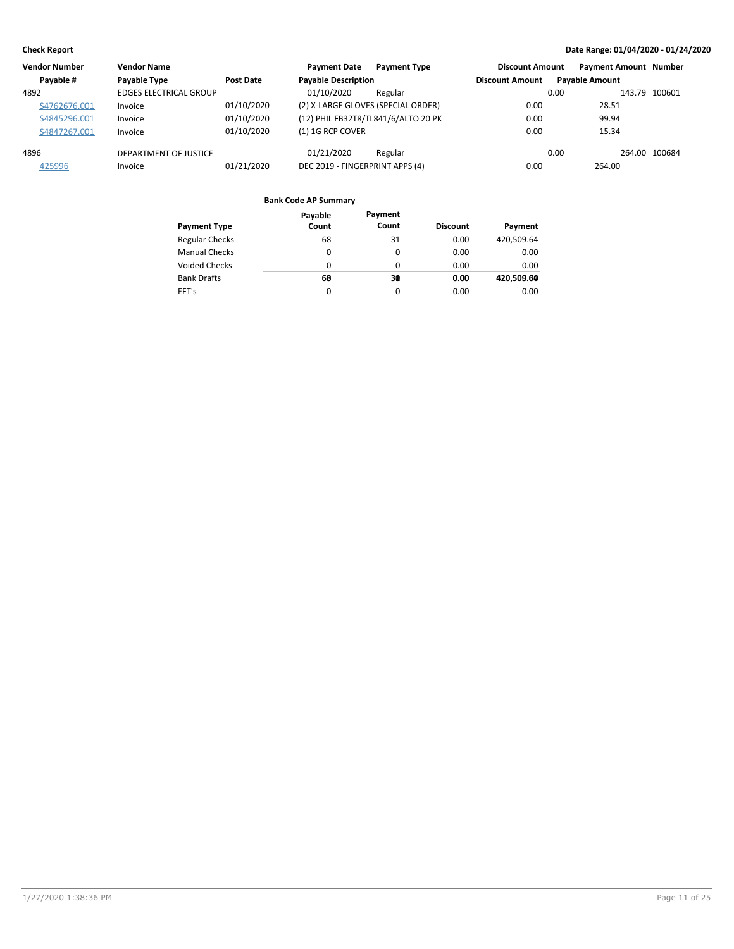| <b>Vendor Number</b> | <b>Vendor Name</b>            |            | <b>Payment Date</b>                 | <b>Payment Type</b> | <b>Discount Amount</b> |                       | <b>Payment Amount Number</b> |               |
|----------------------|-------------------------------|------------|-------------------------------------|---------------------|------------------------|-----------------------|------------------------------|---------------|
| Pavable #            | Payable Type                  | Post Date  | <b>Payable Description</b>          |                     | <b>Discount Amount</b> | <b>Pavable Amount</b> |                              |               |
| 4892                 | <b>EDGES ELECTRICAL GROUP</b> |            | 01/10/2020                          | Regular             |                        | 0.00                  |                              | 143.79 100601 |
| S4762676.001         | Invoice                       | 01/10/2020 | (2) X-LARGE GLOVES (SPECIAL ORDER)  |                     | 0.00                   |                       | 28.51                        |               |
| S4845296.001         | Invoice                       | 01/10/2020 | (12) PHIL FB32T8/TL841/6/ALTO 20 PK |                     | 0.00                   |                       | 99.94                        |               |
| S4847267.001         | Invoice                       | 01/10/2020 | $(1)$ 1G RCP COVER                  |                     | 0.00                   |                       | 15.34                        |               |
| 4896                 | DEPARTMENT OF JUSTICE         |            | 01/21/2020                          | Regular             |                        | 0.00                  |                              | 264.00 100684 |
| 425996               | Invoice                       | 01/21/2020 | DEC 2019 - FINGERPRINT APPS (4)     |                     | 0.00                   |                       | 264.00                       |               |

|                       | Payable  | Payment  |                 |            |
|-----------------------|----------|----------|-----------------|------------|
| <b>Payment Type</b>   | Count    | Count    | <b>Discount</b> | Payment    |
| <b>Regular Checks</b> | 68       | 31       | 0.00            | 420,509.64 |
| <b>Manual Checks</b>  | 0        | 0        | 0.00            | 0.00       |
| <b>Voided Checks</b>  | 0        | $\Omega$ | 0.00            | 0.00       |
| <b>Bank Drafts</b>    | 68       | 30       | 0.00            | 420.509.60 |
| EFT's                 | $\Omega$ | $\Omega$ | 0.00            | 0.00       |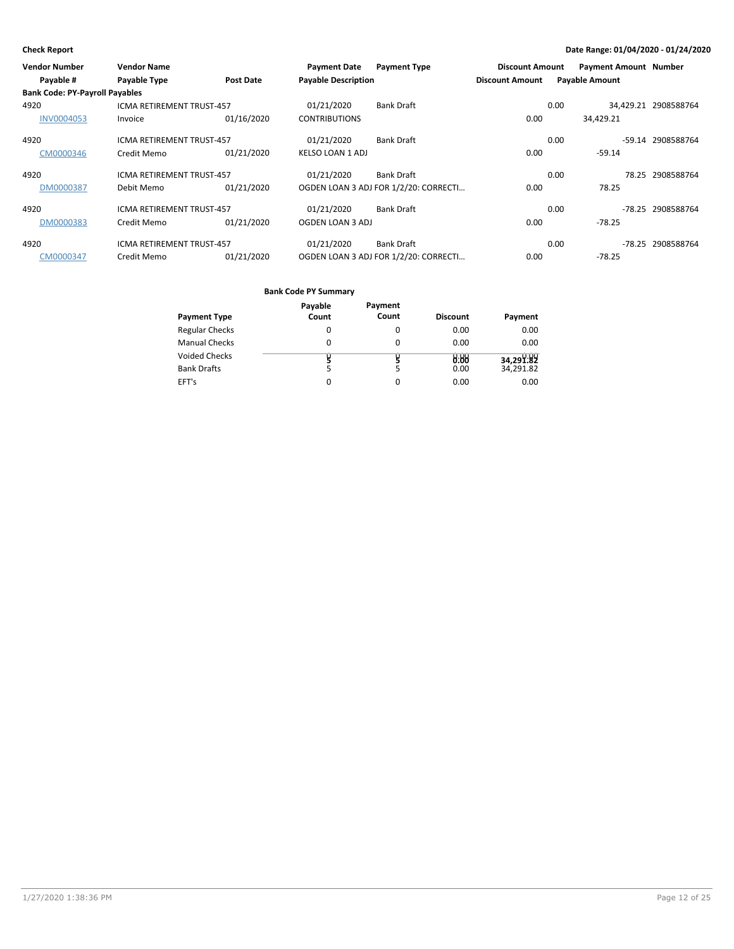| <b>Vendor Number</b>                  | <b>Vendor Name</b>               |                  | <b>Payment Date</b>        | <b>Payment Type</b>                   | <b>Discount Amount</b> | <b>Payment Amount Number</b> |       |                      |
|---------------------------------------|----------------------------------|------------------|----------------------------|---------------------------------------|------------------------|------------------------------|-------|----------------------|
| Payable #                             | Payable Type                     | <b>Post Date</b> | <b>Payable Description</b> |                                       | <b>Discount Amount</b> | <b>Payable Amount</b>        |       |                      |
| <b>Bank Code: PY-Payroll Payables</b> |                                  |                  |                            |                                       |                        |                              |       |                      |
| 4920                                  | <b>ICMA RETIREMENT TRUST-457</b> |                  | 01/21/2020                 | <b>Bank Draft</b>                     |                        | 0.00                         |       | 34,429.21 2908588764 |
| <b>INV0004053</b>                     | Invoice                          | 01/16/2020       | <b>CONTRIBUTIONS</b>       |                                       | 0.00                   | 34.429.21                    |       |                      |
| 4920                                  | <b>ICMA RETIREMENT TRUST-457</b> |                  | 01/21/2020                 | <b>Bank Draft</b>                     |                        | 0.00                         |       | -59.14 2908588764    |
| CM0000346                             | Credit Memo                      | 01/21/2020       | <b>KELSO LOAN 1 ADJ</b>    |                                       | 0.00                   | $-59.14$                     |       |                      |
| 4920                                  | <b>ICMA RETIREMENT TRUST-457</b> |                  | 01/21/2020                 | <b>Bank Draft</b>                     |                        | 0.00                         | 78.25 | 2908588764           |
| DM0000387                             | Debit Memo                       | 01/21/2020       |                            | OGDEN LOAN 3 ADJ FOR 1/2/20: CORRECTI | 0.00                   | 78.25                        |       |                      |
| 4920                                  | <b>ICMA RETIREMENT TRUST-457</b> |                  | 01/21/2020                 | <b>Bank Draft</b>                     |                        | 0.00                         |       | -78.25 2908588764    |
| DM0000383                             | Credit Memo                      | 01/21/2020       | OGDEN LOAN 3 ADJ           |                                       | 0.00                   | $-78.25$                     |       |                      |
| 4920                                  | <b>ICMA RETIREMENT TRUST-457</b> |                  | 01/21/2020                 | <b>Bank Draft</b>                     |                        | 0.00                         |       | -78.25 2908588764    |
| CM0000347                             | Credit Memo                      | 01/21/2020       |                            | OGDEN LOAN 3 ADJ FOR 1/2/20: CORRECTI | 0.00                   | $-78.25$                     |       |                      |

|                       | Payable | Payment |                 |           |
|-----------------------|---------|---------|-----------------|-----------|
| <b>Payment Type</b>   | Count   | Count   | <b>Discount</b> | Payment   |
| <b>Regular Checks</b> | 0       | 0       | 0.00            | 0.00      |
| <b>Manual Checks</b>  | 0       | 0       | 0.00            | 0.00      |
| <b>Voided Checks</b>  |         |         | 0.88            | 34,291.82 |
| <b>Bank Drafts</b>    | 5       | 5       | 0.00            | 34,291.82 |
| EFT's                 |         | 0       | 0.00            | 0.00      |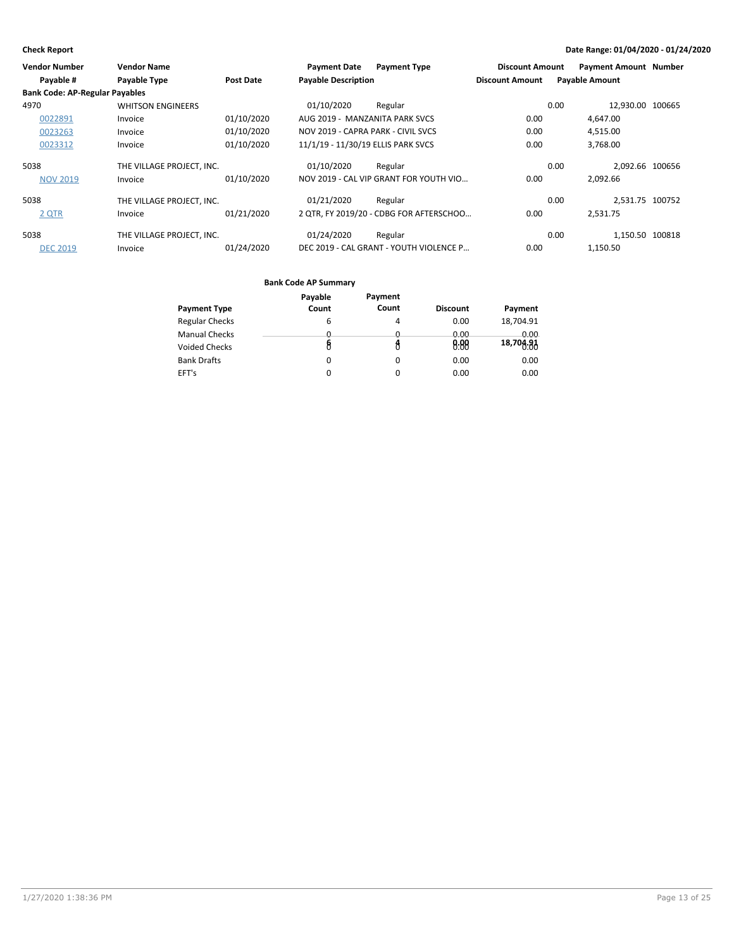| <b>Vendor Number</b>                  | <b>Vendor Name</b>        |                  | <b>Payment Date</b>                | <b>Payment Type</b>                     | <b>Discount Amount</b> |      | <b>Payment Amount Number</b> |  |
|---------------------------------------|---------------------------|------------------|------------------------------------|-----------------------------------------|------------------------|------|------------------------------|--|
| Payable #                             | Payable Type              | <b>Post Date</b> | <b>Payable Description</b>         |                                         | <b>Discount Amount</b> |      | <b>Payable Amount</b>        |  |
| <b>Bank Code: AP-Regular Payables</b> |                           |                  |                                    |                                         |                        |      |                              |  |
| 4970                                  | <b>WHITSON ENGINEERS</b>  |                  | 01/10/2020                         | Regular                                 |                        | 0.00 | 12.930.00 100665             |  |
| 0022891                               | Invoice                   | 01/10/2020       | AUG 2019 - MANZANITA PARK SVCS     |                                         | 0.00                   |      | 4,647.00                     |  |
| 0023263                               | Invoice                   | 01/10/2020       | NOV 2019 - CAPRA PARK - CIVIL SVCS |                                         | 0.00                   |      | 4,515.00                     |  |
| 0023312                               | Invoice                   | 01/10/2020       | 11/1/19 - 11/30/19 ELLIS PARK SVCS |                                         | 0.00                   |      | 3.768.00                     |  |
| 5038                                  | THE VILLAGE PROJECT, INC. |                  | 01/10/2020                         | Regular                                 |                        | 0.00 | 2,092.66 100656              |  |
| <b>NOV 2019</b>                       | Invoice                   | 01/10/2020       |                                    | NOV 2019 - CAL VIP GRANT FOR YOUTH VIO  | 0.00                   |      | 2.092.66                     |  |
| 5038                                  | THE VILLAGE PROJECT, INC. |                  | 01/21/2020                         | Regular                                 |                        | 0.00 | 2,531.75 100752              |  |
| 2 QTR                                 | Invoice                   | 01/21/2020       |                                    | 2 OTR. FY 2019/20 - CDBG FOR AFTERSCHOO | 0.00                   |      | 2.531.75                     |  |
| 5038                                  | THE VILLAGE PROJECT, INC. |                  | 01/24/2020                         | Regular                                 |                        | 0.00 | 1,150.50 100818              |  |
| <b>DEC 2019</b>                       | Invoice                   | 01/24/2020       |                                    | DEC 2019 - CAL GRANT - YOUTH VIOLENCE P | 0.00                   |      | 1,150.50                     |  |

|                       | Payable  | Payment      |                 |             |
|-----------------------|----------|--------------|-----------------|-------------|
| <b>Payment Type</b>   | Count    | Count        | <b>Discount</b> | Payment     |
| <b>Regular Checks</b> | 6        | 4            | 0.00            | 18,704.91   |
| <b>Manual Checks</b>  | <u>n</u> | <sup>n</sup> | 0.00            | <u>n vv</u> |
| <b>Voided Checks</b>  | 8        |              | 0.88            | 18,704.91   |
| <b>Bank Drafts</b>    | 0        | 0            | 0.00            | 0.00        |
| EFT's                 | 0        | 0            | 0.00            | 0.00        |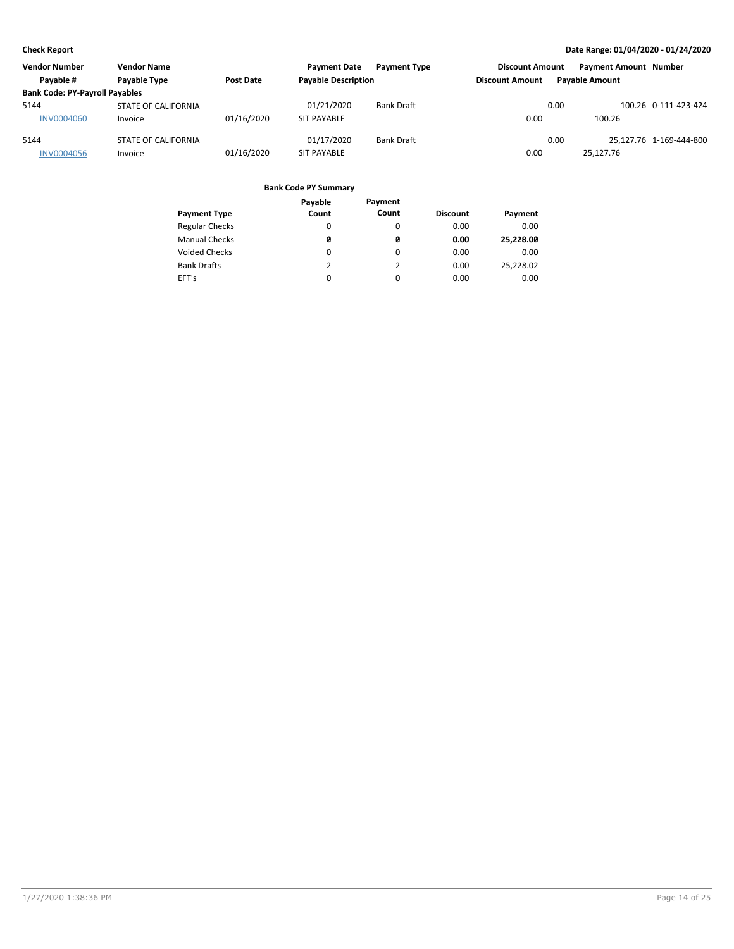| <b>Vendor Number</b>                  | Vendor Name         |            | <b>Payment Date</b>        | <b>Payment Type</b> | <b>Discount Amount</b> |      | <b>Payment Amount Number</b> |                         |
|---------------------------------------|---------------------|------------|----------------------------|---------------------|------------------------|------|------------------------------|-------------------------|
| Payable #                             | Payable Type        | Post Date  | <b>Payable Description</b> |                     | <b>Discount Amount</b> |      | <b>Pavable Amount</b>        |                         |
| <b>Bank Code: PY-Payroll Payables</b> |                     |            |                            |                     |                        |      |                              |                         |
| 5144                                  | STATE OF CALIFORNIA |            | 01/21/2020                 | <b>Bank Draft</b>   |                        | 0.00 |                              | 100.26 0-111-423-424    |
| <b>INV0004060</b>                     | Invoice             | 01/16/2020 | <b>SIT PAYABLE</b>         |                     | 0.00                   |      | 100.26                       |                         |
| 5144                                  | STATE OF CALIFORNIA |            | 01/17/2020                 | <b>Bank Draft</b>   |                        | 0.00 |                              | 25.127.76 1-169-444-800 |
| <b>INV0004056</b>                     | Invoice             | 01/16/2020 | <b>SIT PAYABLE</b>         |                     | 0.00                   |      | 25,127.76                    |                         |

|                       | Payable | Payment  |                 |           |
|-----------------------|---------|----------|-----------------|-----------|
| <b>Payment Type</b>   | Count   | Count    | <b>Discount</b> | Payment   |
| <b>Regular Checks</b> | 0       | $\Omega$ | 0.00            | 0.00      |
| <b>Manual Checks</b>  | ø       | ø        | 0.00            | 25,228.00 |
| <b>Voided Checks</b>  | 0       | 0        | 0.00            | 0.00      |
| <b>Bank Drafts</b>    | 2       | 2        | 0.00            | 25,228.02 |
| EFT's                 | 0       | 0        | 0.00            | 0.00      |
|                       |         |          |                 |           |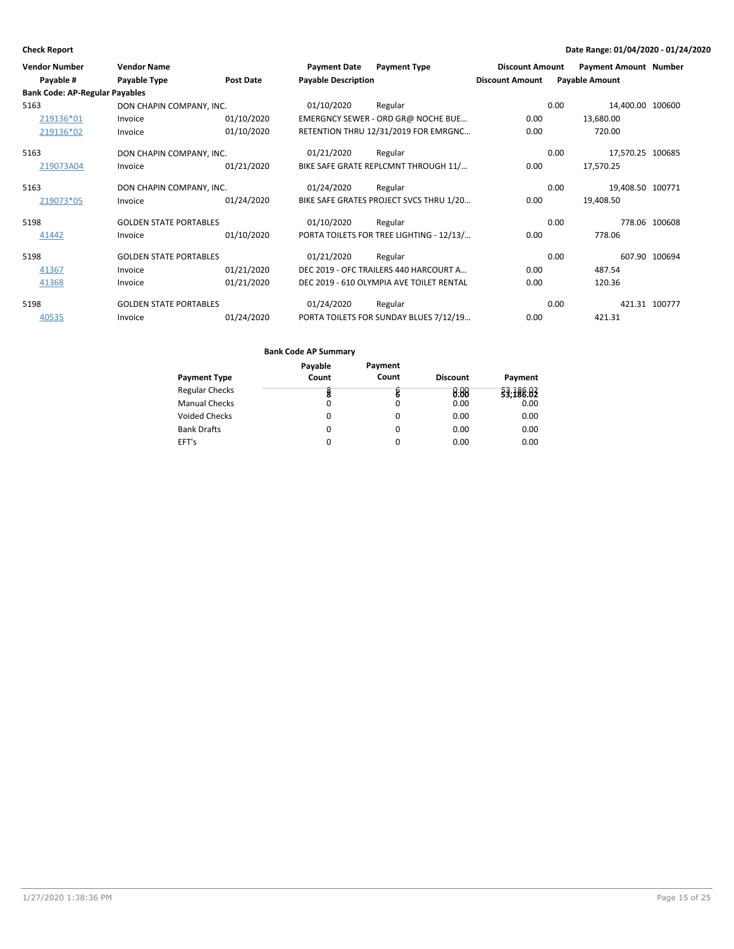| <b>Vendor Number</b><br>Payable #     | <b>Vendor Name</b><br>Payable Type | Post Date  | <b>Payment Date</b><br><b>Payable Description</b> | <b>Payment Type</b>                      | <b>Discount Amount</b><br><b>Discount Amount</b> | <b>Payment Amount Number</b><br><b>Payable Amount</b> |               |
|---------------------------------------|------------------------------------|------------|---------------------------------------------------|------------------------------------------|--------------------------------------------------|-------------------------------------------------------|---------------|
| <b>Bank Code: AP-Regular Payables</b> |                                    |            |                                                   |                                          |                                                  |                                                       |               |
| 5163                                  | DON CHAPIN COMPANY, INC.           |            | 01/10/2020                                        | Regular                                  |                                                  | 14,400.00 100600<br>0.00                              |               |
| 219136*01                             | Invoice                            | 01/10/2020 |                                                   | EMERGNCY SEWER - ORD GR@ NOCHE BUE       | 0.00                                             | 13,680.00                                             |               |
| 219136*02                             | Invoice                            | 01/10/2020 |                                                   | RETENTION THRU 12/31/2019 FOR EMRGNC     | 0.00                                             | 720.00                                                |               |
| 5163                                  | DON CHAPIN COMPANY, INC.           |            | 01/21/2020                                        | Regular                                  |                                                  | 0.00<br>17,570.25 100685                              |               |
| 219073A04                             | Invoice                            | 01/21/2020 |                                                   | BIKE SAFE GRATE REPLCMNT THROUGH 11/     | 0.00                                             | 17,570.25                                             |               |
| 5163                                  | DON CHAPIN COMPANY, INC.           |            | 01/24/2020                                        | Regular                                  |                                                  | 0.00<br>19,408.50 100771                              |               |
| 219073*05                             | Invoice                            | 01/24/2020 |                                                   | BIKE SAFE GRATES PROJECT SVCS THRU 1/20  | 0.00                                             | 19,408.50                                             |               |
| 5198                                  | <b>GOLDEN STATE PORTABLES</b>      |            | 01/10/2020                                        | Regular                                  |                                                  | 0.00                                                  | 778.06 100608 |
| 41442                                 | Invoice                            | 01/10/2020 |                                                   | PORTA TOILETS FOR TREE LIGHTING - 12/13/ | 0.00                                             | 778.06                                                |               |
| 5198                                  | <b>GOLDEN STATE PORTABLES</b>      |            | 01/21/2020                                        | Regular                                  |                                                  | 0.00                                                  | 607.90 100694 |
| 41367                                 | Invoice                            | 01/21/2020 |                                                   | DEC 2019 - OFC TRAILERS 440 HARCOURT A   | 0.00                                             | 487.54                                                |               |
| 41368                                 | Invoice                            | 01/21/2020 |                                                   | DEC 2019 - 610 OLYMPIA AVE TOILET RENTAL | 0.00                                             | 120.36                                                |               |
| 5198                                  | <b>GOLDEN STATE PORTABLES</b>      |            | 01/24/2020                                        | Regular                                  |                                                  | 0.00                                                  | 421.31 100777 |
| 40535                                 | Invoice                            | 01/24/2020 |                                                   | PORTA TOILETS FOR SUNDAY BLUES 7/12/19   | 0.00                                             | 421.31                                                |               |

|                       | Payable | Payment |                 |           |
|-----------------------|---------|---------|-----------------|-----------|
| <b>Payment Type</b>   | Count   | Count   | <b>Discount</b> | Payment   |
| <b>Regular Checks</b> | ğ       | B       | 9.99            | 33,188.02 |
| <b>Manual Checks</b>  | 0       | 0       | 0.00            | 0.00      |
| <b>Voided Checks</b>  | 0       | 0       | 0.00            | 0.00      |
| <b>Bank Drafts</b>    | 0       | 0       | 0.00            | 0.00      |
| EFT's                 | 0       | 0       | 0.00            | 0.00      |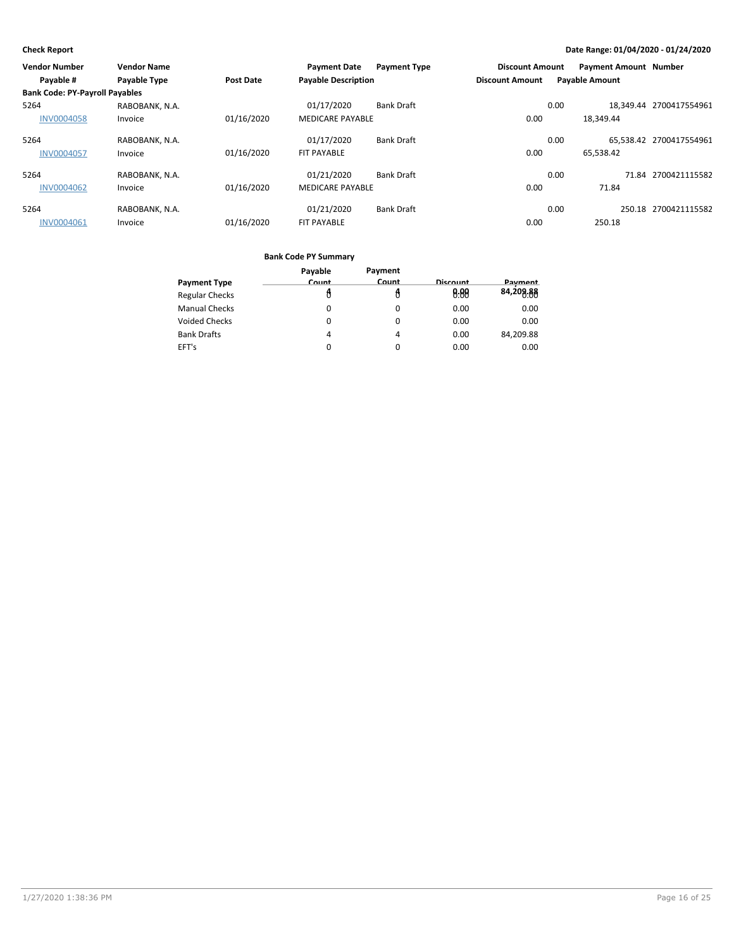| <b>Vendor Number</b>                  | <b>Vendor Name</b> |                  | <b>Payment Date</b>        | <b>Payment Type</b> | <b>Discount Amount</b> |      | <b>Payment Amount Number</b> |                         |
|---------------------------------------|--------------------|------------------|----------------------------|---------------------|------------------------|------|------------------------------|-------------------------|
| Payable #                             | Payable Type       | <b>Post Date</b> | <b>Payable Description</b> |                     | <b>Discount Amount</b> |      | <b>Payable Amount</b>        |                         |
| <b>Bank Code: PY-Payroll Payables</b> |                    |                  |                            |                     |                        |      |                              |                         |
| 5264                                  | RABOBANK, N.A.     |                  | 01/17/2020                 | <b>Bank Draft</b>   |                        | 0.00 |                              | 18.349.44 2700417554961 |
| <b>INV0004058</b>                     | Invoice            | 01/16/2020       | <b>MEDICARE PAYABLE</b>    |                     | 0.00                   |      | 18.349.44                    |                         |
| 5264                                  | RABOBANK, N.A.     |                  | 01/17/2020                 | <b>Bank Draft</b>   |                        | 0.00 |                              | 65.538.42 2700417554961 |
| <b>INV0004057</b>                     | Invoice            | 01/16/2020       | <b>FIT PAYABLE</b>         |                     | 0.00                   |      | 65.538.42                    |                         |
| 5264                                  | RABOBANK, N.A.     |                  | 01/21/2020                 | <b>Bank Draft</b>   |                        | 0.00 | 71.84                        | 2700421115582           |
| <b>INV0004062</b>                     | Invoice            | 01/16/2020       | <b>MEDICARE PAYABLE</b>    |                     | 0.00                   |      | 71.84                        |                         |
| 5264                                  | RABOBANK, N.A.     |                  | 01/21/2020                 | <b>Bank Draft</b>   |                        | 0.00 |                              | 250.18 2700421115582    |
| INV0004061                            | Invoice            | 01/16/2020       | <b>FIT PAYABLE</b>         |                     | 0.00                   |      | 250.18                       |                         |

|                       | Payable  | Payment      |                 |                |
|-----------------------|----------|--------------|-----------------|----------------|
| <b>Payment Type</b>   | Count    | <b>Count</b> | <b>Discount</b> | <b>Payment</b> |
| <b>Regular Checks</b> |          |              | 8:88            | 84,209.88      |
| <b>Manual Checks</b>  | 0        | $\Omega$     | 0.00            | 0.00           |
| <b>Voided Checks</b>  | 0        | $\Omega$     | 0.00            | 0.00           |
| <b>Bank Drafts</b>    | 4        | 4            | 0.00            | 84,209.88      |
| EFT's                 | $\Omega$ | 0            | 0.00            | 0.00           |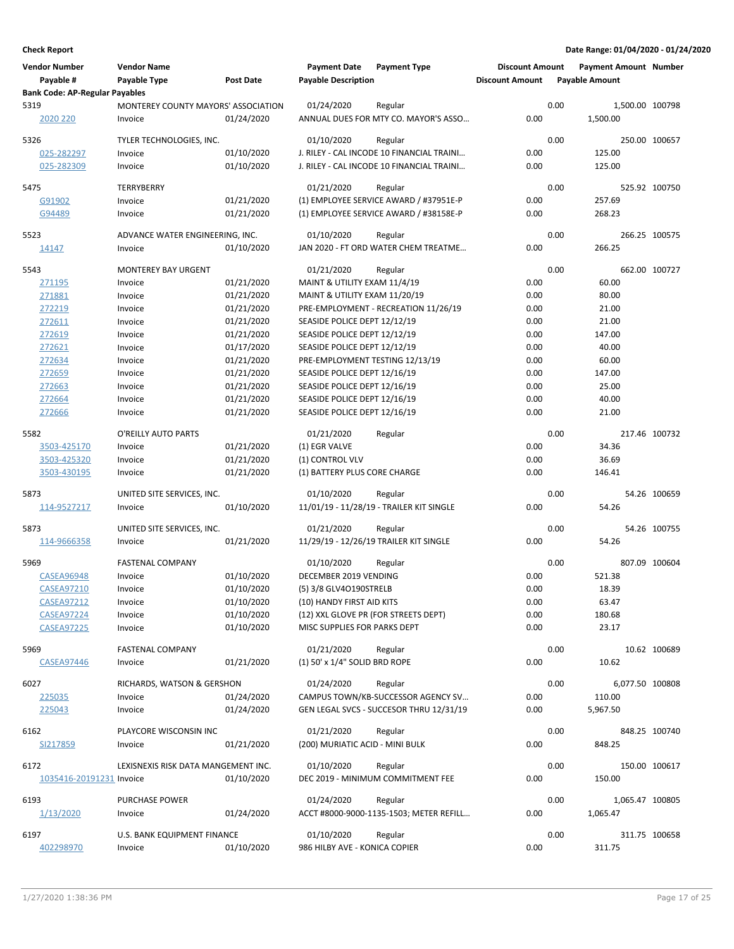| <b>Vendor Number</b><br>Payable #     | <b>Vendor Name</b><br>Payable Type             | <b>Post Date</b>         | <b>Payment Date</b><br><b>Payable Description</b> | <b>Payment Type</b>                                                              | <b>Discount Amount</b><br><b>Discount Amount</b> |      | <b>Payment Amount Number</b><br><b>Payable Amount</b> |               |
|---------------------------------------|------------------------------------------------|--------------------------|---------------------------------------------------|----------------------------------------------------------------------------------|--------------------------------------------------|------|-------------------------------------------------------|---------------|
| <b>Bank Code: AP-Regular Payables</b> |                                                |                          |                                                   |                                                                                  |                                                  |      |                                                       |               |
| 5319<br>2020 220                      | MONTEREY COUNTY MAYORS' ASSOCIATION<br>Invoice | 01/24/2020               | 01/24/2020                                        | Regular<br>ANNUAL DUES FOR MTY CO. MAYOR'S ASSO                                  | 0.00                                             | 0.00 | 1,500.00 100798<br>1,500.00                           |               |
| 5326                                  | TYLER TECHNOLOGIES, INC.                       |                          | 01/10/2020                                        | Regular                                                                          |                                                  | 0.00 |                                                       | 250.00 100657 |
| 025-282297                            | Invoice                                        | 01/10/2020               |                                                   | J. RILEY - CAL INCODE 10 FINANCIAL TRAINI                                        | 0.00                                             |      | 125.00                                                |               |
| 025-282309                            | Invoice                                        | 01/10/2020               |                                                   | J. RILEY - CAL INCODE 10 FINANCIAL TRAINI                                        | 0.00                                             |      | 125.00                                                |               |
|                                       |                                                |                          |                                                   |                                                                                  |                                                  |      |                                                       |               |
| 5475                                  | TERRYBERRY                                     |                          | 01/21/2020                                        | Regular                                                                          |                                                  | 0.00 |                                                       | 525.92 100750 |
| G91902<br>G94489                      | Invoice                                        | 01/21/2020<br>01/21/2020 |                                                   | (1) EMPLOYEE SERVICE AWARD / #37951E-P<br>(1) EMPLOYEE SERVICE AWARD / #38158E-P | 0.00<br>0.00                                     |      | 257.69<br>268.23                                      |               |
|                                       | Invoice                                        |                          |                                                   |                                                                                  |                                                  |      |                                                       |               |
| 5523                                  | ADVANCE WATER ENGINEERING, INC.                |                          | 01/10/2020                                        | Regular                                                                          |                                                  | 0.00 |                                                       | 266.25 100575 |
| 14147                                 | Invoice                                        | 01/10/2020               |                                                   | JAN 2020 - FT ORD WATER CHEM TREATME                                             | 0.00                                             |      | 266.25                                                |               |
| 5543                                  | <b>MONTEREY BAY URGENT</b>                     |                          | 01/21/2020                                        | Regular                                                                          |                                                  | 0.00 |                                                       | 662.00 100727 |
| 271195                                | Invoice                                        | 01/21/2020               | MAINT & UTILITY EXAM 11/4/19                      |                                                                                  | 0.00                                             |      | 60.00                                                 |               |
| 271881                                | Invoice                                        | 01/21/2020               | MAINT & UTILITY EXAM 11/20/19                     |                                                                                  | 0.00                                             |      | 80.00                                                 |               |
| 272219                                | Invoice                                        | 01/21/2020               |                                                   | PRE-EMPLOYMENT - RECREATION 11/26/19                                             | 0.00                                             |      | 21.00                                                 |               |
| 272611                                | Invoice                                        | 01/21/2020               | SEASIDE POLICE DEPT 12/12/19                      |                                                                                  | 0.00                                             |      | 21.00                                                 |               |
| 272619                                | Invoice                                        | 01/21/2020               | SEASIDE POLICE DEPT 12/12/19                      |                                                                                  | 0.00                                             |      | 147.00                                                |               |
| 272621                                | Invoice                                        | 01/17/2020               | SEASIDE POLICE DEPT 12/12/19                      |                                                                                  | 0.00                                             |      | 40.00                                                 |               |
| 272634                                | Invoice                                        | 01/21/2020               | PRE-EMPLOYMENT TESTING 12/13/19                   |                                                                                  | 0.00                                             |      | 60.00                                                 |               |
| 272659                                | Invoice                                        | 01/21/2020               | SEASIDE POLICE DEPT 12/16/19                      |                                                                                  | 0.00                                             |      | 147.00                                                |               |
| 272663                                | Invoice                                        | 01/21/2020               | SEASIDE POLICE DEPT 12/16/19                      |                                                                                  | 0.00                                             |      | 25.00                                                 |               |
| 272664                                | Invoice                                        | 01/21/2020               | SEASIDE POLICE DEPT 12/16/19                      |                                                                                  | 0.00                                             |      | 40.00                                                 |               |
| 272666                                | Invoice                                        | 01/21/2020               | SEASIDE POLICE DEPT 12/16/19                      |                                                                                  | 0.00                                             |      | 21.00                                                 |               |
|                                       |                                                |                          |                                                   |                                                                                  |                                                  |      |                                                       |               |
| 5582                                  | O'REILLY AUTO PARTS                            |                          | 01/21/2020                                        | Regular                                                                          |                                                  | 0.00 |                                                       | 217.46 100732 |
| 3503-425170                           | Invoice                                        | 01/21/2020               | (1) EGR VALVE                                     |                                                                                  | 0.00                                             |      | 34.36                                                 |               |
| 3503-425320                           | Invoice                                        | 01/21/2020               | (1) CONTROL VLV                                   |                                                                                  | 0.00                                             |      | 36.69                                                 |               |
| 3503-430195                           | Invoice                                        | 01/21/2020               | (1) BATTERY PLUS CORE CHARGE                      |                                                                                  | 0.00                                             |      | 146.41                                                |               |
| 5873                                  | UNITED SITE SERVICES, INC.                     |                          | 01/10/2020                                        | Regular                                                                          |                                                  | 0.00 |                                                       | 54.26 100659  |
| 114-9527217                           | Invoice                                        | 01/10/2020               |                                                   | 11/01/19 - 11/28/19 - TRAILER KIT SINGLE                                         | 0.00                                             |      | 54.26                                                 |               |
| 5873                                  | UNITED SITE SERVICES, INC.                     |                          | 01/21/2020                                        | Regular                                                                          |                                                  | 0.00 |                                                       | 54.26 100755  |
| 114-9666358                           | Invoice                                        | 01/21/2020               |                                                   | 11/29/19 - 12/26/19 TRAILER KIT SINGLE                                           | 0.00                                             |      | 54.26                                                 |               |
|                                       | <b>FASTENAL COMPANY</b>                        |                          |                                                   |                                                                                  |                                                  |      |                                                       |               |
| 5969                                  |                                                |                          | 01/10/2020<br>DECEMBER 2019 VENDING               | Regular                                                                          |                                                  | 0.00 |                                                       | 807.09 100604 |
| <b>CASEA96948</b>                     | Invoice                                        | 01/10/2020               | (5) 3/8 GLV4O190STRELB                            |                                                                                  | 0.00<br>0.00                                     |      | 521.38<br>18.39                                       |               |
| <b>CASEA97210</b>                     | Invoice                                        | 01/10/2020               |                                                   |                                                                                  |                                                  |      |                                                       |               |
| <b>CASEA97212</b>                     | Invoice                                        | 01/10/2020               | (10) HANDY FIRST AID KITS                         |                                                                                  | 0.00                                             |      | 63.47                                                 |               |
| <b>CASEA97224</b>                     | Invoice                                        | 01/10/2020               |                                                   | (12) XXL GLOVE PR (FOR STREETS DEPT)                                             | 0.00                                             |      | 180.68                                                |               |
| <b>CASEA97225</b>                     | Invoice                                        | 01/10/2020               | MISC SUPPLIES FOR PARKS DEPT                      |                                                                                  | 0.00                                             |      | 23.17                                                 |               |
| 5969                                  | FASTENAL COMPANY                               |                          | 01/21/2020                                        | Regular                                                                          |                                                  | 0.00 |                                                       | 10.62 100689  |
| <b>CASEA97446</b>                     | Invoice                                        | 01/21/2020               | (1) 50' x 1/4" SOLID BRD ROPE                     |                                                                                  | 0.00                                             |      | 10.62                                                 |               |
| 6027                                  | RICHARDS, WATSON & GERSHON                     |                          | 01/24/2020                                        | Regular                                                                          |                                                  | 0.00 | 6,077.50 100808                                       |               |
| 225035                                | Invoice                                        | 01/24/2020               |                                                   | CAMPUS TOWN/KB-SUCCESSOR AGENCY SV                                               | 0.00                                             |      | 110.00                                                |               |
| 225043                                | Invoice                                        | 01/24/2020               |                                                   | GEN LEGAL SVCS - SUCCESOR THRU 12/31/19                                          | 0.00                                             |      | 5,967.50                                              |               |
|                                       | PLAYCORE WISCONSIN INC                         |                          | 01/21/2020                                        |                                                                                  |                                                  | 0.00 |                                                       | 848.25 100740 |
| 6162                                  |                                                |                          |                                                   | Regular                                                                          |                                                  |      |                                                       |               |
| SI217859                              | Invoice                                        | 01/21/2020               | (200) MURIATIC ACID - MINI BULK                   |                                                                                  | 0.00                                             |      | 848.25                                                |               |
| 6172                                  | LEXISNEXIS RISK DATA MANGEMENT INC.            |                          | 01/10/2020                                        | Regular                                                                          |                                                  | 0.00 |                                                       | 150.00 100617 |
| 1035416-20191231 Invoice              |                                                | 01/10/2020               |                                                   | DEC 2019 - MINIMUM COMMITMENT FEE                                                | 0.00                                             |      | 150.00                                                |               |
|                                       |                                                |                          |                                                   |                                                                                  |                                                  |      |                                                       |               |
| 6193                                  | PURCHASE POWER                                 |                          | 01/24/2020                                        | Regular                                                                          |                                                  | 0.00 | 1,065.47 100805                                       |               |
| 1/13/2020                             | Invoice                                        | 01/24/2020               |                                                   | ACCT #8000-9000-1135-1503; METER REFILL                                          | 0.00                                             |      | 1,065.47                                              |               |
| 6197                                  | U.S. BANK EQUIPMENT FINANCE                    |                          | 01/10/2020                                        | Regular                                                                          |                                                  | 0.00 |                                                       | 311.75 100658 |
| 402298970                             | Invoice                                        | 01/10/2020               | 986 HILBY AVE - KONICA COPIER                     |                                                                                  | 0.00                                             |      | 311.75                                                |               |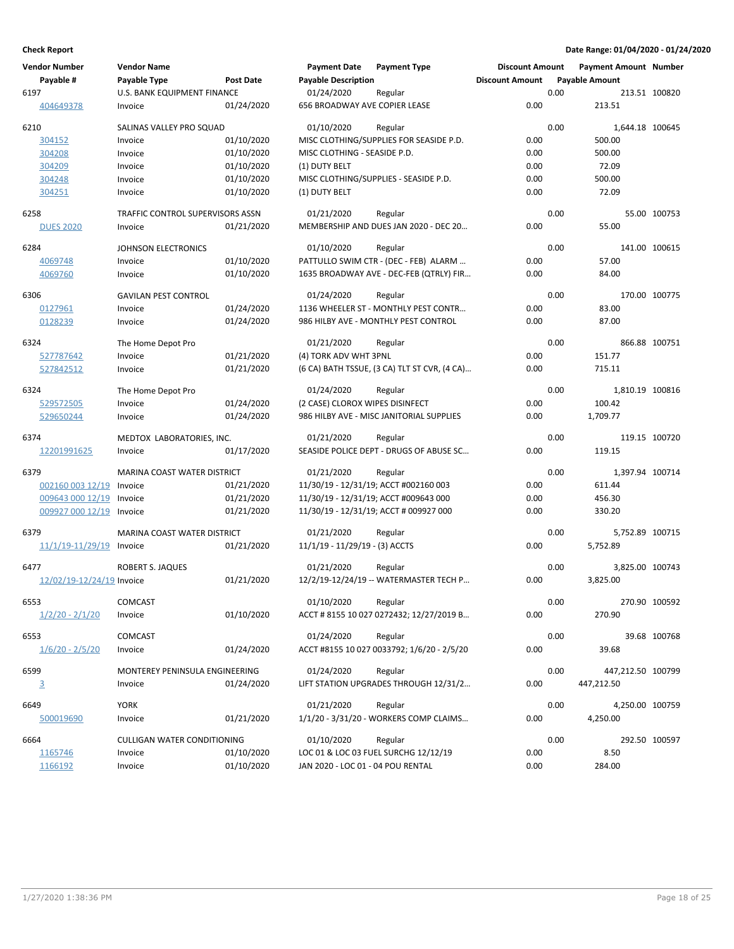| <b>Vendor Number</b>      | <b>Vendor Name</b>                 |                  | <b>Payment Date</b>                  | <b>Payment Type</b>                          | <b>Discount Amount</b> | <b>Payment Amount Number</b> |                 |
|---------------------------|------------------------------------|------------------|--------------------------------------|----------------------------------------------|------------------------|------------------------------|-----------------|
| Payable #                 | Payable Type                       | <b>Post Date</b> | <b>Payable Description</b>           |                                              | <b>Discount Amount</b> | <b>Payable Amount</b>        |                 |
| 6197                      | U.S. BANK EQUIPMENT FINANCE        |                  | 01/24/2020                           | Regular                                      |                        | 0.00                         | 213.51 100820   |
| 404649378                 | Invoice                            | 01/24/2020       | <b>656 BROADWAY AVE COPIER LEASE</b> |                                              | 0.00                   | 213.51                       |                 |
| 6210                      | SALINAS VALLEY PRO SQUAD           |                  | 01/10/2020                           | Regular                                      |                        | 0.00<br>1,644.18 100645      |                 |
| 304152                    | Invoice                            | 01/10/2020       |                                      | MISC CLOTHING/SUPPLIES FOR SEASIDE P.D.      | 0.00                   | 500.00                       |                 |
| 304208                    | Invoice                            | 01/10/2020       | MISC CLOTHING - SEASIDE P.D.         |                                              | 0.00                   | 500.00                       |                 |
| 304209                    | Invoice                            | 01/10/2020       | (1) DUTY BELT                        |                                              | 0.00                   | 72.09                        |                 |
| 304248                    | Invoice                            | 01/10/2020       |                                      | MISC CLOTHING/SUPPLIES - SEASIDE P.D.        | 0.00                   | 500.00                       |                 |
| 304251                    | Invoice                            | 01/10/2020       | (1) DUTY BELT                        |                                              | 0.00                   | 72.09                        |                 |
| 6258                      | TRAFFIC CONTROL SUPERVISORS ASSN   |                  | 01/21/2020                           | Regular                                      |                        | 0.00                         | 55.00 100753    |
| <b>DUES 2020</b>          | Invoice                            | 01/21/2020       |                                      | MEMBERSHIP AND DUES JAN 2020 - DEC 20        | 0.00                   | 55.00                        |                 |
| 6284                      | JOHNSON ELECTRONICS                |                  | 01/10/2020                           | Regular                                      |                        | 0.00                         | 141.00 100615   |
| 4069748                   | Invoice                            | 01/10/2020       |                                      | PATTULLO SWIM CTR - (DEC - FEB) ALARM        | 0.00                   | 57.00                        |                 |
| 4069760                   | Invoice                            | 01/10/2020       |                                      | 1635 BROADWAY AVE - DEC-FEB (QTRLY) FIR      | 0.00                   | 84.00                        |                 |
| 6306                      | <b>GAVILAN PEST CONTROL</b>        |                  | 01/24/2020                           | Regular                                      |                        | 0.00                         | 170.00 100775   |
| 0127961                   | Invoice                            | 01/24/2020       |                                      | 1136 WHEELER ST - MONTHLY PEST CONTR         | 0.00                   | 83.00                        |                 |
| 0128239                   | Invoice                            | 01/24/2020       |                                      | 986 HILBY AVE - MONTHLY PEST CONTROL         | 0.00                   | 87.00                        |                 |
| 6324                      | The Home Depot Pro                 |                  | 01/21/2020                           | Regular                                      |                        | 0.00                         | 866.88 100751   |
| 527787642                 | Invoice                            | 01/21/2020       | (4) TORK ADV WHT 3PNL                |                                              | 0.00                   | 151.77                       |                 |
| 527842512                 | Invoice                            | 01/21/2020       |                                      | (6 CA) BATH TSSUE, (3 CA) TLT ST CVR, (4 CA) | 0.00                   | 715.11                       |                 |
| 6324                      | The Home Depot Pro                 |                  | 01/24/2020                           | Regular                                      |                        | 0.00<br>1,810.19 100816      |                 |
| 529572505                 | Invoice                            | 01/24/2020       | (2 CASE) CLOROX WIPES DISINFECT      |                                              | 0.00                   | 100.42                       |                 |
| 529650244                 | Invoice                            | 01/24/2020       |                                      | 986 HILBY AVE - MISC JANITORIAL SUPPLIES     | 0.00                   | 1,709.77                     |                 |
| 6374                      | MEDTOX LABORATORIES, INC.          |                  | 01/21/2020                           | Regular                                      |                        | 0.00                         | 119.15 100720   |
| 12201991625               | Invoice                            | 01/17/2020       |                                      | SEASIDE POLICE DEPT - DRUGS OF ABUSE SC      | 0.00                   | 119.15                       |                 |
| 6379                      | <b>MARINA COAST WATER DISTRICT</b> |                  | 01/21/2020                           | Regular                                      |                        | 0.00<br>1,397.94 100714      |                 |
| 002160 003 12/19          | Invoice                            | 01/21/2020       |                                      | 11/30/19 - 12/31/19; ACCT #002160 003        | 0.00                   | 611.44                       |                 |
| 009643 000 12/19          | Invoice                            | 01/21/2020       |                                      | 11/30/19 - 12/31/19; ACCT #009643 000        | 0.00                   | 456.30                       |                 |
| 009927 000 12/19          | Invoice                            | 01/21/2020       |                                      | 11/30/19 - 12/31/19; ACCT # 009927 000       | 0.00                   | 330.20                       |                 |
| 6379                      | <b>MARINA COAST WATER DISTRICT</b> |                  | 01/21/2020                           | Regular                                      |                        | 0.00<br>5,752.89 100715      |                 |
| 11/1/19-11/29/19          | Invoice                            | 01/21/2020       | $11/1/19 - 11/29/19 - (3)$ ACCTS     |                                              | 0.00                   | 5,752.89                     |                 |
| 6477                      | <b>ROBERT S. JAQUES</b>            |                  | 01/21/2020                           | Regular                                      |                        | 0.00                         | 3,825.00 100743 |
| 12/02/19-12/24/19 Invoice |                                    | 01/21/2020       |                                      | 12/2/19-12/24/19 -- WATERMASTER TECH P       | 0.00                   | 3,825.00                     |                 |
| 6553                      | COMCAST                            |                  | 01/10/2020 Regular                   |                                              |                        | 0.00                         | 270.90 100592   |
| $1/2/20 - 2/1/20$         | Invoice                            | 01/10/2020       |                                      | ACCT # 8155 10 027 0272432; 12/27/2019 B     | 0.00                   | 270.90                       |                 |
| 6553                      | <b>COMCAST</b>                     |                  | 01/24/2020                           | Regular                                      |                        | 0.00                         | 39.68 100768    |
| $1/6/20 - 2/5/20$         | Invoice                            | 01/24/2020       |                                      | ACCT #8155 10 027 0033792; 1/6/20 - 2/5/20   | 0.00                   | 39.68                        |                 |
| 6599                      | MONTEREY PENINSULA ENGINEERING     |                  | 01/24/2020                           | Regular                                      |                        | 0.00<br>447,212.50 100799    |                 |
| $\overline{3}$            | Invoice                            | 01/24/2020       |                                      | LIFT STATION UPGRADES THROUGH 12/31/2        | 0.00                   | 447,212.50                   |                 |
| 6649                      | <b>YORK</b>                        |                  | 01/21/2020                           | Regular                                      |                        | 0.00                         | 4,250.00 100759 |
| 500019690                 | Invoice                            | 01/21/2020       |                                      | 1/1/20 - 3/31/20 - WORKERS COMP CLAIMS       | 0.00                   | 4,250.00                     |                 |
| 6664                      | CULLIGAN WATER CONDITIONING        |                  | 01/10/2020                           | Regular                                      |                        | 0.00                         | 292.50 100597   |
| 1165746                   | Invoice                            | 01/10/2020       |                                      | LOC 01 & LOC 03 FUEL SURCHG 12/12/19         | 0.00                   | 8.50                         |                 |
| 1166192                   | Invoice                            | 01/10/2020       | JAN 2020 - LOC 01 - 04 POU RENTAL    |                                              | 0.00                   | 284.00                       |                 |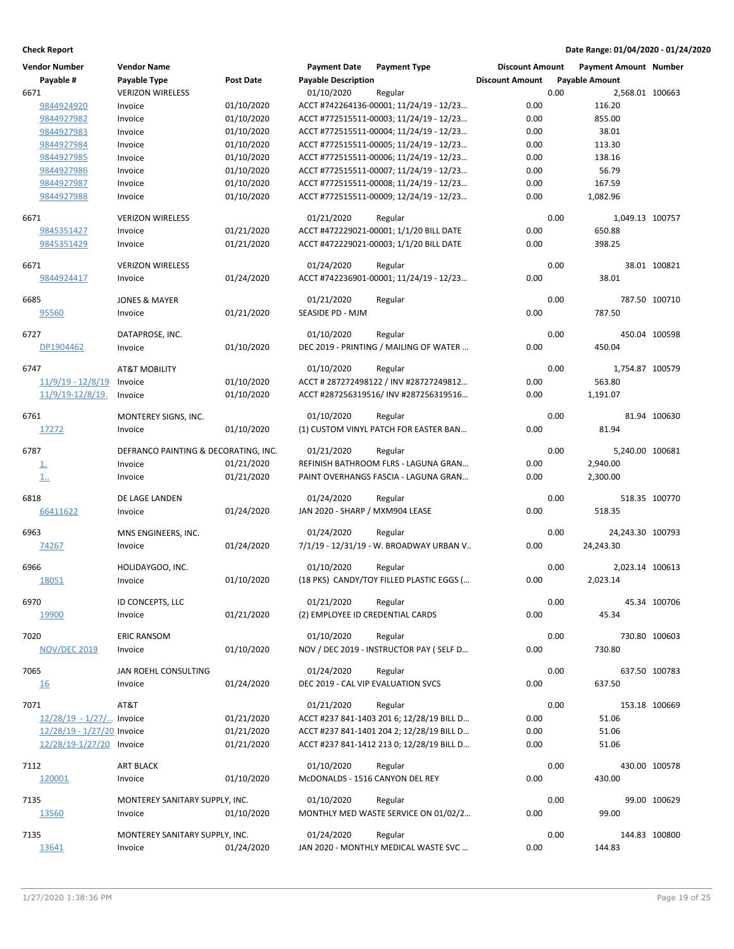| <b>Vendor Number</b>       | <b>Vendor Name</b>                   |            | <b>Payment Date</b>                | <b>Payment Type</b>                       | <b>Discount Amount</b> |      | Payment Amount Number |               |
|----------------------------|--------------------------------------|------------|------------------------------------|-------------------------------------------|------------------------|------|-----------------------|---------------|
| Payable #                  | Payable Type                         | Post Date  | <b>Payable Description</b>         |                                           | <b>Discount Amount</b> |      | <b>Payable Amount</b> |               |
| 6671                       | <b>VERIZON WIRELESS</b>              |            | 01/10/2020                         | Regular                                   |                        | 0.00 | 2,568.01 100663       |               |
| 9844924920                 | Invoice                              | 01/10/2020 |                                    | ACCT #742264136-00001; 11/24/19 - 12/23   | 0.00                   |      | 116.20                |               |
| 9844927982                 | Invoice                              | 01/10/2020 |                                    | ACCT #772515511-00003; 11/24/19 - 12/23   | 0.00                   |      | 855.00                |               |
| 9844927983                 | Invoice                              | 01/10/2020 |                                    | ACCT #772515511-00004; 11/24/19 - 12/23   | 0.00                   |      | 38.01                 |               |
| 9844927984                 | Invoice                              | 01/10/2020 |                                    | ACCT #772515511-00005; 11/24/19 - 12/23   | 0.00                   |      | 113.30                |               |
| 9844927985                 | Invoice                              | 01/10/2020 |                                    | ACCT #772515511-00006; 11/24/19 - 12/23   | 0.00                   |      | 138.16                |               |
| 9844927986                 | Invoice                              | 01/10/2020 |                                    | ACCT #772515511-00007; 11/24/19 - 12/23   | 0.00                   |      | 56.79                 |               |
| 9844927987                 | Invoice                              | 01/10/2020 |                                    | ACCT #772515511-00008; 11/24/19 - 12/23   | 0.00                   |      | 167.59                |               |
| 9844927988                 | Invoice                              | 01/10/2020 |                                    | ACCT #772515511-00009; 12/24/19 - 12/23   | 0.00                   |      | 1,082.96              |               |
|                            |                                      |            |                                    |                                           |                        |      |                       |               |
| 6671                       | <b>VERIZON WIRELESS</b>              |            | 01/21/2020                         | Regular                                   |                        | 0.00 | 1.049.13 100757       |               |
| 9845351427                 | Invoice                              | 01/21/2020 |                                    | ACCT #472229021-00001; 1/1/20 BILL DATE   | 0.00                   |      | 650.88                |               |
| 9845351429                 | Invoice                              | 01/21/2020 |                                    | ACCT #472229021-00003; 1/1/20 BILL DATE   | 0.00                   |      | 398.25                |               |
| 6671                       | <b>VERIZON WIRELESS</b>              |            | 01/24/2020                         | Regular                                   |                        | 0.00 |                       | 38.01 100821  |
| 9844924417                 | Invoice                              | 01/24/2020 |                                    | ACCT #742236901-00001; 11/24/19 - 12/23   | 0.00                   |      | 38.01                 |               |
|                            |                                      |            |                                    |                                           |                        |      |                       |               |
| 6685                       | <b>JONES &amp; MAYER</b>             |            | 01/21/2020                         | Regular                                   |                        | 0.00 |                       | 787.50 100710 |
| 95560                      | Invoice                              | 01/21/2020 | SEASIDE PD - MJM                   |                                           | 0.00                   |      | 787.50                |               |
| 6727                       | DATAPROSE, INC.                      |            | 01/10/2020                         | Regular                                   |                        | 0.00 |                       | 450.04 100598 |
| DP1904462                  | Invoice                              | 01/10/2020 |                                    | DEC 2019 - PRINTING / MAILING OF WATER    | 0.00                   |      | 450.04                |               |
|                            |                                      |            |                                    |                                           |                        |      |                       |               |
| 6747                       | <b>AT&amp;T MOBILITY</b>             |            | 01/10/2020                         | Regular                                   |                        | 0.00 | 1,754.87 100579       |               |
| $11/9/19 - 12/8/19$        | Invoice                              | 01/10/2020 |                                    | ACCT # 287272498122 / INV #28727249812    | 0.00                   |      | 563.80                |               |
| 11/9/19-12/8/19.           | Invoice                              | 01/10/2020 |                                    | ACCT #287256319516/ INV #287256319516     | 0.00                   |      | 1,191.07              |               |
| 6761                       | MONTEREY SIGNS, INC.                 |            | 01/10/2020                         | Regular                                   |                        | 0.00 |                       | 81.94 100630  |
| 17272                      | Invoice                              | 01/10/2020 |                                    | (1) CUSTOM VINYL PATCH FOR EASTER BAN     | 0.00                   |      | 81.94                 |               |
|                            |                                      |            |                                    |                                           |                        |      |                       |               |
| 6787                       | DEFRANCO PAINTING & DECORATING, INC. |            | 01/21/2020                         | Regular                                   |                        | 0.00 | 5,240.00 100681       |               |
| <u>1.</u>                  | Invoice                              | 01/21/2020 |                                    | REFINISH BATHROOM FLRS - LAGUNA GRAN      | 0.00                   |      | 2,940.00              |               |
| 1.                         | Invoice                              | 01/21/2020 |                                    | PAINT OVERHANGS FASCIA - LAGUNA GRAN      | 0.00                   |      | 2,300.00              |               |
|                            |                                      |            |                                    |                                           |                        |      |                       |               |
| 6818                       | DE LAGE LANDEN                       |            | 01/24/2020                         | Regular                                   |                        | 0.00 |                       | 518.35 100770 |
| 66411622                   | Invoice                              | 01/24/2020 | JAN 2020 - SHARP / MXM904 LEASE    |                                           | 0.00                   |      | 518.35                |               |
| 6963                       | MNS ENGINEERS, INC.                  |            | 01/24/2020                         | Regular                                   |                        | 0.00 | 24,243.30 100793      |               |
| 74267                      | Invoice                              | 01/24/2020 |                                    | 7/1/19 - 12/31/19 - W. BROADWAY URBAN V   | 0.00                   |      | 24,243.30             |               |
|                            |                                      |            |                                    |                                           |                        |      |                       |               |
| 6966                       | HOLIDAYGOO, INC.                     |            | 01/10/2020                         | Regular                                   |                        | 0.00 | 2,023.14 100613       |               |
| 18051                      | Invoice                              | 01/10/2020 |                                    | (18 PKS) CANDY/TOY FILLED PLASTIC EGGS (  | 0.00                   |      | 2,023.14              |               |
| 6970                       | ID CONCEPTS, LLC                     |            | 01/21/2020                         | Regular                                   |                        | 0.00 |                       | 45.34 100706  |
| 19900                      | Invoice                              | 01/21/2020 | (2) EMPLOYEE ID CREDENTIAL CARDS   |                                           | 0.00                   |      | 45.34                 |               |
|                            |                                      |            |                                    |                                           |                        |      |                       |               |
| 7020                       | <b>ERIC RANSOM</b>                   |            | 01/10/2020                         | Regular                                   |                        | 0.00 |                       | 730.80 100603 |
| <b>NOV/DEC 2019</b>        | Invoice                              | 01/10/2020 |                                    | NOV / DEC 2019 - INSTRUCTOR PAY (SELF D   | 0.00                   |      | 730.80                |               |
|                            |                                      |            |                                    |                                           |                        |      |                       |               |
| 7065                       | JAN ROEHL CONSULTING                 |            | 01/24/2020                         | Regular                                   |                        | 0.00 |                       | 637.50 100783 |
| <u>16</u>                  | Invoice                              | 01/24/2020 | DEC 2019 - CAL VIP EVALUATION SVCS |                                           | 0.00                   |      | 637.50                |               |
| 7071                       | AT&T                                 |            | 01/21/2020                         | Regular                                   |                        | 0.00 |                       | 153.18 100669 |
| 12/28/19 - 1/27/ Invoice   |                                      | 01/21/2020 |                                    | ACCT #237 841-1403 201 6; 12/28/19 BILL D | 0.00                   |      | 51.06                 |               |
| 12/28/19 - 1/27/20 Invoice |                                      | 01/21/2020 |                                    | ACCT #237 841-1401 204 2; 12/28/19 BILL D | 0.00                   |      | 51.06                 |               |
| 12/28/19-1/27/20 Invoice   |                                      | 01/21/2020 |                                    | ACCT #237 841-1412 213 0; 12/28/19 BILL D | 0.00                   |      | 51.06                 |               |
|                            |                                      |            |                                    |                                           |                        |      |                       |               |
| 7112                       | <b>ART BLACK</b>                     |            | 01/10/2020                         | Regular                                   |                        | 0.00 |                       | 430.00 100578 |
| 120001                     | Invoice                              | 01/10/2020 | McDONALDS - 1516 CANYON DEL REY    |                                           | 0.00                   |      | 430.00                |               |
| 7135                       | MONTEREY SANITARY SUPPLY, INC.       |            | 01/10/2020                         | Regular                                   |                        | 0.00 |                       | 99.00 100629  |
| 13560                      | Invoice                              | 01/10/2020 |                                    | MONTHLY MED WASTE SERVICE ON 01/02/2      | 0.00                   |      | 99.00                 |               |
|                            |                                      |            |                                    |                                           |                        |      |                       |               |
| 7135                       | MONTEREY SANITARY SUPPLY, INC.       |            | 01/24/2020                         | Regular                                   |                        | 0.00 |                       | 144.83 100800 |
| 13641                      | Invoice                              | 01/24/2020 |                                    | JAN 2020 - MONTHLY MEDICAL WASTE SVC      | 0.00                   |      | 144.83                |               |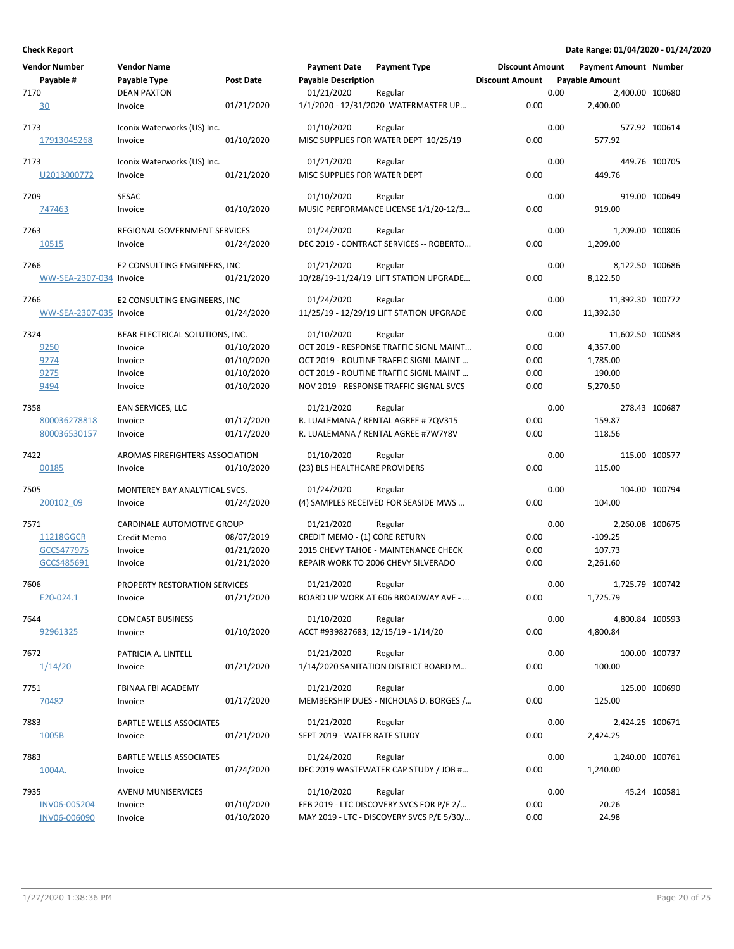| <b>Vendor Number</b>    | <b>Vendor Name</b>                      |                          | <b>Payment Date</b>                 | <b>Payment Type</b>                                                               | <b>Discount Amount</b> |      | <b>Payment Amount Number</b> |               |
|-------------------------|-----------------------------------------|--------------------------|-------------------------------------|-----------------------------------------------------------------------------------|------------------------|------|------------------------------|---------------|
| Payable #               | Payable Type                            | Post Date                | <b>Payable Description</b>          |                                                                                   | <b>Discount Amount</b> |      | <b>Payable Amount</b>        |               |
| 7170                    | <b>DEAN PAXTON</b>                      |                          | 01/21/2020                          | Regular                                                                           |                        | 0.00 | 2,400.00 100680              |               |
| 30                      | Invoice                                 | 01/21/2020               |                                     | 1/1/2020 - 12/31/2020 WATERMASTER UP                                              | 0.00                   |      | 2,400.00                     |               |
| 7173                    | Iconix Waterworks (US) Inc.             |                          | 01/10/2020                          | Regular                                                                           |                        | 0.00 |                              | 577.92 100614 |
| 17913045268             | Invoice                                 | 01/10/2020               |                                     | MISC SUPPLIES FOR WATER DEPT 10/25/19                                             | 0.00                   |      | 577.92                       |               |
|                         |                                         |                          |                                     |                                                                                   |                        |      |                              |               |
| 7173                    | Iconix Waterworks (US) Inc.             |                          | 01/21/2020                          | Regular                                                                           |                        | 0.00 |                              | 449.76 100705 |
| U2013000772             | Invoice                                 | 01/21/2020               | MISC SUPPLIES FOR WATER DEPT        |                                                                                   | 0.00                   |      | 449.76                       |               |
| 7209                    | SESAC                                   |                          | 01/10/2020                          | Regular                                                                           |                        | 0.00 |                              | 919.00 100649 |
| 747463                  | Invoice                                 | 01/10/2020               |                                     | MUSIC PERFORMANCE LICENSE 1/1/20-12/3                                             | 0.00                   |      | 919.00                       |               |
|                         |                                         |                          |                                     |                                                                                   |                        |      |                              |               |
| 7263<br>10515           | REGIONAL GOVERNMENT SERVICES<br>Invoice | 01/24/2020               | 01/24/2020                          | Regular<br>DEC 2019 - CONTRACT SERVICES -- ROBERTO                                | 0.00                   | 0.00 | 1,209.00 100806<br>1,209.00  |               |
|                         |                                         |                          |                                     |                                                                                   |                        |      |                              |               |
| 7266                    | E2 CONSULTING ENGINEERS, INC            |                          | 01/21/2020                          | Regular                                                                           |                        | 0.00 | 8,122.50 100686              |               |
| WW-SEA-2307-034 Invoice |                                         | 01/21/2020               |                                     | 10/28/19-11/24/19 LIFT STATION UPGRADE                                            | 0.00                   |      | 8,122.50                     |               |
| 7266                    | E2 CONSULTING ENGINEERS, INC            |                          | 01/24/2020                          | Regular                                                                           |                        | 0.00 | 11,392.30 100772             |               |
| WW-SEA-2307-035 Invoice |                                         | 01/24/2020               |                                     | 11/25/19 - 12/29/19 LIFT STATION UPGRADE                                          | 0.00                   |      | 11,392.30                    |               |
|                         |                                         |                          |                                     |                                                                                   |                        |      |                              |               |
| 7324                    | BEAR ELECTRICAL SOLUTIONS, INC.         |                          | 01/10/2020                          | Regular                                                                           |                        | 0.00 | 11,602.50 100583             |               |
| 9250                    | Invoice                                 | 01/10/2020               |                                     | OCT 2019 - RESPONSE TRAFFIC SIGNL MAINT                                           | 0.00                   |      | 4,357.00                     |               |
| 9274                    | Invoice                                 | 01/10/2020               |                                     | OCT 2019 - ROUTINE TRAFFIC SIGNL MAINT                                            | 0.00                   |      | 1,785.00                     |               |
| 9275<br>9494            | Invoice<br>Invoice                      | 01/10/2020<br>01/10/2020 |                                     | OCT 2019 - ROUTINE TRAFFIC SIGNL MAINT<br>NOV 2019 - RESPONSE TRAFFIC SIGNAL SVCS | 0.00<br>0.00           |      | 190.00<br>5,270.50           |               |
|                         |                                         |                          |                                     |                                                                                   |                        |      |                              |               |
| 7358                    | EAN SERVICES, LLC                       |                          | 01/21/2020                          | Regular                                                                           |                        | 0.00 |                              | 278.43 100687 |
| 800036278818            | Invoice                                 | 01/17/2020               |                                     | R. LUALEMANA / RENTAL AGREE # 7QV315                                              | 0.00                   |      | 159.87                       |               |
| 800036530157            | Invoice                                 | 01/17/2020               |                                     | R. LUALEMANA / RENTAL AGREE #7W7Y8V                                               | 0.00                   |      | 118.56                       |               |
| 7422                    | AROMAS FIREFIGHTERS ASSOCIATION         |                          | 01/10/2020                          | Regular                                                                           |                        | 0.00 |                              | 115.00 100577 |
| 00185                   | Invoice                                 | 01/10/2020               | (23) BLS HEALTHCARE PROVIDERS       |                                                                                   | 0.00                   |      | 115.00                       |               |
|                         |                                         |                          |                                     |                                                                                   |                        |      |                              |               |
| 7505                    | MONTEREY BAY ANALYTICAL SVCS.           |                          | 01/24/2020                          | Regular                                                                           |                        | 0.00 |                              | 104.00 100794 |
| 200102 09               | Invoice                                 | 01/24/2020               |                                     | (4) SAMPLES RECEIVED FOR SEASIDE MWS                                              | 0.00                   |      | 104.00                       |               |
| 7571                    | CARDINALE AUTOMOTIVE GROUP              |                          | 01/21/2020                          | Regular                                                                           |                        | 0.00 | 2,260.08 100675              |               |
| 11218GGCR               | Credit Memo                             | 08/07/2019               | CREDIT MEMO - (1) CORE RETURN       |                                                                                   | 0.00                   |      | $-109.25$                    |               |
| GCCS477975              | Invoice                                 | 01/21/2020               |                                     | 2015 CHEVY TAHOE - MAINTENANCE CHECK                                              | 0.00                   |      | 107.73                       |               |
| GCCS485691              | Invoice                                 | 01/21/2020               |                                     | REPAIR WORK TO 2006 CHEVY SILVERADO                                               | 0.00                   |      | 2,261.60                     |               |
| 7606                    | PROPERTY RESTORATION SERVICES           |                          | 01/21/2020                          | Regular                                                                           |                        | 0.00 | 1,725.79 100742              |               |
| E20-024.1               | Invoice                                 | 01/21/2020               |                                     | BOARD UP WORK AT 606 BROADWAY AVE -                                               | 0.00                   |      | 1,725.79                     |               |
|                         |                                         |                          |                                     |                                                                                   |                        |      |                              |               |
| 7644                    | <b>COMCAST BUSINESS</b>                 |                          | 01/10/2020                          | Regular                                                                           |                        | 0.00 | 4,800.84 100593              |               |
| 92961325                | Invoice                                 | 01/10/2020               | ACCT #939827683; 12/15/19 - 1/14/20 |                                                                                   | 0.00                   |      | 4,800.84                     |               |
| 7672                    | PATRICIA A. LINTELL                     |                          | 01/21/2020                          | Regular                                                                           |                        | 0.00 |                              | 100.00 100737 |
| 1/14/20                 | Invoice                                 | 01/21/2020               |                                     | 1/14/2020 SANITATION DISTRICT BOARD M                                             | 0.00                   |      | 100.00                       |               |
|                         |                                         |                          |                                     |                                                                                   |                        |      |                              |               |
| 7751                    | FBINAA FBI ACADEMY                      |                          | 01/21/2020                          | Regular                                                                           |                        | 0.00 |                              | 125.00 100690 |
| 70482                   | Invoice                                 | 01/17/2020               |                                     | MEMBERSHIP DUES - NICHOLAS D. BORGES /                                            | 0.00                   |      | 125.00                       |               |
| 7883                    | BARTLE WELLS ASSOCIATES                 |                          | 01/21/2020                          | Regular                                                                           |                        | 0.00 | 2,424.25 100671              |               |
| 1005B                   | Invoice                                 | 01/21/2020               | SEPT 2019 - WATER RATE STUDY        |                                                                                   | 0.00                   |      | 2,424.25                     |               |
|                         |                                         |                          |                                     |                                                                                   |                        |      |                              |               |
| 7883<br>1004A.          | BARTLE WELLS ASSOCIATES                 |                          | 01/24/2020                          | Regular<br>DEC 2019 WASTEWATER CAP STUDY / JOB #                                  | 0.00                   | 0.00 | 1,240.00 100761              |               |
|                         | Invoice                                 | 01/24/2020               |                                     |                                                                                   |                        |      | 1,240.00                     |               |
| 7935                    | AVENU MUNISERVICES                      |                          | 01/10/2020                          | Regular                                                                           |                        | 0.00 |                              | 45.24 100581  |
| INV06-005204            | Invoice                                 | 01/10/2020               |                                     | FEB 2019 - LTC DISCOVERY SVCS FOR P/E 2/                                          | 0.00                   |      | 20.26                        |               |
| INV06-006090            | Invoice                                 | 01/10/2020               |                                     | MAY 2019 - LTC - DISCOVERY SVCS P/E 5/30/                                         | 0.00                   |      | 24.98                        |               |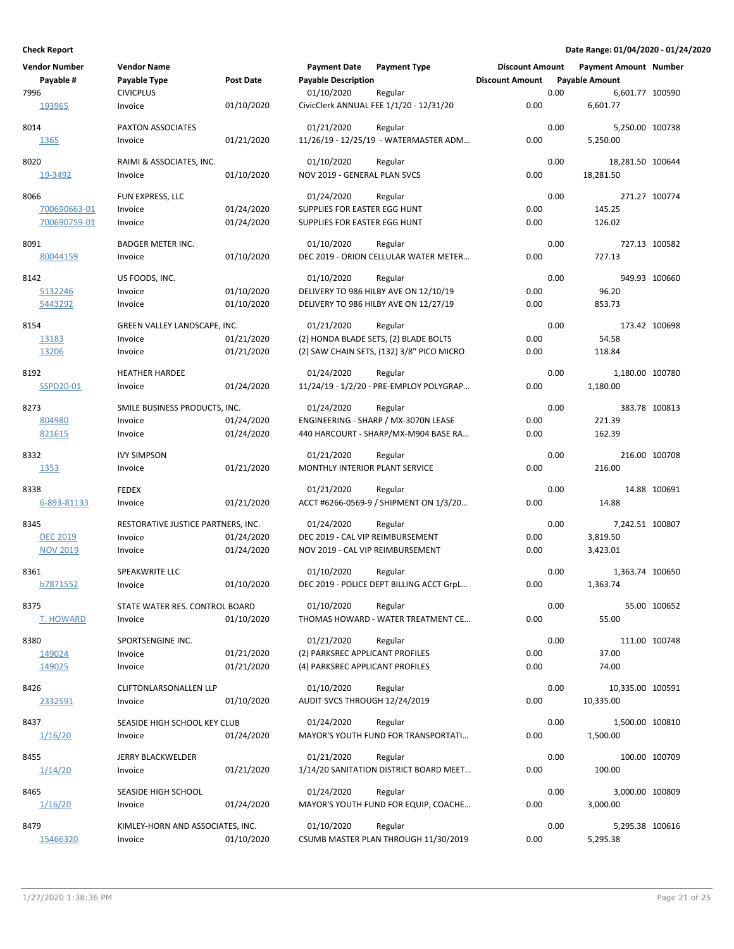| <b>Vendor Number</b> | <b>Vendor Name</b>                 |                  | <b>Payment Date</b>              | <b>Payment Type</b>                           | <b>Discount Amount</b> |      | <b>Payment Amount Number</b> |               |
|----------------------|------------------------------------|------------------|----------------------------------|-----------------------------------------------|------------------------|------|------------------------------|---------------|
| Payable #            | Payable Type                       | <b>Post Date</b> | <b>Payable Description</b>       |                                               | <b>Discount Amount</b> |      | <b>Payable Amount</b>        |               |
| 7996                 | <b>CIVICPLUS</b>                   |                  | 01/10/2020                       | Regular                                       |                        | 0.00 | 6,601.77 100590              |               |
| 193965               | Invoice                            | 01/10/2020       |                                  | CivicClerk ANNUAL FEE 1/1/20 - 12/31/20       | 0.00                   |      | 6,601.77                     |               |
| 8014                 | PAXTON ASSOCIATES                  |                  | 01/21/2020                       | Regular                                       |                        | 0.00 | 5,250.00 100738              |               |
| 1365                 | Invoice                            | 01/21/2020       |                                  | 11/26/19 - 12/25/19 - WATERMASTER ADM         | 0.00                   |      | 5,250.00                     |               |
|                      |                                    |                  |                                  |                                               |                        |      |                              |               |
| 8020                 | RAIMI & ASSOCIATES, INC.           |                  | 01/10/2020                       | Regular                                       |                        | 0.00 | 18,281.50 100644             |               |
| 19-3492              | Invoice                            | 01/10/2020       | NOV 2019 - GENERAL PLAN SVCS     |                                               | 0.00                   |      | 18,281.50                    |               |
| 8066                 | FUN EXPRESS, LLC                   |                  | 01/24/2020                       | Regular                                       |                        | 0.00 |                              | 271.27 100774 |
| 700690663-01         | Invoice                            | 01/24/2020       | SUPPLIES FOR EASTER EGG HUNT     |                                               | 0.00                   |      | 145.25                       |               |
| 700690759-01         | Invoice                            | 01/24/2020       | SUPPLIES FOR EASTER EGG HUNT     |                                               | 0.00                   |      | 126.02                       |               |
| 8091                 | <b>BADGER METER INC.</b>           |                  | 01/10/2020                       | Regular                                       |                        | 0.00 |                              | 727.13 100582 |
| 80044159             | Invoice                            | 01/10/2020       |                                  | DEC 2019 - ORION CELLULAR WATER METER         | 0.00                   |      | 727.13                       |               |
| 8142                 | US FOODS, INC.                     |                  | 01/10/2020                       | Regular                                       |                        | 0.00 |                              | 949.93 100660 |
| 5132246              | Invoice                            | 01/10/2020       |                                  | DELIVERY TO 986 HILBY AVE ON 12/10/19         | 0.00                   |      | 96.20                        |               |
| 5443292              | Invoice                            | 01/10/2020       |                                  | DELIVERY TO 986 HILBY AVE ON 12/27/19         | 0.00                   |      | 853.73                       |               |
|                      |                                    |                  |                                  |                                               |                        |      |                              |               |
| 8154                 | GREEN VALLEY LANDSCAPE, INC.       |                  | 01/21/2020                       | Regular                                       |                        | 0.00 |                              | 173.42 100698 |
| 13183                | Invoice                            | 01/21/2020       |                                  | (2) HONDA BLADE SETS, (2) BLADE BOLTS         | 0.00                   |      | 54.58                        |               |
| 13206                | Invoice                            | 01/21/2020       |                                  | (2) SAW CHAIN SETS, (132) 3/8" PICO MICRO     | 0.00                   |      | 118.84                       |               |
| 8192                 | <b>HEATHER HARDEE</b>              |                  | 01/24/2020                       | Regular                                       |                        | 0.00 | 1,180.00 100780              |               |
| SSPD20-01            | Invoice                            | 01/24/2020       |                                  | 11/24/19 - 1/2/20 - PRE-EMPLOY POLYGRAP       | 0.00                   |      | 1,180.00                     |               |
| 8273                 | SMILE BUSINESS PRODUCTS, INC.      |                  | 01/24/2020                       | Regular                                       |                        | 0.00 |                              | 383.78 100813 |
| 804980               | Invoice                            | 01/24/2020       |                                  | ENGINEERING - SHARP / MX-3070N LEASE          | 0.00                   |      | 221.39                       |               |
| 821615               | Invoice                            | 01/24/2020       |                                  | 440 HARCOURT - SHARP/MX-M904 BASE RA          | 0.00                   |      | 162.39                       |               |
| 8332                 | <b>IVY SIMPSON</b>                 |                  | 01/21/2020                       |                                               |                        | 0.00 |                              | 216.00 100708 |
| 1353                 | Invoice                            | 01/21/2020       | MONTHLY INTERIOR PLANT SERVICE   | Regular                                       | 0.00                   |      | 216.00                       |               |
|                      |                                    |                  |                                  |                                               |                        |      |                              |               |
| 8338                 | <b>FEDEX</b>                       |                  | 01/21/2020                       | Regular                                       |                        | 0.00 |                              | 14.88 100691  |
| 6-893-81133          | Invoice                            | 01/21/2020       |                                  | ACCT #6266-0569-9 / SHIPMENT ON 1/3/20        | 0.00                   |      | 14.88                        |               |
| 8345                 | RESTORATIVE JUSTICE PARTNERS, INC. |                  | 01/24/2020                       | Regular                                       |                        | 0.00 | 7,242.51 100807              |               |
| <b>DEC 2019</b>      | Invoice                            | 01/24/2020       | DEC 2019 - CAL VIP REIMBURSEMENT |                                               | 0.00                   |      | 3,819.50                     |               |
| <b>NOV 2019</b>      | Invoice                            | 01/24/2020       | NOV 2019 - CAL VIP REIMBURSEMENT |                                               | 0.00                   |      | 3,423.01                     |               |
| 8361                 | SPEAKWRITE LLC                     |                  | 01/10/2020                       | Regular                                       |                        | 0.00 | 1,363.74 100650              |               |
| b7871552             | Invoice                            | 01/10/2020       |                                  | DEC 2019 - POLICE DEPT BILLING ACCT GrpL      | 0.00                   |      | 1,363.74                     |               |
| 8375                 | STATE WATER RES. CONTROL BOARD     |                  | 01/10/2020                       |                                               |                        | 0.00 |                              | 55.00 100652  |
| <b>T. HOWARD</b>     | Invoice                            | 01/10/2020       |                                  | Regular<br>THOMAS HOWARD - WATER TREATMENT CE | 0.00                   |      | 55.00                        |               |
|                      |                                    |                  |                                  |                                               |                        |      |                              |               |
| 8380                 | SPORTSENGINE INC.                  |                  | 01/21/2020                       | Regular                                       |                        | 0.00 |                              | 111.00 100748 |
| 149024               | Invoice                            | 01/21/2020       | (2) PARKSREC APPLICANT PROFILES  |                                               | 0.00                   |      | 37.00                        |               |
| 149025               | Invoice                            | 01/21/2020       | (4) PARKSREC APPLICANT PROFILES  |                                               | 0.00                   |      | 74.00                        |               |
| 8426                 | <b>CLIFTONLARSONALLEN LLP</b>      |                  | 01/10/2020                       | Regular                                       |                        | 0.00 | 10,335.00 100591             |               |
| 2332591              | Invoice                            | 01/10/2020       | AUDIT SVCS THROUGH 12/24/2019    |                                               | 0.00                   |      | 10,335.00                    |               |
| 8437                 | SEASIDE HIGH SCHOOL KEY CLUB       |                  | 01/24/2020                       | Regular                                       |                        | 0.00 | 1,500.00 100810              |               |
| 1/16/20              | Invoice                            | 01/24/2020       |                                  | MAYOR'S YOUTH FUND FOR TRANSPORTATI           | 0.00                   |      | 1,500.00                     |               |
|                      |                                    |                  |                                  |                                               |                        |      |                              |               |
| 8455<br>1/14/20      | JERRY BLACKWELDER<br>Invoice       | 01/21/2020       | 01/21/2020                       | Regular                                       | 0.00                   | 0.00 | 100.00                       | 100.00 100709 |
|                      |                                    |                  |                                  | 1/14/20 SANITATION DISTRICT BOARD MEET        |                        |      |                              |               |
| 8465                 | SEASIDE HIGH SCHOOL                |                  | 01/24/2020                       | Regular                                       |                        | 0.00 | 3,000.00 100809              |               |
| 1/16/20              | Invoice                            | 01/24/2020       |                                  | MAYOR'S YOUTH FUND FOR EQUIP, COACHE          | 0.00                   |      | 3,000.00                     |               |
| 8479                 | KIMLEY-HORN AND ASSOCIATES, INC.   |                  | 01/10/2020                       | Regular                                       |                        | 0.00 | 5,295.38 100616              |               |
| 15466320             | Invoice                            | 01/10/2020       |                                  | CSUMB MASTER PLAN THROUGH 11/30/2019          | 0.00                   |      | 5,295.38                     |               |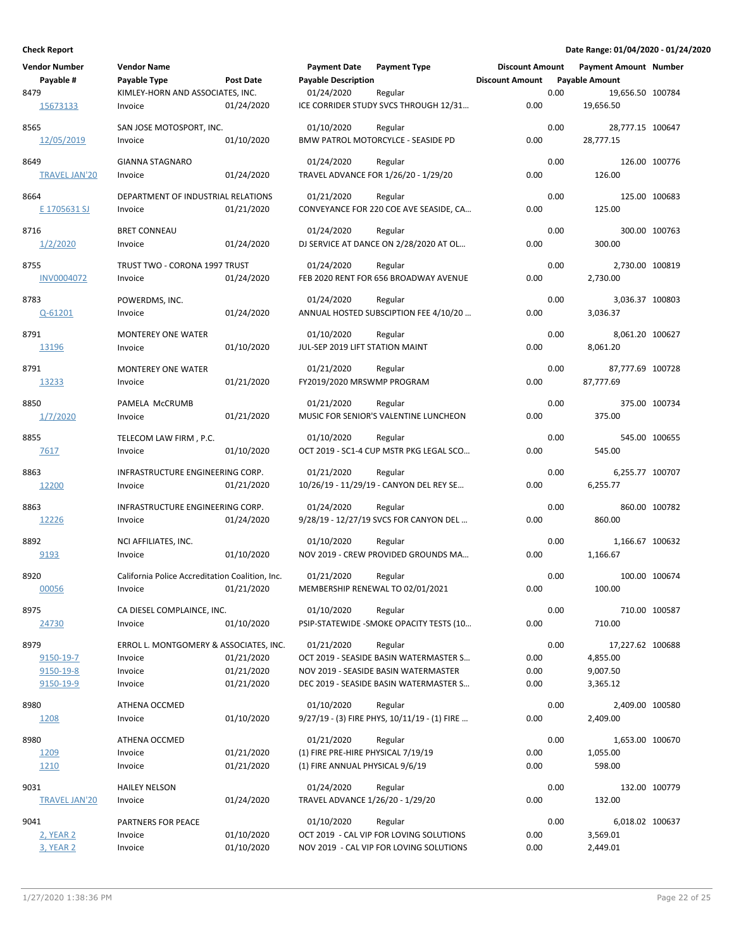| <b>Vendor Number</b> | <b>Vendor Name</b>                              |            | <b>Payment Date</b>                | <b>Payment Type</b>                              | <b>Discount Amount</b> |      | <b>Payment Amount Number</b> |               |
|----------------------|-------------------------------------------------|------------|------------------------------------|--------------------------------------------------|------------------------|------|------------------------------|---------------|
| Payable #            | Payable Type                                    | Post Date  | <b>Payable Description</b>         |                                                  | <b>Discount Amount</b> |      | <b>Payable Amount</b>        |               |
| 8479                 | KIMLEY-HORN AND ASSOCIATES, INC.                |            | 01/24/2020                         | Regular                                          |                        | 0.00 | 19,656.50 100784             |               |
| 15673133             | Invoice                                         | 01/24/2020 |                                    | ICE CORRIDER STUDY SVCS THROUGH 12/31            | 0.00                   |      | 19,656.50                    |               |
| 8565                 | SAN JOSE MOTOSPORT, INC.                        |            | 01/10/2020                         | Regular                                          |                        | 0.00 | 28,777.15 100647             |               |
| 12/05/2019           | Invoice                                         | 01/10/2020 |                                    | BMW PATROL MOTORCYLCE - SEASIDE PD               | 0.00                   |      | 28,777.15                    |               |
|                      |                                                 |            |                                    |                                                  |                        |      |                              |               |
| 8649                 | <b>GIANNA STAGNARO</b>                          |            | 01/24/2020                         | Regular                                          |                        | 0.00 |                              | 126.00 100776 |
| <b>TRAVEL JAN'20</b> | Invoice                                         | 01/24/2020 |                                    | TRAVEL ADVANCE FOR 1/26/20 - 1/29/20             | 0.00                   |      | 126.00                       |               |
|                      | DEPARTMENT OF INDUSTRIAL RELATIONS              |            |                                    |                                                  |                        |      |                              |               |
| 8664<br>E 1705631 SJ | Invoice                                         |            | 01/21/2020                         | Regular                                          | 0.00                   | 0.00 | 125.00                       | 125.00 100683 |
|                      |                                                 | 01/21/2020 |                                    | CONVEYANCE FOR 220 COE AVE SEASIDE, CA           |                        |      |                              |               |
| 8716                 | <b>BRET CONNEAU</b>                             |            | 01/24/2020                         | Regular                                          |                        | 0.00 |                              | 300.00 100763 |
| 1/2/2020             | Invoice                                         | 01/24/2020 |                                    | DJ SERVICE AT DANCE ON 2/28/2020 AT OL           | 0.00                   |      | 300.00                       |               |
| 8755                 | TRUST TWO - CORONA 1997 TRUST                   |            | 01/24/2020                         | Regular                                          |                        | 0.00 | 2,730.00 100819              |               |
| <b>INV0004072</b>    | Invoice                                         | 01/24/2020 |                                    | FEB 2020 RENT FOR 656 BROADWAY AVENUE            | 0.00                   |      | 2,730.00                     |               |
|                      |                                                 |            |                                    |                                                  |                        |      |                              |               |
| 8783                 | POWERDMS, INC.                                  |            | 01/24/2020                         | Regular                                          |                        | 0.00 | 3,036.37 100803              |               |
| Q-61201              | Invoice                                         | 01/24/2020 |                                    | ANNUAL HOSTED SUBSCIPTION FEE 4/10/20            | 0.00                   |      | 3,036.37                     |               |
| 8791                 | <b>MONTEREY ONE WATER</b>                       |            | 01/10/2020                         | Regular                                          |                        | 0.00 | 8,061.20 100627              |               |
| 13196                | Invoice                                         | 01/10/2020 | JUL-SEP 2019 LIFT STATION MAINT    |                                                  | 0.00                   |      | 8,061.20                     |               |
|                      |                                                 |            |                                    |                                                  |                        |      |                              |               |
| 8791                 | <b>MONTEREY ONE WATER</b>                       |            | 01/21/2020                         | Regular                                          |                        | 0.00 | 87,777.69 100728             |               |
| 13233                | Invoice                                         | 01/21/2020 | FY2019/2020 MRSWMP PROGRAM         |                                                  | 0.00                   |      | 87,777.69                    |               |
| 8850                 | PAMELA McCRUMB                                  |            | 01/21/2020                         |                                                  |                        | 0.00 |                              | 375.00 100734 |
| 1/7/2020             | Invoice                                         | 01/21/2020 |                                    | Regular<br>MUSIC FOR SENIOR'S VALENTINE LUNCHEON | 0.00                   |      | 375.00                       |               |
|                      |                                                 |            |                                    |                                                  |                        |      |                              |               |
| 8855                 | TELECOM LAW FIRM, P.C.                          |            | 01/10/2020                         | Regular                                          |                        | 0.00 |                              | 545.00 100655 |
| 7617                 | Invoice                                         | 01/10/2020 |                                    | OCT 2019 - SC1-4 CUP MSTR PKG LEGAL SCO          | 0.00                   |      | 545.00                       |               |
| 8863                 | INFRASTRUCTURE ENGINEERING CORP.                |            | 01/21/2020                         | Regular                                          |                        | 0.00 | 6,255.77 100707              |               |
| 12200                | Invoice                                         | 01/21/2020 |                                    | 10/26/19 - 11/29/19 - CANYON DEL REY SE          | 0.00                   |      | 6,255.77                     |               |
|                      |                                                 |            |                                    |                                                  |                        |      |                              |               |
| 8863                 | INFRASTRUCTURE ENGINEERING CORP.                |            | 01/24/2020                         | Regular                                          |                        | 0.00 |                              | 860.00 100782 |
| 12226                | Invoice                                         | 01/24/2020 |                                    | 9/28/19 - 12/27/19 SVCS FOR CANYON DEL           | 0.00                   |      | 860.00                       |               |
| 8892                 | NCI AFFILIATES, INC.                            |            | 01/10/2020                         | Regular                                          |                        | 0.00 | 1,166.67 100632              |               |
| 9193                 | Invoice                                         | 01/10/2020 |                                    | NOV 2019 - CREW PROVIDED GROUNDS MA              | 0.00                   |      | 1,166.67                     |               |
|                      |                                                 |            |                                    |                                                  |                        |      |                              |               |
| 8920                 | California Police Accreditation Coalition, Inc. |            | 01/21/2020                         | Regular                                          |                        | 0.00 |                              | 100.00 100674 |
| 00056                | Invoice                                         | 01/21/2020 |                                    | MEMBERSHIP RENEWAL TO 02/01/2021                 | 0.00                   |      | 100.00                       |               |
| 8975                 | CA DIESEL COMPLAINCE, INC.                      |            | 01/10/2020                         | Regular                                          |                        | 0.00 |                              | 710.00 100587 |
| 24730                | Invoice                                         | 01/10/2020 |                                    | PSIP-STATEWIDE - SMOKE OPACITY TESTS (10         | 0.00                   |      | 710.00                       |               |
|                      |                                                 |            |                                    |                                                  |                        |      |                              |               |
| 8979                 | ERROL L. MONTGOMERY & ASSOCIATES, INC.          |            | 01/21/2020                         | Regular                                          |                        | 0.00 | 17,227.62 100688             |               |
| 9150-19-7            | Invoice                                         | 01/21/2020 |                                    | OCT 2019 - SEASIDE BASIN WATERMASTER S           | 0.00                   |      | 4,855.00                     |               |
| 9150-19-8            | Invoice                                         | 01/21/2020 |                                    | NOV 2019 - SEASIDE BASIN WATERMASTER             | 0.00                   |      | 9,007.50                     |               |
| 9150-19-9            | Invoice                                         | 01/21/2020 |                                    | DEC 2019 - SEASIDE BASIN WATERMASTER S           | 0.00                   |      | 3,365.12                     |               |
| 8980                 | ATHENA OCCMED                                   |            | 01/10/2020                         | Regular                                          |                        | 0.00 | 2,409.00 100580              |               |
| 1208                 | Invoice                                         | 01/10/2020 |                                    | 9/27/19 - (3) FIRE PHYS, 10/11/19 - (1) FIRE     | 0.00                   |      | 2,409.00                     |               |
|                      |                                                 |            |                                    |                                                  |                        |      |                              |               |
| 8980                 | ATHENA OCCMED                                   |            | 01/21/2020                         | Regular                                          |                        | 0.00 | 1,653.00 100670              |               |
| 1209                 | Invoice                                         | 01/21/2020 | (1) FIRE PRE-HIRE PHYSICAL 7/19/19 |                                                  | 0.00                   |      | 1,055.00                     |               |
| 1210                 | Invoice                                         | 01/21/2020 | (1) FIRE ANNUAL PHYSICAL 9/6/19    |                                                  | 0.00                   |      | 598.00                       |               |
| 9031                 | <b>HAILEY NELSON</b>                            |            | 01/24/2020                         | Regular                                          |                        | 0.00 |                              | 132.00 100779 |
| <b>TRAVEL JAN'20</b> | Invoice                                         | 01/24/2020 | TRAVEL ADVANCE 1/26/20 - 1/29/20   |                                                  | 0.00                   |      | 132.00                       |               |
|                      |                                                 |            |                                    |                                                  |                        |      |                              |               |
| 9041                 | PARTNERS FOR PEACE                              |            | 01/10/2020                         | Regular                                          |                        | 0.00 | 6,018.02 100637              |               |
| <b>2, YEAR 2</b>     | Invoice                                         | 01/10/2020 |                                    | OCT 2019 - CAL VIP FOR LOVING SOLUTIONS          | 0.00                   |      | 3,569.01                     |               |
| 3, YEAR 2            | Invoice                                         | 01/10/2020 |                                    | NOV 2019 - CAL VIP FOR LOVING SOLUTIONS          | 0.00                   |      | 2,449.01                     |               |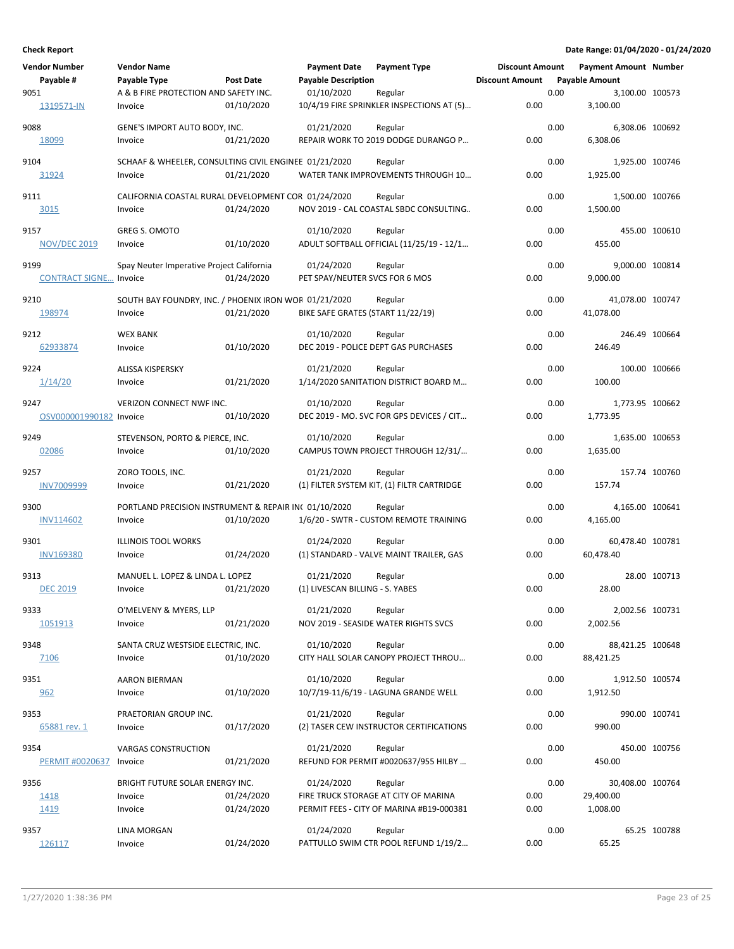| <b>Vendor Number</b><br>Payable # | <b>Vendor Name</b><br>Payable Type                    | Post Date  | <b>Payment Date</b><br><b>Payable Description</b> | <b>Payment Type</b>                           | <b>Discount Amount</b><br><b>Discount Amount</b> |      | <b>Payment Amount Number</b><br><b>Payable Amount</b> |               |
|-----------------------------------|-------------------------------------------------------|------------|---------------------------------------------------|-----------------------------------------------|--------------------------------------------------|------|-------------------------------------------------------|---------------|
| 9051                              | A & B FIRE PROTECTION AND SAFETY INC.                 |            | 01/10/2020                                        | Regular                                       |                                                  | 0.00 | 3,100.00 100573                                       |               |
| 1319571-IN                        | Invoice                                               | 01/10/2020 |                                                   | 10/4/19 FIRE SPRINKLER INSPECTIONS AT (5)     | 0.00                                             |      | 3,100.00                                              |               |
| 9088                              | GENE'S IMPORT AUTO BODY, INC.                         |            | 01/21/2020                                        | Regular                                       |                                                  | 0.00 | 6,308.06 100692                                       |               |
| 18099                             | Invoice                                               | 01/21/2020 |                                                   | REPAIR WORK TO 2019 DODGE DURANGO P           | 0.00                                             |      | 6,308.06                                              |               |
| 9104                              | SCHAAF & WHEELER, CONSULTING CIVIL ENGINEE 01/21/2020 |            |                                                   | Regular                                       |                                                  | 0.00 | 1,925.00 100746                                       |               |
| 31924                             | Invoice                                               | 01/21/2020 |                                                   | WATER TANK IMPROVEMENTS THROUGH 10            | 0.00                                             |      | 1,925.00                                              |               |
|                                   |                                                       |            |                                                   |                                               |                                                  |      |                                                       |               |
| 9111                              | CALIFORNIA COASTAL RURAL DEVELOPMENT COR 01/24/2020   |            |                                                   | Regular                                       |                                                  | 0.00 | 1,500.00 100766                                       |               |
| 3015                              | Invoice                                               | 01/24/2020 |                                                   | NOV 2019 - CAL COASTAL SBDC CONSULTING        | 0.00                                             |      | 1,500.00                                              |               |
| 9157                              | GREG S. OMOTO                                         |            | 01/10/2020                                        | Regular                                       |                                                  | 0.00 |                                                       | 455.00 100610 |
| <b>NOV/DEC 2019</b>               | Invoice                                               | 01/10/2020 |                                                   | ADULT SOFTBALL OFFICIAL (11/25/19 - 12/1      | 0.00                                             |      | 455.00                                                |               |
| 9199                              | Spay Neuter Imperative Project California             |            | 01/24/2020                                        | Regular                                       |                                                  | 0.00 | 9,000.00 100814                                       |               |
| <b>CONTRACT SIGNE Invoice</b>     |                                                       | 01/24/2020 | PET SPAY/NEUTER SVCS FOR 6 MOS                    |                                               | 0.00                                             |      | 9,000.00                                              |               |
| 9210                              | SOUTH BAY FOUNDRY, INC. / PHOENIX IRON WOF 01/21/2020 |            |                                                   | Regular                                       |                                                  | 0.00 | 41,078.00 100747                                      |               |
| 198974                            | Invoice                                               | 01/21/2020 | BIKE SAFE GRATES (START 11/22/19)                 |                                               | 0.00                                             |      | 41,078.00                                             |               |
|                                   |                                                       |            |                                                   |                                               |                                                  |      |                                                       |               |
| 9212                              | <b>WEX BANK</b>                                       |            | 01/10/2020                                        | Regular                                       |                                                  | 0.00 |                                                       | 246.49 100664 |
| 62933874                          | Invoice                                               | 01/10/2020 |                                                   | DEC 2019 - POLICE DEPT GAS PURCHASES          | 0.00                                             |      | 246.49                                                |               |
| 9224                              | <b>ALISSA KISPERSKY</b>                               |            | 01/21/2020                                        | Regular                                       |                                                  | 0.00 |                                                       | 100.00 100666 |
| 1/14/20                           | Invoice                                               | 01/21/2020 |                                                   | 1/14/2020 SANITATION DISTRICT BOARD M         | 0.00                                             |      | 100.00                                                |               |
| 9247                              | VERIZON CONNECT NWF INC.                              |            | 01/10/2020                                        | Regular                                       |                                                  | 0.00 | 1,773.95 100662                                       |               |
| OSV000001990182 Invoice           |                                                       | 01/10/2020 |                                                   | DEC 2019 - MO. SVC FOR GPS DEVICES / CIT      | 0.00                                             |      | 1,773.95                                              |               |
|                                   |                                                       |            |                                                   |                                               |                                                  |      |                                                       |               |
| 9249<br>02086                     | STEVENSON, PORTO & PIERCE, INC.<br>Invoice            | 01/10/2020 | 01/10/2020                                        | Regular<br>CAMPUS TOWN PROJECT THROUGH 12/31/ | 0.00                                             | 0.00 | 1,635.00 100653<br>1,635.00                           |               |
|                                   |                                                       |            |                                                   |                                               |                                                  |      |                                                       |               |
| 9257                              | ZORO TOOLS, INC.                                      |            | 01/21/2020                                        | Regular                                       |                                                  | 0.00 |                                                       | 157.74 100760 |
| <b>INV7009999</b>                 | Invoice                                               | 01/21/2020 |                                                   | (1) FILTER SYSTEM KIT, (1) FILTR CARTRIDGE    | 0.00                                             |      | 157.74                                                |               |
| 9300                              | PORTLAND PRECISION INSTRUMENT & REPAIR IN( 01/10/2020 |            |                                                   | Regular                                       |                                                  | 0.00 | 4,165.00 100641                                       |               |
| <b>INV114602</b>                  | Invoice                                               | 01/10/2020 |                                                   | 1/6/20 - SWTR - CUSTOM REMOTE TRAINING        | 0.00                                             |      | 4,165.00                                              |               |
| 9301                              | <b>ILLINOIS TOOL WORKS</b>                            |            | 01/24/2020                                        | Regular                                       |                                                  | 0.00 | 60,478.40 100781                                      |               |
| <b>INV169380</b>                  | Invoice                                               | 01/24/2020 |                                                   | (1) STANDARD - VALVE MAINT TRAILER, GAS       | 0.00                                             |      | 60,478.40                                             |               |
|                                   |                                                       |            |                                                   |                                               |                                                  |      |                                                       |               |
| 9313<br><b>DEC 2019</b>           | MANUEL L. LOPEZ & LINDA L. LOPEZ<br>Invoice           | 01/21/2020 | 01/21/2020<br>(1) LIVESCAN BILLING - S. YABES     | Regular                                       | 0.00                                             | 0.00 | 28.00                                                 | 28.00 100713  |
|                                   |                                                       |            |                                                   |                                               |                                                  |      |                                                       |               |
| 9333                              | O'MELVENY & MYERS, LLP                                |            | 01/21/2020                                        | Regular                                       |                                                  | 0.00 | 2,002.56 100731                                       |               |
| 1051913                           | Invoice                                               | 01/21/2020 |                                                   | NOV 2019 - SEASIDE WATER RIGHTS SVCS          | 0.00                                             |      | 2,002.56                                              |               |
| 9348                              | SANTA CRUZ WESTSIDE ELECTRIC, INC.                    |            | 01/10/2020                                        | Regular                                       |                                                  | 0.00 | 88,421.25 100648                                      |               |
| 7106                              | Invoice                                               | 01/10/2020 |                                                   | CITY HALL SOLAR CANOPY PROJECT THROU          | 0.00                                             |      | 88,421.25                                             |               |
| 9351                              | <b>AARON BIERMAN</b>                                  |            | 01/10/2020                                        | Regular                                       |                                                  | 0.00 | 1,912.50 100574                                       |               |
| 962                               | Invoice                                               | 01/10/2020 |                                                   | 10/7/19-11/6/19 - LAGUNA GRANDE WELL          | 0.00                                             |      | 1,912.50                                              |               |
| 9353                              | PRAETORIAN GROUP INC.                                 |            | 01/21/2020                                        | Regular                                       |                                                  | 0.00 |                                                       | 990.00 100741 |
| 65881 rev. 1                      | Invoice                                               | 01/17/2020 |                                                   | (2) TASER CEW INSTRUCTOR CERTIFICATIONS       | 0.00                                             |      | 990.00                                                |               |
|                                   |                                                       |            |                                                   |                                               |                                                  |      |                                                       |               |
| 9354                              | <b>VARGAS CONSTRUCTION</b>                            |            | 01/21/2020                                        | Regular                                       |                                                  | 0.00 |                                                       | 450.00 100756 |
| <b>PERMIT #0020637</b>            | Invoice                                               | 01/21/2020 |                                                   | REFUND FOR PERMIT #0020637/955 HILBY          | 0.00                                             |      | 450.00                                                |               |
| 9356                              | BRIGHT FUTURE SOLAR ENERGY INC.                       |            | 01/24/2020                                        | Regular                                       |                                                  | 0.00 | 30,408.00 100764                                      |               |
| 1418                              | Invoice                                               | 01/24/2020 |                                                   | FIRE TRUCK STORAGE AT CITY OF MARINA          | 0.00                                             |      | 29,400.00                                             |               |
| 1419                              | Invoice                                               | 01/24/2020 |                                                   | PERMIT FEES - CITY OF MARINA #B19-000381      | 0.00                                             |      | 1,008.00                                              |               |
| 9357                              | LINA MORGAN                                           |            | 01/24/2020                                        | Regular                                       |                                                  | 0.00 |                                                       | 65.25 100788  |
| 126117                            | Invoice                                               | 01/24/2020 |                                                   | PATTULLO SWIM CTR POOL REFUND 1/19/2          | 0.00                                             |      | 65.25                                                 |               |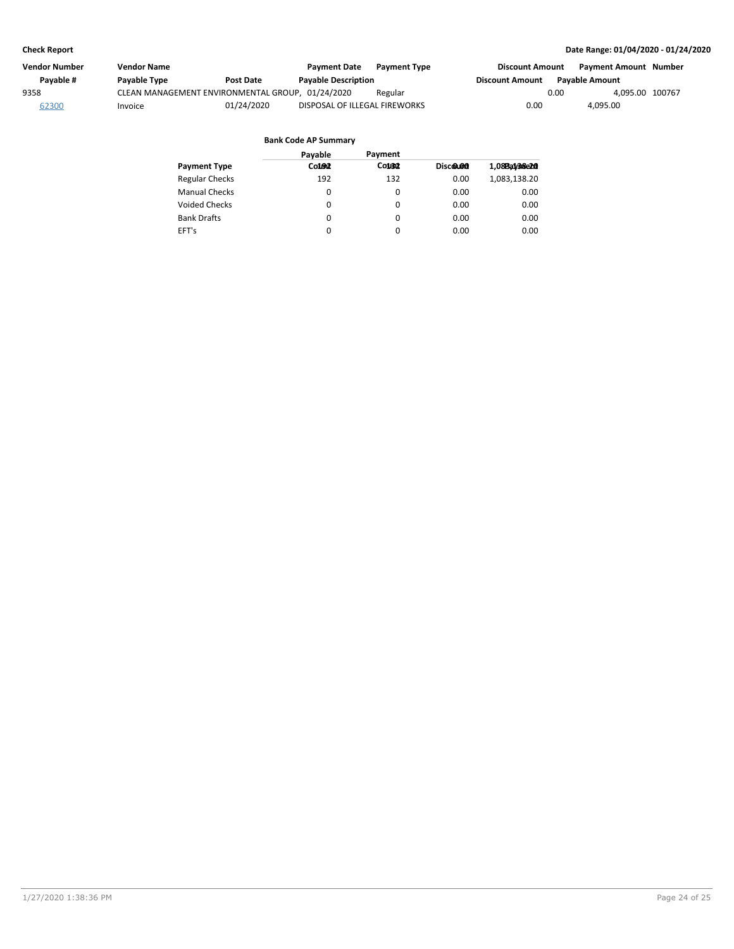| Vendor Number | Vendor Name                                      |                  | <b>Payment Date</b>           | <b>Payment Type</b> | <b>Discount Amount</b> |                       | Payment Amount Number |  |
|---------------|--------------------------------------------------|------------------|-------------------------------|---------------------|------------------------|-----------------------|-----------------------|--|
| Payable #     | Payable Type                                     | <b>Post Date</b> | <b>Payable Description</b>    |                     | <b>Discount Amount</b> | <b>Pavable Amount</b> |                       |  |
| 9358          | CLEAN MANAGEMENT ENVIRONMENTAL GROUP, 01/24/2020 |                  |                               | Regular             |                        | 0.00                  | 4.095.00 100767       |  |
| 62300         | Invoice                                          | 01/24/2020       | DISPOSAL OF ILLEGAL FIREWORKS |                     | 0.00                   | 4,095.00              |                       |  |

|                       | Payable  | Payment            |          |              |
|-----------------------|----------|--------------------|----------|--------------|
| <b>Payment Type</b>   | Co1002   | Coust <sub>2</sub> | Discolon | 1,08BaV38e20 |
| <b>Regular Checks</b> | 192      | 132                | 0.00     | 1,083,138.20 |
| <b>Manual Checks</b>  | 0        | $\Omega$           | 0.00     | 0.00         |
| Voided Checks         | 0        | 0                  | 0.00     | 0.00         |
| <b>Bank Drafts</b>    | 0        | $\Omega$           | 0.00     | 0.00         |
| EFT's                 | $\Omega$ | 0                  | 0.00     | 0.00         |